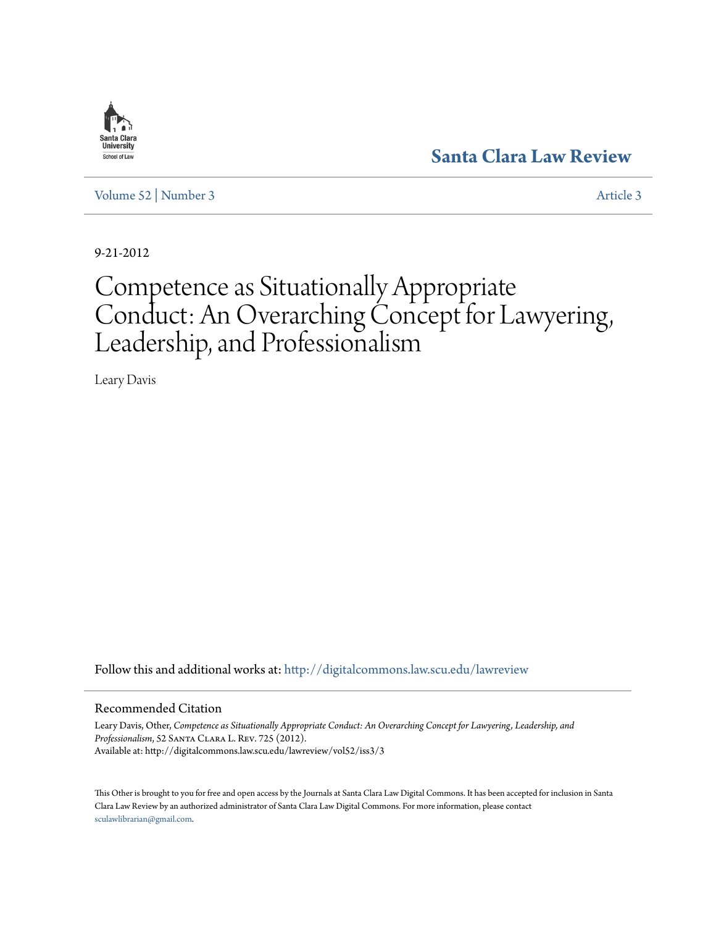

**[Santa Clara Law Review](http://digitalcommons.law.scu.edu/lawreview?utm_source=digitalcommons.law.scu.edu%2Flawreview%2Fvol52%2Fiss3%2F3&utm_medium=PDF&utm_campaign=PDFCoverPages)**

[Volume 52](http://digitalcommons.law.scu.edu/lawreview/vol52?utm_source=digitalcommons.law.scu.edu%2Flawreview%2Fvol52%2Fiss3%2F3&utm_medium=PDF&utm_campaign=PDFCoverPages) | [Number 3](http://digitalcommons.law.scu.edu/lawreview/vol52/iss3?utm_source=digitalcommons.law.scu.edu%2Flawreview%2Fvol52%2Fiss3%2F3&utm_medium=PDF&utm_campaign=PDFCoverPages) [Article 3](http://digitalcommons.law.scu.edu/lawreview/vol52/iss3/3?utm_source=digitalcommons.law.scu.edu%2Flawreview%2Fvol52%2Fiss3%2F3&utm_medium=PDF&utm_campaign=PDFCoverPages)

9-21-2012

# Competence as Situationally Appropriate Conduct: An Overarching Concept for Lawyering, Leadership, and Professionalism

Leary Davis

Follow this and additional works at: [http://digitalcommons.law.scu.edu/lawreview](http://digitalcommons.law.scu.edu/lawreview?utm_source=digitalcommons.law.scu.edu%2Flawreview%2Fvol52%2Fiss3%2F3&utm_medium=PDF&utm_campaign=PDFCoverPages)

#### Recommended Citation

Leary Davis, Other, *Competence as Situationally Appropriate Conduct: An Overarching Concept for Lawyering, Leadership, and Professionalism*, 52 Santa Clara L. Rev. 725 (2012). Available at: http://digitalcommons.law.scu.edu/lawreview/vol52/iss3/3

This Other is brought to you for free and open access by the Journals at Santa Clara Law Digital Commons. It has been accepted for inclusion in Santa Clara Law Review by an authorized administrator of Santa Clara Law Digital Commons. For more information, please contact [sculawlibrarian@gmail.com](mailto:sculawlibrarian@gmail.com).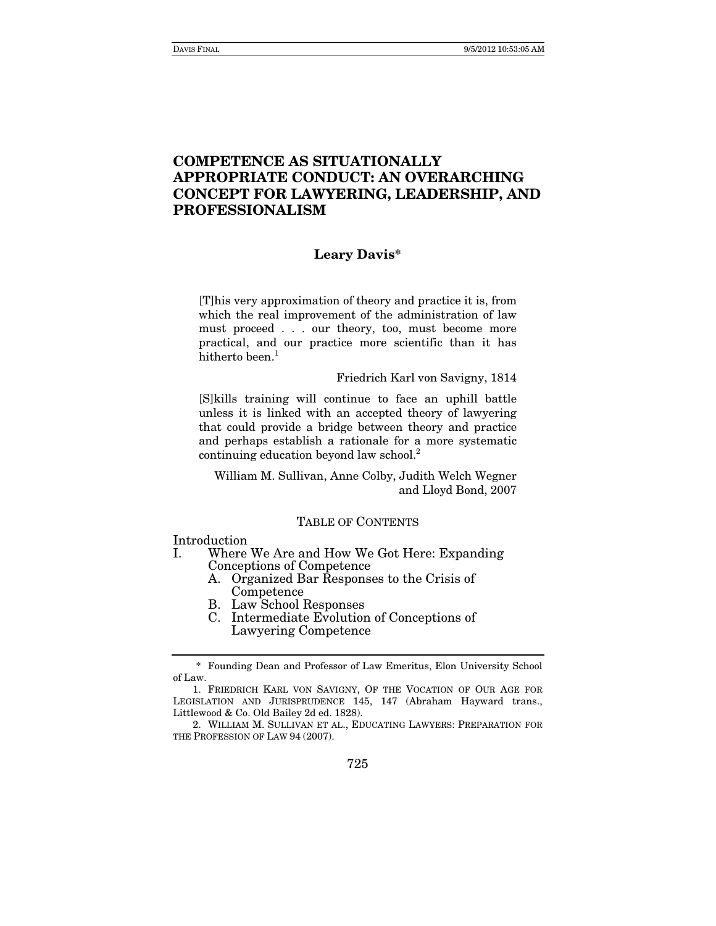# **COMPETENCE AS SITUATIONALLY CONCEPT FOR LAWYERING, LEADERSHIP, AND PROFESSIONALISM PROFESSIONALISM**

### **Leary Davis\***

[T]his very approximation of theory and practice it is, from which the real improvement of the administration of law must proceed . . . our theory, too, must become more practical, and our practice more scientific than it has hitherto been  $<sup>1</sup>$ </sup>

Friedrich Karl von Savigny, 1814

[S]kills training will continue to face an uphill battle unless it is linked with an accepted theory of lawyering that could provide a bridge between theory and practice and perhaps establish a rationale for a more systematic continuing education beyond law school.<sup>2</sup>

William M. Sullivan, Anne Colby, Judith Welch Wegner and Lloyd Bond, 2007

#### TABLE OF CONTENTS

Introduction<br>I. Where

- Where We Are and How We Got Here: Expanding Conceptions of Competence
	- A. Organized Bar Responses to the Crisis of Competence
	- B. Law School Responses
	- C. Intermediate Evolution of Conceptions of Lawyering Competence

 <sup>\*</sup> Founding Dean and Professor of Law Emeritus, Elon University School of Law.

 <sup>1.</sup> FRIEDRICH KARL VON SAVIGNY, OF THE VOCATION OF OUR AGE FOR LEGISLATION AND JURISPRUDENCE 145, 147 (Abraham Hayward trans., Littlewood & Co. Old Bailey 2d ed. 1828).

 <sup>2.</sup> WILLIAM M. SULLIVAN ET AL., EDUCATING LAWYERS: PREPARATION FOR THE PROFESSION OF LAW 94 (2007).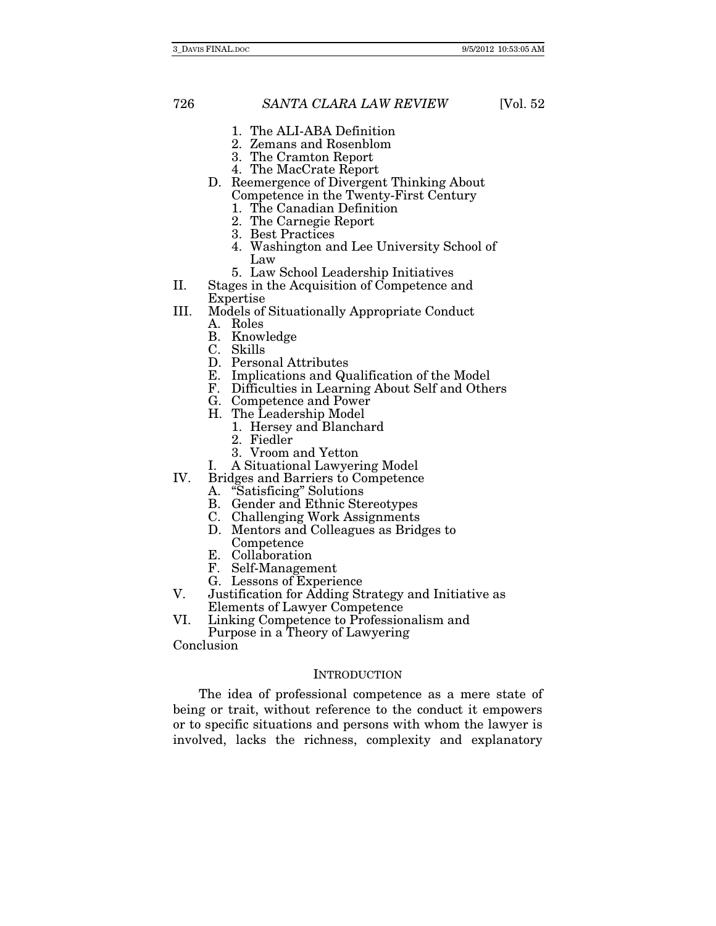- 1. The ALI-ABA Definition
- 2. Zemans and Rosenblom
- 3. The Cramton Report
- 4. The MacCrate Report
- D. Reemergence of Divergent Thinking About Competence in the Twenty-First Century
	- 1. The Canadian Definition 2. The Carnegie Report
	-
	- 3. Best Practices
	- 4. Washington and Lee University School of Law
	- 5. Law School Leadership Initiatives
- II. Stages in the Acquisition of Competence and Expertise
- III. Models of Situationally Appropriate Conduct
	- A. Roles
	- B. Knowledge
	- C. Skills
	- D. Personal Attributes
	- E. Implications and Qualification of the Model
	- Difficulties in Learning About Self and Others
	- G. Competence and Power
	- H. The Leadership Model
		- 1. Hersey and Blanchard
		- 2. Fiedler
		- 3. Vroom and Yetton
	- I. A Situational Lawyering Model
- IV. Bridges and Barriers to Competence
	- A. "Satisficing" Solutions
	- B. Gender and Ethnic Stereotypes
	- C. Challenging Work Assignments
	- D. Mentors and Colleagues as Bridges to Competence
	- E. Collaboration
	- F. Self-Management
	- G. Lessons of Experience
- V. Justification for Adding Strategy and Initiative as Elements of Lawyer Competence
- VI. Linking Competence to Professionalism and

Purpose in a Theory of Lawyering Conclusion

#### **INTRODUCTION**

The idea of professional competence as a mere state of being or trait, without reference to the conduct it empowers or to specific situations and persons with whom the lawyer is involved, lacks the richness, complexity and explanatory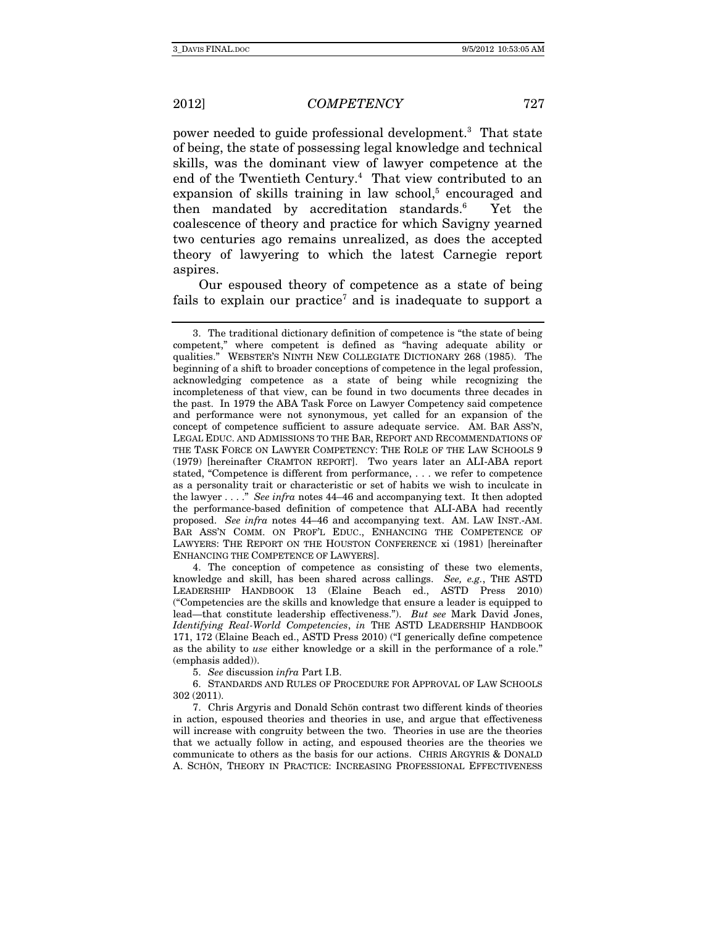power needed to guide professional development.<sup>3</sup> That state of being, the state of possessing legal knowledge and technical skills, was the dominant view of lawyer competence at the end of the Twentieth Century.<sup>4</sup> That view contributed to an  $expansion$  of skills training in law school, $5$  encouraged and then mandated by accreditation standards.<sup>6</sup> Yet the coalescence of theory and practice for which Savigny yearned two centuries ago remains unrealized, as does the accepted theory of lawyering to which the latest Carnegie report aspires.

Our espoused theory of competence as a state of being fails to explain our practice<sup> $7$ </sup> and is inadequate to support a

 4. The conception of competence as consisting of these two elements, knowledge and skill, has been shared across callings. See, e.g., THE ASTD LEADERSHIP HANDBOOK 13 (Elaine Beach ed., ASTD Press 2010) ("Competencies are the skills and knowledge that ensure a leader is equipped to lead—that constitute leadership effectiveness."). But see Mark David Jones, Identifying Real-World Competencies, in THE ASTD LEADERSHIP HANDBOOK 171, 172 (Elaine Beach ed., ASTD Press 2010) ("I generically define competence as the ability to use either knowledge or a skill in the performance of a role." (emphasis added)).

5. See discussion infra Part I.B.

 6. STANDARDS AND RULES OF PROCEDURE FOR APPROVAL OF LAW SCHOOLS 302 (2011).

 7. Chris Argyris and Donald Schön contrast two different kinds of theories in action, espoused theories and theories in use, and argue that effectiveness will increase with congruity between the two. Theories in use are the theories that we actually follow in acting, and espoused theories are the theories we communicate to others as the basis for our actions. CHRIS ARGYRIS & DONALD A. SCHÖN, THEORY IN PRACTICE: INCREASING PROFESSIONAL EFFECTIVENESS

 <sup>3.</sup> The traditional dictionary definition of competence is "the state of being competent," where competent is defined as "having adequate ability or qualities." WEBSTER'S NINTH NEW COLLEGIATE DICTIONARY 268 (1985). The beginning of a shift to broader conceptions of competence in the legal profession, acknowledging competence as a state of being while recognizing the incompleteness of that view, can be found in two documents three decades in the past. In 1979 the ABA Task Force on Lawyer Competency said competence and performance were not synonymous, yet called for an expansion of the concept of competence sufficient to assure adequate service. AM. BAR ASS'N, LEGAL EDUC. AND ADMISSIONS TO THE BAR, REPORT AND RECOMMENDATIONS OF THE TASK FORCE ON LAWYER COMPETENCY: THE ROLE OF THE LAW SCHOOLS 9 (1979) [hereinafter CRAMTON REPORT]. Two years later an ALI-ABA report stated, "Competence is different from performance, . . . we refer to competence as a personality trait or characteristic or set of habits we wish to inculcate in the lawyer . . . ." See infra notes 44–46 and accompanying text. It then adopted the performance-based definition of competence that ALI-ABA had recently proposed. See infra notes 44–46 and accompanying text. AM. LAW INST.-AM. BAR ASS'N COMM. ON PROF'L EDUC., ENHANCING THE COMPETENCE OF LAWYERS: THE REPORT ON THE HOUSTON CONFERENCE xi (1981) [hereinafter ENHANCING THE COMPETENCE OF LAWYERS].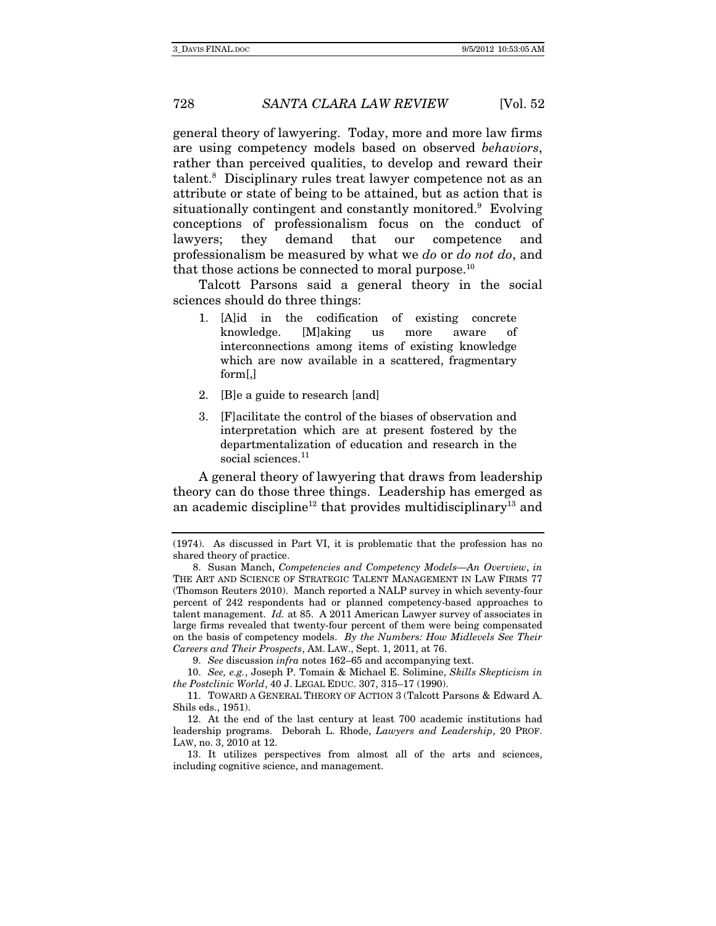general theory of lawyering. Today, more and more law firms are using competency models based on observed behaviors, rather than perceived qualities, to develop and reward their talent.<sup>8</sup> Disciplinary rules treat lawyer competence not as an attribute or state of being to be attained, but as action that is situationally contingent and constantly monitored.<sup>9</sup> Evolving conceptions of professionalism focus on the conduct of lawyers; they demand that our competence and professionalism be measured by what we do or do not do, and that those actions be connected to moral purpose.<sup>10</sup>

Talcott Parsons said a general theory in the social sciences should do three things:

- 1. [A]id in the codification of existing concrete knowledge. [M]aking us more aware of interconnections among items of existing knowledge which are now available in a scattered, fragmentary form[,]
- 2. [B]e a guide to research [and]
- 3. [F]acilitate the control of the biases of observation and interpretation which are at present fostered by the departmentalization of education and research in the social sciences.<sup>11</sup>

A general theory of lawyering that draws from leadership theory can do those three things. Leadership has emerged as an academic discipline<sup>12</sup> that provides multidisciplinary<sup>13</sup> and

<sup>(1974).</sup>As discussed in Part VI, it is problematic that the profession has no shared theory of practice.

 <sup>8.</sup> Susan Manch, Competencies and Competency Models—An Overview, in THE ART AND SCIENCE OF STRATEGIC TALENT MANAGEMENT IN LAW FIRMS 77 (Thomson Reuters 2010). Manch reported a NALP survey in which seventy-four percent of 242 respondents had or planned competency-based approaches to talent management. Id. at 85. A 2011 American Lawyer survey of associates in large firms revealed that twenty-four percent of them were being compensated on the basis of competency models. By the Numbers: How Midlevels See Their Careers and Their Prospects, AM. LAW., Sept. 1, 2011, at 76.

<sup>9.</sup> See discussion infra notes 162–65 and accompanying text.

 <sup>10.</sup> See, e.g., Joseph P. Tomain & Michael E. Solimine, Skills Skepticism in the Postclinic World, 40 J. LEGAL EDUC. 307, 315–17 (1990).

 <sup>11.</sup> TOWARD A GENERAL THEORY OF ACTION 3 (Talcott Parsons & Edward A. Shils eds., 1951).

 <sup>12.</sup> At the end of the last century at least 700 academic institutions had leadership programs. Deborah L. Rhode, Lawyers and Leadership, 20 PROF. LAW, no. 3, 2010 at 12.

 <sup>13.</sup> It utilizes perspectives from almost all of the arts and sciences, including cognitive science, and management.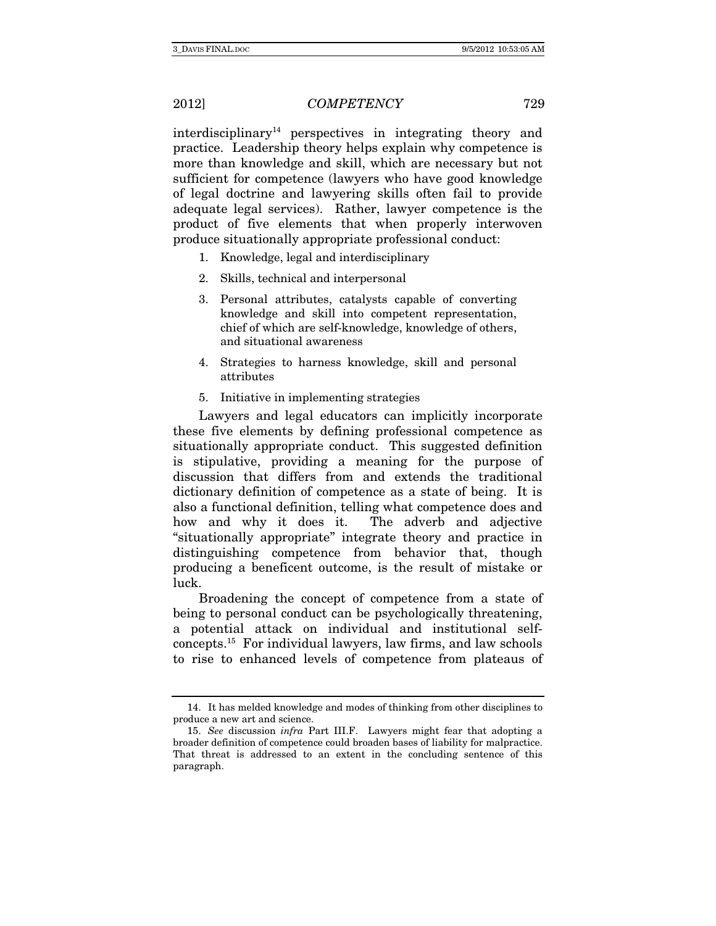$interdisciplinary<sup>14</sup>$  perspectives in integrating theory and practice. Leadership theory helps explain why competence is more than knowledge and skill, which are necessary but not sufficient for competence (lawyers who have good knowledge of legal doctrine and lawyering skills often fail to provide adequate legal services). Rather, lawyer competence is the product of five elements that when properly interwoven produce situationally appropriate professional conduct:

- 1. Knowledge, legal and interdisciplinary
- 2. Skills, technical and interpersonal
- 3. Personal attributes, catalysts capable of converting knowledge and skill into competent representation, chief of which are self-knowledge, knowledge of others, and situational awareness
- 4. Strategies to harness knowledge, skill and personal attributes
- 5. Initiative in implementing strategies

Lawyers and legal educators can implicitly incorporate these five elements by defining professional competence as situationally appropriate conduct. This suggested definition is stipulative, providing a meaning for the purpose of discussion that differs from and extends the traditional dictionary definition of competence as a state of being. It is also a functional definition, telling what competence does and how and why it does it. The adverb and adjective "situationally appropriate" integrate theory and practice in distinguishing competence from behavior that, though producing a beneficent outcome, is the result of mistake or luck.

Broadening the concept of competence from a state of being to personal conduct can be psychologically threatening, a potential attack on individual and institutional selfconcepts.15 For individual lawyers, law firms, and law schools to rise to enhanced levels of competence from plateaus of

 <sup>14.</sup> It has melded knowledge and modes of thinking from other disciplines to produce a new art and science.

<sup>15.</sup> See discussion infra Part III.F. Lawyers might fear that adopting a broader definition of competence could broaden bases of liability for malpractice. That threat is addressed to an extent in the concluding sentence of this paragraph.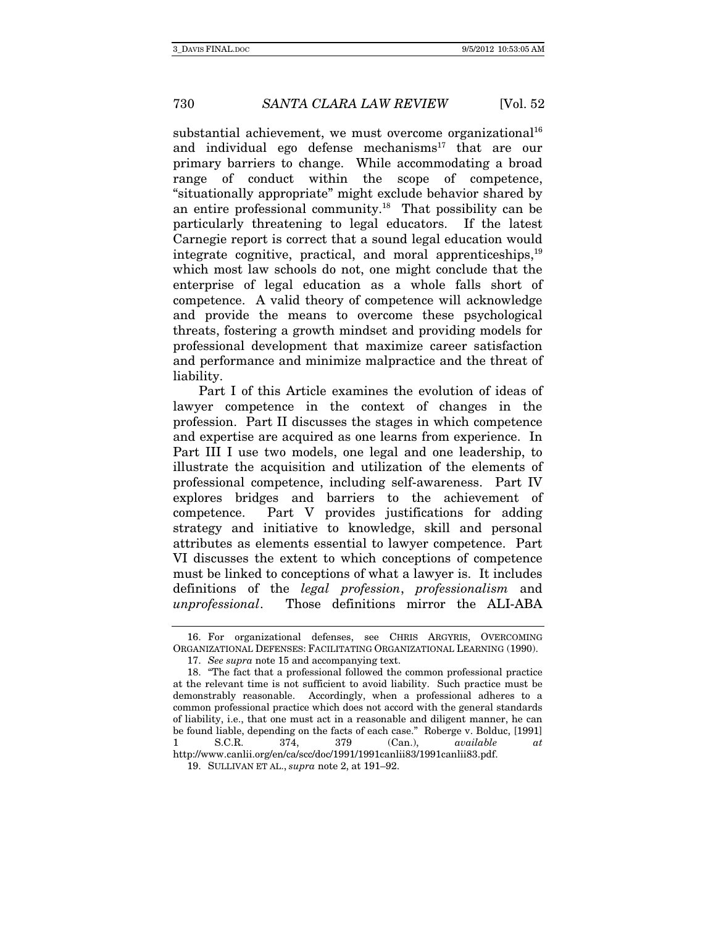substantial achievement, we must overcome organizational<sup>16</sup> and individual ego defense mechanisms $17$  that are our primary barriers to change. While accommodating a broad range of conduct within the scope of competence, "situationally appropriate" might exclude behavior shared by an entire professional community.18 That possibility can be particularly threatening to legal educators. If the latest Carnegie report is correct that a sound legal education would integrate cognitive, practical, and moral apprenticeships,<sup>19</sup> which most law schools do not, one might conclude that the enterprise of legal education as a whole falls short of competence. A valid theory of competence will acknowledge and provide the means to overcome these psychological threats, fostering a growth mindset and providing models for professional development that maximize career satisfaction and performance and minimize malpractice and the threat of liability.

Part I of this Article examines the evolution of ideas of lawyer competence in the context of changes in the profession. Part II discusses the stages in which competence and expertise are acquired as one learns from experience. In Part III I use two models, one legal and one leadership, to illustrate the acquisition and utilization of the elements of professional competence, including self-awareness. Part IV explores bridges and barriers to the achievement of competence. Part V provides justifications for adding strategy and initiative to knowledge, skill and personal attributes as elements essential to lawyer competence. Part VI discusses the extent to which conceptions of competence must be linked to conceptions of what a lawyer is. It includes definitions of the legal profession, professionalism and unprofessional. Those definitions mirror the ALI-ABA

 <sup>16.</sup> For organizational defenses, see CHRIS ARGYRIS, OVERCOMING ORGANIZATIONAL DEFENSES: FACILITATING ORGANIZATIONAL LEARNING (1990).

<sup>17.</sup> See supra note 15 and accompanying text.

 <sup>18. &</sup>quot;The fact that a professional followed the common professional practice at the relevant time is not sufficient to avoid liability. Such practice must be demonstrably reasonable. Accordingly, when a professional adheres to a common professional practice which does not accord with the general standards of liability, i.e., that one must act in a reasonable and diligent manner, he can be found liable, depending on the facts of each case." Roberge v. Bolduc, [1991] 1 S.C.R. 374, 379 (Can.), available at http://www.canlii.org/en/ca/scc/doc/1991/1991canlii83/1991canlii83.pdf.

 <sup>19.</sup> SULLIVAN ET AL., supra note 2, at 191–92.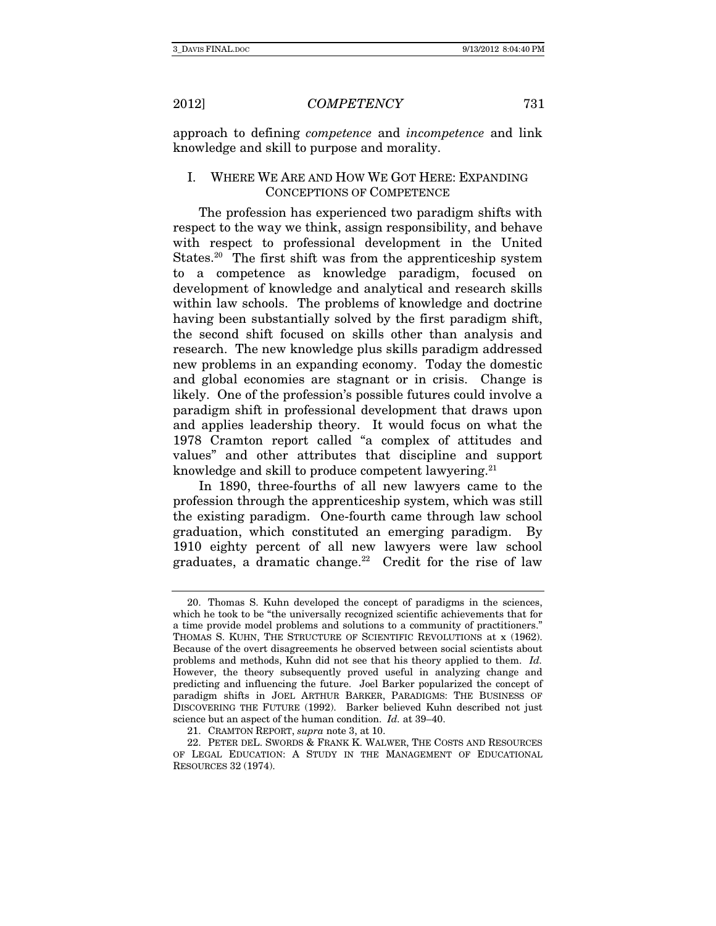approach to defining competence and incompetence and link knowledge and skill to purpose and morality.

### I. WHERE WE ARE AND HOW WE GOT HERE: EXPANDING CONCEPTIONS OF COMPETENCE

The profession has experienced two paradigm shifts with respect to the way we think, assign responsibility, and behave with respect to professional development in the United States.<sup>20</sup> The first shift was from the apprenticeship system to a competence as knowledge paradigm, focused on development of knowledge and analytical and research skills within law schools. The problems of knowledge and doctrine having been substantially solved by the first paradigm shift, the second shift focused on skills other than analysis and research. The new knowledge plus skills paradigm addressed new problems in an expanding economy. Today the domestic and global economies are stagnant or in crisis. Change is likely. One of the profession's possible futures could involve a paradigm shift in professional development that draws upon and applies leadership theory. It would focus on what the 1978 Cramton report called "a complex of attitudes and values" and other attributes that discipline and support knowledge and skill to produce competent lawyering. $21$ 

In 1890, three-fourths of all new lawyers came to the profession through the apprenticeship system, which was still the existing paradigm. One-fourth came through law school graduation, which constituted an emerging paradigm. By 1910 eighty percent of all new lawyers were law school graduates, a dramatic change.<sup>22</sup> Credit for the rise of law

 <sup>20.</sup> Thomas S. Kuhn developed the concept of paradigms in the sciences, which he took to be "the universally recognized scientific achievements that for a time provide model problems and solutions to a community of practitioners." THOMAS S. KUHN, THE STRUCTURE OF SCIENTIFIC REVOLUTIONS at x (1962). Because of the overt disagreements he observed between social scientists about problems and methods, Kuhn did not see that his theory applied to them. Id. However, the theory subsequently proved useful in analyzing change and predicting and influencing the future. Joel Barker popularized the concept of paradigm shifts in JOEL ARTHUR BARKER, PARADIGMS: THE BUSINESS OF DISCOVERING THE FUTURE (1992). Barker believed Kuhn described not just science but an aspect of the human condition. Id. at 39–40.

<sup>21.</sup> CRAMTON REPORT, supra note 3, at 10.

 <sup>22.</sup> PETER DEL. SWORDS & FRANK K. WALWER, THE COSTS AND RESOURCES OF LEGAL EDUCATION: A STUDY IN THE MANAGEMENT OF EDUCATIONAL RESOURCES 32 (1974).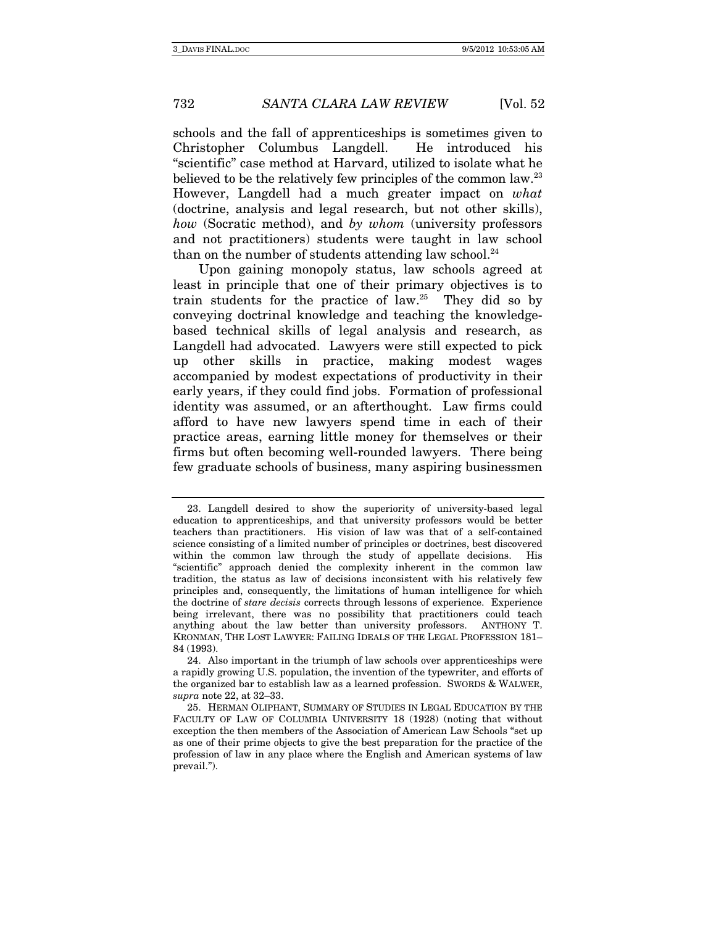schools and the fall of apprenticeships is sometimes given to Christopher Columbus Langdell. He introduced his "scientific" case method at Harvard, utilized to isolate what he believed to be the relatively few principles of the common law.<sup>23</sup> However, Langdell had a much greater impact on what (doctrine, analysis and legal research, but not other skills), how (Socratic method), and by whom (university professors and not practitioners) students were taught in law school than on the number of students attending law school.<sup>24</sup>

Upon gaining monopoly status, law schools agreed at least in principle that one of their primary objectives is to train students for the practice of law.25 They did so by conveying doctrinal knowledge and teaching the knowledgebased technical skills of legal analysis and research, as Langdell had advocated. Lawyers were still expected to pick up other skills in practice, making modest wages accompanied by modest expectations of productivity in their early years, if they could find jobs. Formation of professional identity was assumed, or an afterthought. Law firms could afford to have new lawyers spend time in each of their practice areas, earning little money for themselves or their firms but often becoming well-rounded lawyers. There being few graduate schools of business, many aspiring businessmen

 <sup>23.</sup> Langdell desired to show the superiority of university-based legal education to apprenticeships, and that university professors would be better teachers than practitioners. His vision of law was that of a self-contained science consisting of a limited number of principles or doctrines, best discovered within the common law through the study of appellate decisions. His "scientific" approach denied the complexity inherent in the common law tradition, the status as law of decisions inconsistent with his relatively few principles and, consequently, the limitations of human intelligence for which the doctrine of stare decisis corrects through lessons of experience. Experience being irrelevant, there was no possibility that practitioners could teach anything about the law better than university professors. ANTHONY T. KRONMAN, THE LOST LAWYER: FAILING IDEALS OF THE LEGAL PROFESSION 181– 84 (1993).

 <sup>24.</sup> Also important in the triumph of law schools over apprenticeships were a rapidly growing U.S. population, the invention of the typewriter, and efforts of the organized bar to establish law as a learned profession. SWORDS & WALWER, supra note 22, at 32–33.

 <sup>25.</sup> HERMAN OLIPHANT, SUMMARY OF STUDIES IN LEGAL EDUCATION BY THE FACULTY OF LAW OF COLUMBIA UNIVERSITY 18 (1928) (noting that without exception the then members of the Association of American Law Schools "set up as one of their prime objects to give the best preparation for the practice of the profession of law in any place where the English and American systems of law prevail.").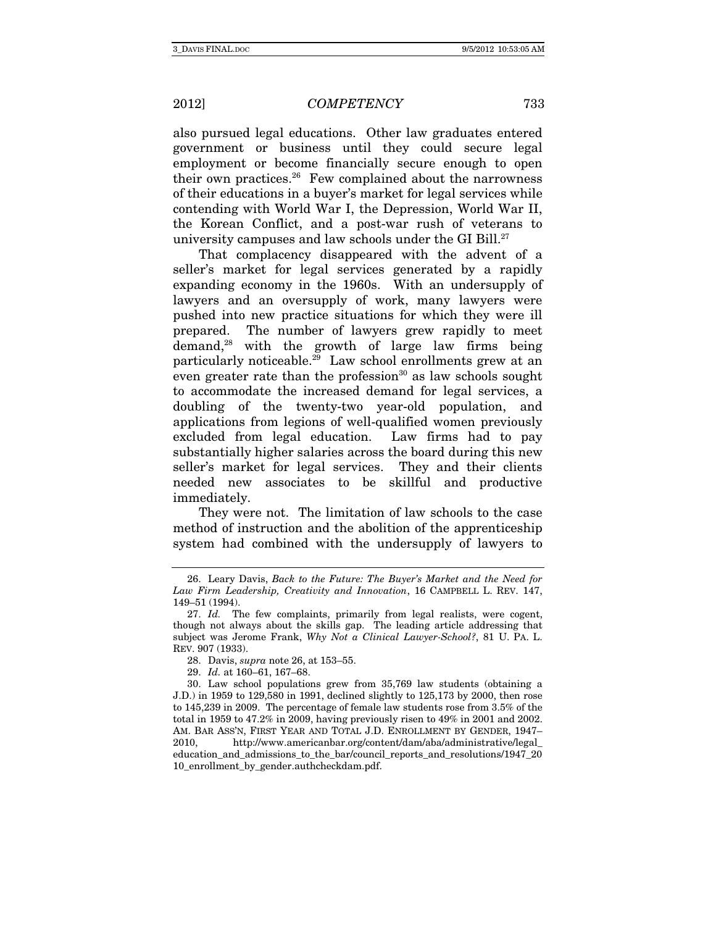also pursued legal educations. Other law graduates entered government or business until they could secure legal employment or become financially secure enough to open their own practices. $26$  Few complained about the narrowness of their educations in a buyer's market for legal services while contending with World War I, the Depression, World War II, the Korean Conflict, and a post-war rush of veterans to university campuses and law schools under the GI Bill.<sup>27</sup>

That complacency disappeared with the advent of a seller's market for legal services generated by a rapidly expanding economy in the 1960s. With an undersupply of lawyers and an oversupply of work, many lawyers were pushed into new practice situations for which they were ill prepared. The number of lawyers grew rapidly to meet demand,28 with the growth of large law firms being particularly noticeable.29 Law school enrollments grew at an even greater rate than the profession $30$  as law schools sought to accommodate the increased demand for legal services, a doubling of the twenty-two year-old population, and applications from legions of well-qualified women previously excluded from legal education. Law firms had to pay substantially higher salaries across the board during this new seller's market for legal services. They and their clients needed new associates to be skillful and productive immediately.

They were not. The limitation of law schools to the case method of instruction and the abolition of the apprenticeship system had combined with the undersupply of lawyers to

 <sup>26.</sup> Leary Davis, Back to the Future: The Buyer's Market and the Need for Law Firm Leadership, Creativity and Innovation, 16 CAMPBELL L. REV. 147, 149–51 (1994).

<sup>27.</sup> Id. The few complaints, primarily from legal realists, were cogent, though not always about the skills gap. The leading article addressing that subject was Jerome Frank, Why Not a Clinical Lawyer-School?, 81 U. PA. L. REV. 907 (1933).

 <sup>28.</sup> Davis, supra note 26, at 153–55.

<sup>29.</sup> Id. at 160–61, 167–68.

 <sup>30.</sup> Law school populations grew from 35,769 law students (obtaining a J.D.) in 1959 to 129,580 in 1991, declined slightly to 125,173 by 2000, then rose to 145,239 in 2009. The percentage of female law students rose from 3.5% of the total in 1959 to 47.2% in 2009, having previously risen to 49% in 2001 and 2002. AM. BAR ASS'N, FIRST YEAR AND TOTAL J.D. ENROLLMENT BY GENDER, 1947– 2010, http://www.americanbar.org/content/dam/aba/administrative/legal\_ education\_and\_admissions\_to\_the\_bar/council\_reports\_and\_resolutions/1947\_20 10 enrollment by gender.authcheckdam.pdf.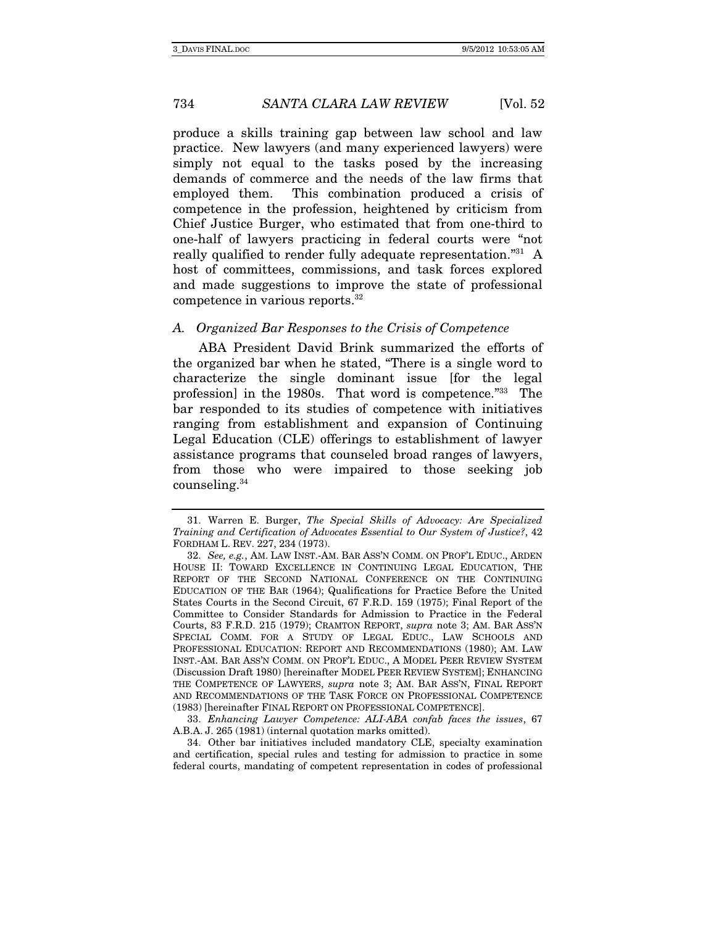produce a skills training gap between law school and law practice. New lawyers (and many experienced lawyers) were simply not equal to the tasks posed by the increasing demands of commerce and the needs of the law firms that employed them. This combination produced a crisis of competence in the profession, heightened by criticism from Chief Justice Burger, who estimated that from one-third to one-half of lawyers practicing in federal courts were "not really qualified to render fully adequate representation."31 A host of committees, commissions, and task forces explored and made suggestions to improve the state of professional competence in various reports.32

### A. Organized Bar Responses to the Crisis of Competence

ABA President David Brink summarized the efforts of the organized bar when he stated, "There is a single word to characterize the single dominant issue [for the legal profession] in the 1980s. That word is competence."33 The bar responded to its studies of competence with initiatives ranging from establishment and expansion of Continuing Legal Education (CLE) offerings to establishment of lawyer assistance programs that counseled broad ranges of lawyers, from those who were impaired to those seeking job counseling.34

 <sup>31.</sup> Warren E. Burger, The Special Skills of Advocacy: Are Specialized Training and Certification of Advocates Essential to Our System of Justice?, 42 FORDHAM L. REV. 227, 234 (1973).

<sup>32.</sup> See, e.g., AM. LAW INST.-AM. BAR ASS'N COMM. ON PROF'L EDUC., ARDEN HOUSE II: TOWARD EXCELLENCE IN CONTINUING LEGAL EDUCATION, THE REPORT OF THE SECOND NATIONAL CONFERENCE ON THE CONTINUING EDUCATION OF THE BAR (1964); Qualifications for Practice Before the United States Courts in the Second Circuit, 67 F.R.D. 159 (1975); Final Report of the Committee to Consider Standards for Admission to Practice in the Federal Courts, 83 F.R.D. 215 (1979); CRAMTON REPORT, supra note 3; AM. BAR ASS'N SPECIAL COMM. FOR A STUDY OF LEGAL EDUC., LAW SCHOOLS AND PROFESSIONAL EDUCATION: REPORT AND RECOMMENDATIONS (1980); AM. LAW INST.-AM. BAR ASS'N COMM. ON PROF'L EDUC., A MODEL PEER REVIEW SYSTEM (Discussion Draft 1980) [hereinafter MODEL PEER REVIEW SYSTEM]; ENHANCING THE COMPETENCE OF LAWYERS, *supra* note 3; AM. BAR ASS'N, FINAL REPORT AND RECOMMENDATIONS OF THE TASK FORCE ON PROFESSIONAL COMPETENCE (1983) [hereinafter FINAL REPORT ON PROFESSIONAL COMPETENCE].

<sup>33.</sup> Enhancing Lawyer Competence: ALI-ABA confab faces the issues, 67 A.B.A. J. 265 (1981) (internal quotation marks omitted).

 <sup>34.</sup> Other bar initiatives included mandatory CLE, specialty examination and certification, special rules and testing for admission to practice in some federal courts, mandating of competent representation in codes of professional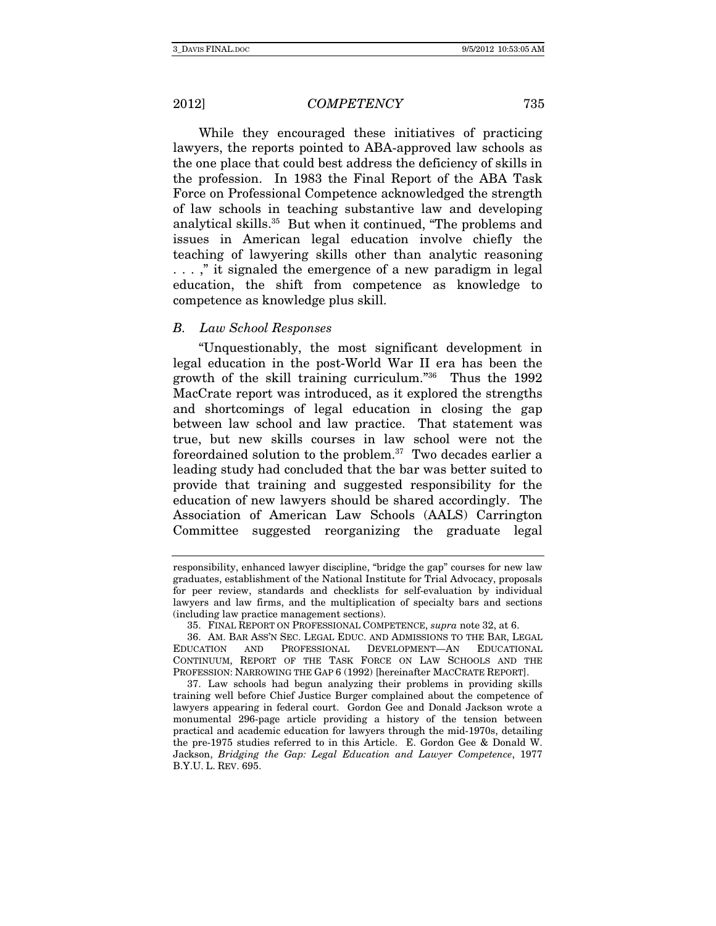While they encouraged these initiatives of practicing lawyers, the reports pointed to ABA-approved law schools as the one place that could best address the deficiency of skills in the profession. In 1983 the Final Report of the ABA Task Force on Professional Competence acknowledged the strength of law schools in teaching substantive law and developing analytical skills.35 But when it continued, "The problems and issues in American legal education involve chiefly the teaching of lawyering skills other than analytic reasoning . . . ," it signaled the emergence of a new paradigm in legal education, the shift from competence as knowledge to competence as knowledge plus skill.

#### B. Law School Responses

"Unquestionably, the most significant development in legal education in the post-World War II era has been the growth of the skill training curriculum."36 Thus the 1992 MacCrate report was introduced, as it explored the strengths and shortcomings of legal education in closing the gap between law school and law practice. That statement was true, but new skills courses in law school were not the foreordained solution to the problem.37 Two decades earlier a leading study had concluded that the bar was better suited to provide that training and suggested responsibility for the education of new lawyers should be shared accordingly. The Association of American Law Schools (AALS) Carrington Committee suggested reorganizing the graduate legal

responsibility, enhanced lawyer discipline, "bridge the gap" courses for new law graduates, establishment of the National Institute for Trial Advocacy, proposals for peer review, standards and checklists for self-evaluation by individual lawyers and law firms, and the multiplication of specialty bars and sections (including law practice management sections).

 <sup>35.</sup> FINAL REPORT ON PROFESSIONAL COMPETENCE, supra note 32, at 6.

<sup>36.</sup> AM. BAR ASS'N SEC. LEGAL EDUC. AND ADMISSIONS TO THE BAR, LEGAL EDUCATION AND PROFESSIONAL DEVELOPMENT—AN EDUCATIONAL AND PROFESSIONAL DEVELOPMENT—AN CONTINUUM, REPORT OF THE TASK FORCE ON LAW SCHOOLS AND THE PROFESSION: NARROWING THE GAP 6 (1992) [hereinafter MACCRATE REPORT].

 <sup>37.</sup> Law schools had begun analyzing their problems in providing skills training well before Chief Justice Burger complained about the competence of lawyers appearing in federal court. Gordon Gee and Donald Jackson wrote a monumental 296-page article providing a history of the tension between practical and academic education for lawyers through the mid-1970s, detailing the pre-1975 studies referred to in this Article. E. Gordon Gee & Donald W. Jackson, Bridging the Gap: Legal Education and Lawyer Competence, 1977 B.Y.U. L. REV. 695.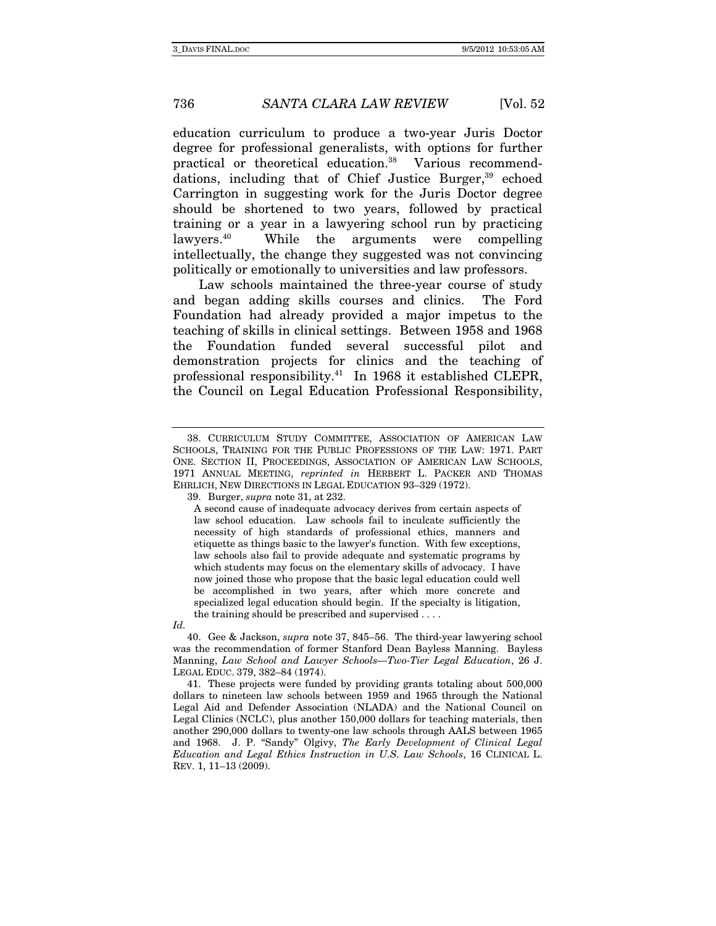education curriculum to produce a two-year Juris Doctor degree for professional generalists, with options for further practical or theoretical education.38 Various recommenddations, including that of Chief Justice Burger,<sup>39</sup> echoed Carrington in suggesting work for the Juris Doctor degree should be shortened to two years, followed by practical training or a year in a lawyering school run by practicing lawyers.40 While the arguments were compelling intellectually, the change they suggested was not convincing politically or emotionally to universities and law professors.

Law schools maintained the three-year course of study and began adding skills courses and clinics. The Ford Foundation had already provided a major impetus to the teaching of skills in clinical settings. Between 1958 and 1968 the Foundation funded several successful pilot and demonstration projects for clinics and the teaching of professional responsibility.41 In 1968 it established CLEPR, the Council on Legal Education Professional Responsibility,

39. Burger, supra note 31, at 232.

Id.

 40. Gee & Jackson, supra note 37, 845–56. The third-year lawyering school was the recommendation of former Stanford Dean Bayless Manning. Bayless Manning, Law School and Lawyer Schools—Two-Tier Legal Education, 26 J. LEGAL EDUC. 379, 382–84 (1974).

 41. These projects were funded by providing grants totaling about 500,000 dollars to nineteen law schools between 1959 and 1965 through the National Legal Aid and Defender Association (NLADA) and the National Council on Legal Clinics (NCLC), plus another 150,000 dollars for teaching materials, then another 290,000 dollars to twenty-one law schools through AALS between 1965 and 1968. J. P. "Sandy" Olgivy, The Early Development of Clinical Legal Education and Legal Ethics Instruction in U.S. Law Schools, 16 CLINICAL L. REV. 1, 11–13 (2009).

 <sup>38.</sup> CURRICULUM STUDY COMMITTEE, ASSOCIATION OF AMERICAN LAW SCHOOLS, TRAINING FOR THE PUBLIC PROFESSIONS OF THE LAW: 1971. PART ONE. SECTION II, PROCEEDINGS, ASSOCIATION OF AMERICAN LAW SCHOOLS, 1971 ANNUAL MEETING, reprinted in HERBERT L. PACKER AND THOMAS EHRLICH, NEW DIRECTIONS IN LEGAL EDUCATION 93–329 (1972).

A second cause of inadequate advocacy derives from certain aspects of law school education. Law schools fail to inculcate sufficiently the necessity of high standards of professional ethics, manners and etiquette as things basic to the lawyer's function. With few exceptions, law schools also fail to provide adequate and systematic programs by which students may focus on the elementary skills of advocacy. I have now joined those who propose that the basic legal education could well be accomplished in two years, after which more concrete and specialized legal education should begin. If the specialty is litigation, the training should be prescribed and supervised . . . .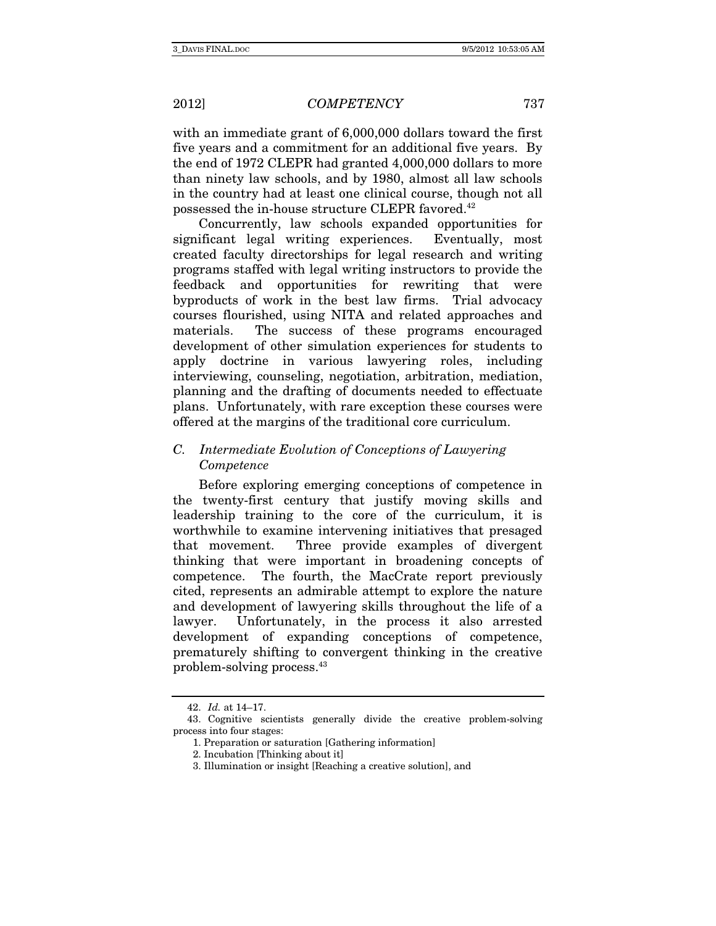with an immediate grant of 6,000,000 dollars toward the first five years and a commitment for an additional five years. By the end of 1972 CLEPR had granted 4,000,000 dollars to more than ninety law schools, and by 1980, almost all law schools in the country had at least one clinical course, though not all possessed the in-house structure CLEPR favored.42

Concurrently, law schools expanded opportunities for significant legal writing experiences. Eventually, most created faculty directorships for legal research and writing programs staffed with legal writing instructors to provide the feedback and opportunities for rewriting that were byproducts of work in the best law firms. Trial advocacy courses flourished, using NITA and related approaches and materials. The success of these programs encouraged development of other simulation experiences for students to apply doctrine in various lawyering roles, including interviewing, counseling, negotiation, arbitration, mediation, planning and the drafting of documents needed to effectuate plans. Unfortunately, with rare exception these courses were offered at the margins of the traditional core curriculum.

### C. Intermediate Evolution of Conceptions of Lawyering Competence

Before exploring emerging conceptions of competence in the twenty-first century that justify moving skills and leadership training to the core of the curriculum, it is worthwhile to examine intervening initiatives that presaged that movement. Three provide examples of divergent thinking that were important in broadening concepts of competence. The fourth, the MacCrate report previously cited, represents an admirable attempt to explore the nature and development of lawyering skills throughout the life of a lawyer. Unfortunately, in the process it also arrested development of expanding conceptions of competence, prematurely shifting to convergent thinking in the creative problem-solving process.43

<sup>42.</sup> Id. at 14–17.

 <sup>43.</sup> Cognitive scientists generally divide the creative problem-solving process into four stages:

<sup>1.</sup> Preparation or saturation [Gathering information]

<sup>2.</sup> Incubation [Thinking about it]

<sup>3.</sup> Illumination or insight [Reaching a creative solution], and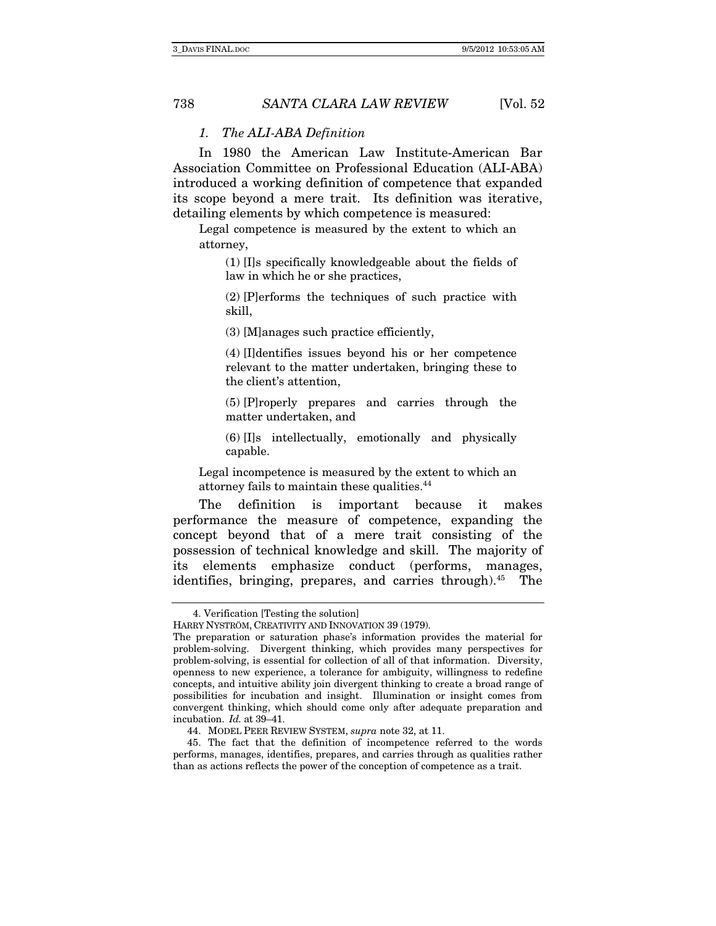#### 1. The ALI-ABA Definition

In 1980 the American Law Institute-American Bar Association Committee on Professional Education (ALI-ABA) introduced a working definition of competence that expanded its scope beyond a mere trait. Its definition was iterative, detailing elements by which competence is measured:

Legal competence is measured by the extent to which an attorney,

(1) [I]s specifically knowledgeable about the fields of law in which he or she practices,

(2) [P]erforms the techniques of such practice with skill,

(3) [M]anages such practice efficiently,

(4) [I]dentifies issues beyond his or her competence relevant to the matter undertaken, bringing these to the client's attention,

(5) [P]roperly prepares and carries through the matter undertaken, and

(6) [I]s intellectually, emotionally and physically capable.

Legal incompetence is measured by the extent to which an attorney fails to maintain these qualities.44

The definition is important because it makes performance the measure of competence, expanding the concept beyond that of a mere trait consisting of the possession of technical knowledge and skill. The majority of its elements emphasize conduct (performs, manages, identifies, bringing, prepares, and carries through).<sup>45</sup> The

<sup>4.</sup> Verification [Testing the solution]

HARRY NYSTRÖM, CREATIVITY AND INNOVATION 39 (1979).

The preparation or saturation phase's information provides the material for problem-solving. Divergent thinking, which provides many perspectives for problem-solving, is essential for collection of all of that information. Diversity, openness to new experience, a tolerance for ambiguity, willingness to redefine concepts, and intuitive ability join divergent thinking to create a broad range of possibilities for incubation and insight. Illumination or insight comes from convergent thinking, which should come only after adequate preparation and incubation. Id. at 39–41.

 <sup>44.</sup> MODEL PEER REVIEW SYSTEM, supra note 32, at 11.

 <sup>45.</sup> The fact that the definition of incompetence referred to the words performs, manages, identifies, prepares, and carries through as qualities rather than as actions reflects the power of the conception of competence as a trait.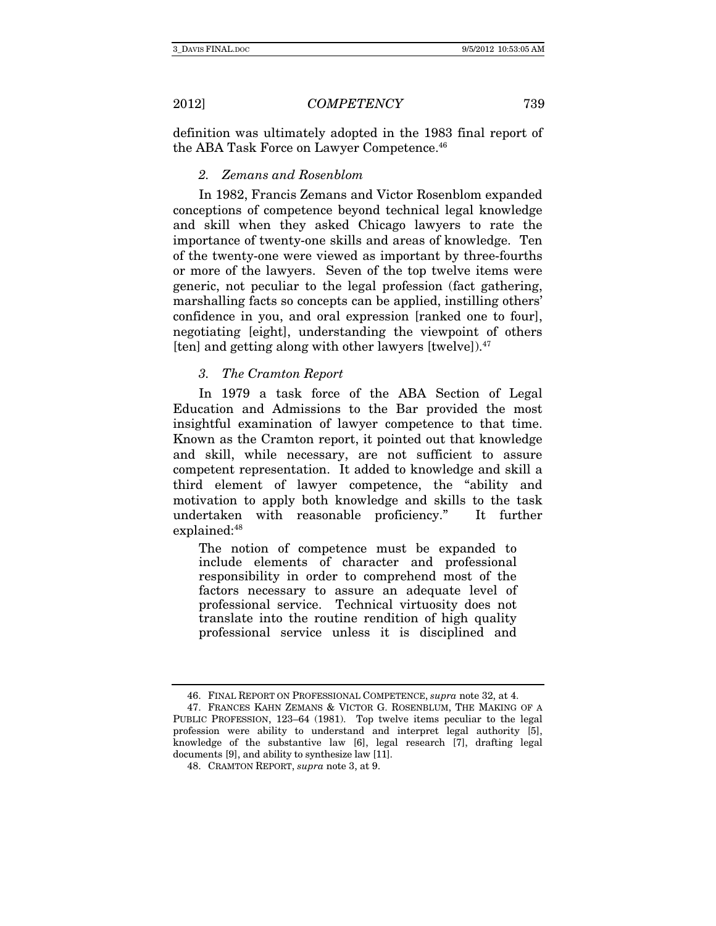definition was ultimately adopted in the 1983 final report of the ABA Task Force on Lawyer Competence.<sup>46</sup>

### 2. Zemans and Rosenblom

In 1982, Francis Zemans and Victor Rosenblom expanded conceptions of competence beyond technical legal knowledge and skill when they asked Chicago lawyers to rate the importance of twenty-one skills and areas of knowledge. Ten of the twenty-one were viewed as important by three-fourths or more of the lawyers. Seven of the top twelve items were generic, not peculiar to the legal profession (fact gathering, marshalling facts so concepts can be applied, instilling others' confidence in you, and oral expression [ranked one to four], negotiating [eight], understanding the viewpoint of others [ten] and getting along with other lawyers [twelve]). $47$ 

#### 3. The Cramton Report

In 1979 a task force of the ABA Section of Legal Education and Admissions to the Bar provided the most insightful examination of lawyer competence to that time. Known as the Cramton report, it pointed out that knowledge and skill, while necessary, are not sufficient to assure competent representation. It added to knowledge and skill a third element of lawyer competence, the "ability and motivation to apply both knowledge and skills to the task undertaken with reasonable proficiency." It further explained:48

The notion of competence must be expanded to include elements of character and professional responsibility in order to comprehend most of the factors necessary to assure an adequate level of professional service. Technical virtuosity does not translate into the routine rendition of high quality professional service unless it is disciplined and

 <sup>46.</sup> FINAL REPORT ON PROFESSIONAL COMPETENCE, supra note 32, at 4.

 <sup>47.</sup> FRANCES KAHN ZEMANS & VICTOR G. ROSENBLUM, THE MAKING OF A PUBLIC PROFESSION, 123–64 (1981). Top twelve items peculiar to the legal profession were ability to understand and interpret legal authority [5], knowledge of the substantive law [6], legal research [7], drafting legal documents [9], and ability to synthesize law [11].

<sup>48.</sup> CRAMTON REPORT, supra note 3, at 9.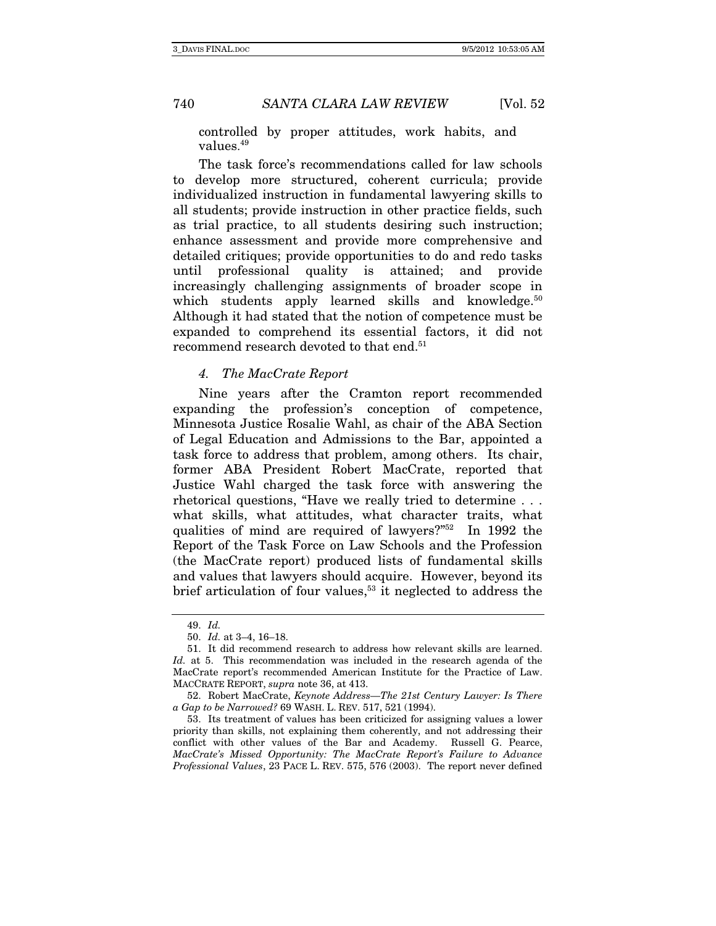controlled by proper attitudes, work habits, and values. 49

The task force's recommendations called for law schools to develop more structured, coherent curricula; provide individualized instruction in fundamental lawyering skills to all students; provide instruction in other practice fields, such as trial practice, to all students desiring such instruction; enhance assessment and provide more comprehensive and detailed critiques; provide opportunities to do and redo tasks until professional quality is attained; and provide increasingly challenging assignments of broader scope in which students apply learned skills and knowledge. $50$ Although it had stated that the notion of competence must be expanded to comprehend its essential factors, it did not recommend research devoted to that end.<sup>51</sup>

#### 4. The MacCrate Report

Nine years after the Cramton report recommended expanding the profession's conception of competence, Minnesota Justice Rosalie Wahl, as chair of the ABA Section of Legal Education and Admissions to the Bar, appointed a task force to address that problem, among others. Its chair, former ABA President Robert MacCrate, reported that Justice Wahl charged the task force with answering the rhetorical questions, "Have we really tried to determine . . . what skills, what attitudes, what character traits, what qualities of mind are required of lawyers?"52 In 1992 the Report of the Task Force on Law Schools and the Profession (the MacCrate report) produced lists of fundamental skills and values that lawyers should acquire. However, beyond its brief articulation of four values,<sup>53</sup> it neglected to address the

<sup>49.</sup> Id.

<sup>50.</sup> Id. at 3–4, 16–18.

 <sup>51.</sup> It did recommend research to address how relevant skills are learned. Id. at 5. This recommendation was included in the research agenda of the MacCrate report's recommended American Institute for the Practice of Law. MACCRATE REPORT, supra note 36, at 413.

 <sup>52.</sup> Robert MacCrate, Keynote Address—The 21st Century Lawyer: Is There a Gap to be Narrowed? 69 WASH. L. REV. 517, 521 (1994).

 <sup>53.</sup> Its treatment of values has been criticized for assigning values a lower priority than skills, not explaining them coherently, and not addressing their conflict with other values of the Bar and Academy. Russell G. Pearce, MacCrate's Missed Opportunity: The MacCrate Report's Failure to Advance Professional Values, 23 PACE L. REV. 575, 576 (2003). The report never defined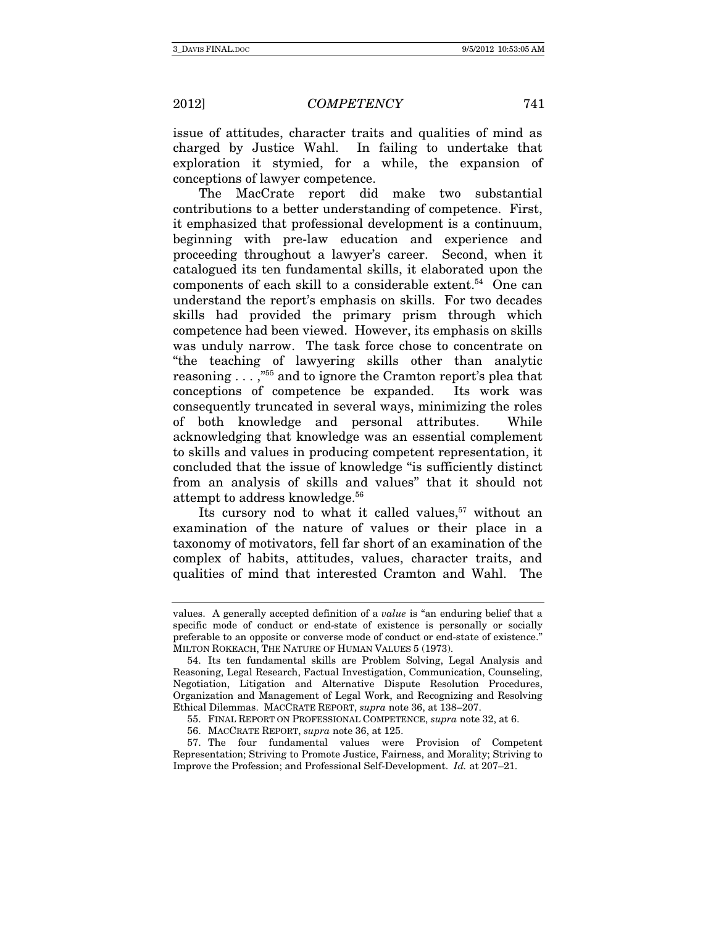issue of attitudes, character traits and qualities of mind as charged by Justice Wahl. In failing to undertake that exploration it stymied, for a while, the expansion of conceptions of lawyer competence.

The MacCrate report did make two substantial contributions to a better understanding of competence. First, it emphasized that professional development is a continuum, beginning with pre-law education and experience and proceeding throughout a lawyer's career. Second, when it catalogued its ten fundamental skills, it elaborated upon the components of each skill to a considerable extent.<sup>54</sup> One can understand the report's emphasis on skills. For two decades skills had provided the primary prism through which competence had been viewed. However, its emphasis on skills was unduly narrow. The task force chose to concentrate on "the teaching of lawyering skills other than analytic reasoning . . . ,"55 and to ignore the Cramton report's plea that conceptions of competence be expanded. Its work was consequently truncated in several ways, minimizing the roles of both knowledge and personal attributes. While acknowledging that knowledge was an essential complement to skills and values in producing competent representation, it concluded that the issue of knowledge "is sufficiently distinct from an analysis of skills and values" that it should not attempt to address knowledge.<sup>56</sup>

Its cursory nod to what it called values, $57$  without an examination of the nature of values or their place in a taxonomy of motivators, fell far short of an examination of the complex of habits, attitudes, values, character traits, and qualities of mind that interested Cramton and Wahl. The

values. A generally accepted definition of a value is "an enduring belief that a specific mode of conduct or end-state of existence is personally or socially preferable to an opposite or converse mode of conduct or end-state of existence." MILTON ROKEACH, THE NATURE OF HUMAN VALUES 5 (1973).

 <sup>54.</sup> Its ten fundamental skills are Problem Solving, Legal Analysis and Reasoning, Legal Research, Factual Investigation, Communication, Counseling, Negotiation, Litigation and Alternative Dispute Resolution Procedures, Organization and Management of Legal Work, and Recognizing and Resolving Ethical Dilemmas. MACCRATE REPORT, supra note 36, at 138–207.

 <sup>55.</sup> FINAL REPORT ON PROFESSIONAL COMPETENCE, supra note 32, at 6.

<sup>56.</sup> MACCRATE REPORT, supra note 36, at 125.

 <sup>57.</sup> The four fundamental values were Provision of Competent Representation; Striving to Promote Justice, Fairness, and Morality; Striving to Improve the Profession; and Professional Self-Development. Id. at 207–21.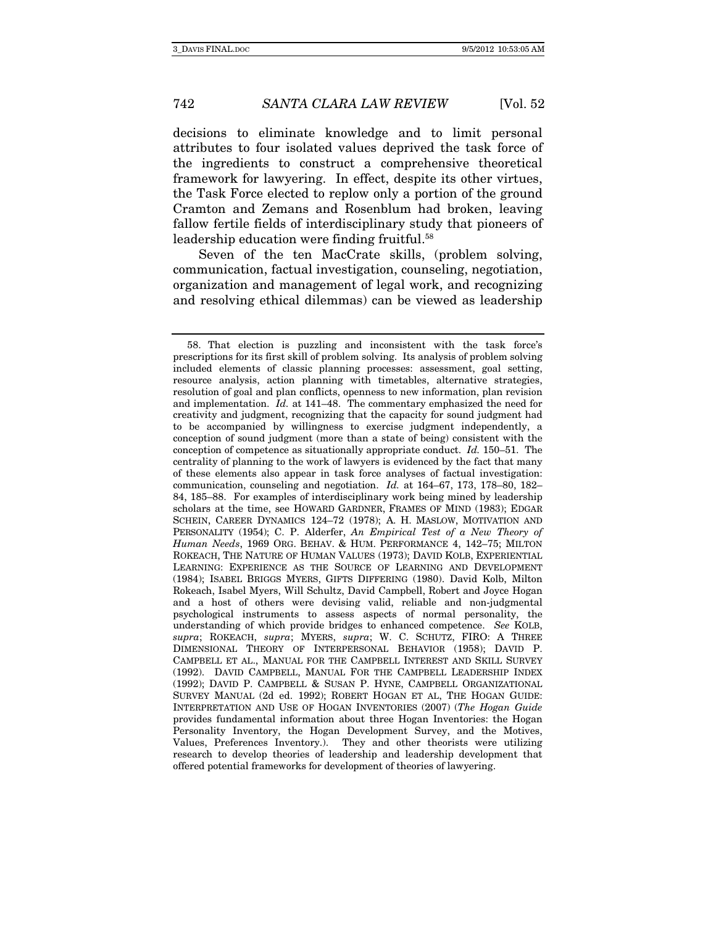decisions to eliminate knowledge and to limit personal attributes to four isolated values deprived the task force of the ingredients to construct a comprehensive theoretical framework for lawyering. In effect, despite its other virtues, the Task Force elected to replow only a portion of the ground Cramton and Zemans and Rosenblum had broken, leaving fallow fertile fields of interdisciplinary study that pioneers of leadership education were finding fruitful.<sup>58</sup>

Seven of the ten MacCrate skills, (problem solving, communication, factual investigation, counseling, negotiation, organization and management of legal work, and recognizing and resolving ethical dilemmas) can be viewed as leadership

 <sup>58.</sup> That election is puzzling and inconsistent with the task force's prescriptions for its first skill of problem solving. Its analysis of problem solving included elements of classic planning processes: assessment, goal setting, resource analysis, action planning with timetables, alternative strategies, resolution of goal and plan conflicts, openness to new information, plan revision and implementation. Id. at 141–48. The commentary emphasized the need for creativity and judgment, recognizing that the capacity for sound judgment had to be accompanied by willingness to exercise judgment independently, a conception of sound judgment (more than a state of being) consistent with the conception of competence as situationally appropriate conduct. Id. 150–51. The centrality of planning to the work of lawyers is evidenced by the fact that many of these elements also appear in task force analyses of factual investigation: communication, counseling and negotiation. Id. at 164–67, 173, 178–80, 182– 84, 185–88. For examples of interdisciplinary work being mined by leadership scholars at the time, see HOWARD GARDNER, FRAMES OF MIND (1983); EDGAR SCHEIN, CAREER DYNAMICS 124–72 (1978); A. H. MASLOW, MOTIVATION AND PERSONALITY (1954); C. P. Alderfer, An Empirical Test of a New Theory of Human Needs, 1969 ORG. BEHAV. & HUM. PERFORMANCE 4, 142–75; MILTON ROKEACH, THE NATURE OF HUMAN VALUES (1973); DAVID KOLB, EXPERIENTIAL LEARNING: EXPERIENCE AS THE SOURCE OF LEARNING AND DEVELOPMENT (1984); ISABEL BRIGGS MYERS, GIFTS DIFFERING (1980). David Kolb, Milton Rokeach, Isabel Myers, Will Schultz, David Campbell, Robert and Joyce Hogan and a host of others were devising valid, reliable and non-judgmental psychological instruments to assess aspects of normal personality, the understanding of which provide bridges to enhanced competence. See KOLB, supra; ROKEACH, supra; MYERS, supra; W. C. SCHUTZ, FIRO: A THREE DIMENSIONAL THEORY OF INTERPERSONAL BEHAVIOR (1958); DAVID P. CAMPBELL ET AL., MANUAL FOR THE CAMPBELL INTEREST AND SKILL SURVEY (1992). DAVID CAMPBELL, MANUAL FOR THE CAMPBELL LEADERSHIP INDEX (1992); DAVID P. CAMPBELL & SUSAN P. HYNE, CAMPBELL ORGANIZATIONAL SURVEY MANUAL (2d ed. 1992); ROBERT HOGAN ET AL, THE HOGAN GUIDE: INTERPRETATION AND USE OF HOGAN INVENTORIES (2007) (The Hogan Guide provides fundamental information about three Hogan Inventories: the Hogan Personality Inventory, the Hogan Development Survey, and the Motives, Values, Preferences Inventory.). They and other theorists were utilizing research to develop theories of leadership and leadership development that offered potential frameworks for development of theories of lawyering.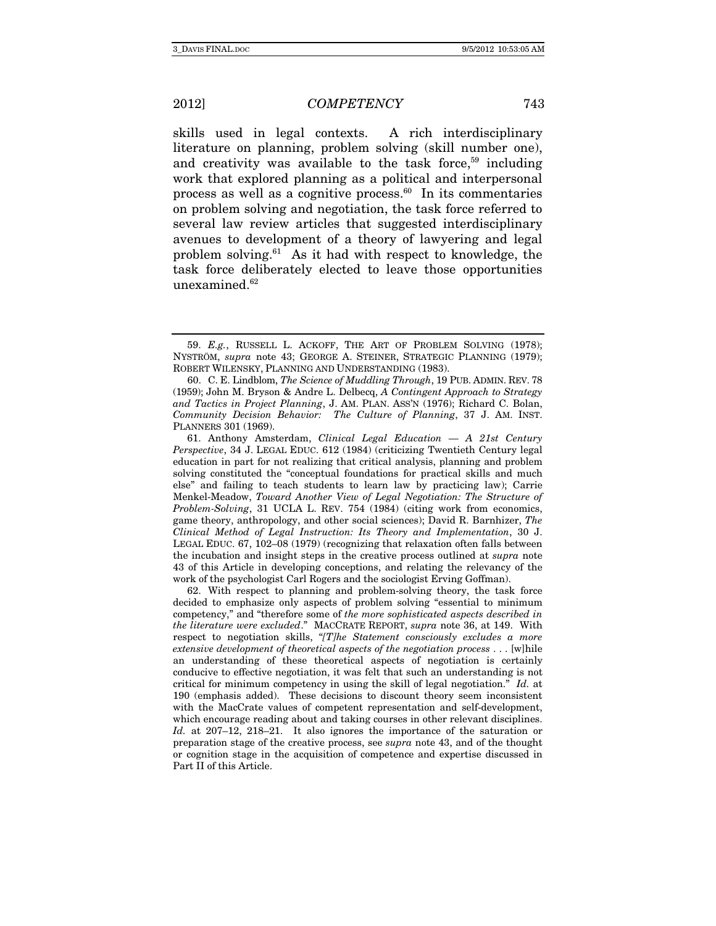skills used in legal contexts. A rich interdisciplinary literature on planning, problem solving (skill number one), and creativity was available to the task force,<sup>59</sup> including work that explored planning as a political and interpersonal process as well as a cognitive process. $60$  In its commentaries on problem solving and negotiation, the task force referred to several law review articles that suggested interdisciplinary avenues to development of a theory of lawyering and legal problem solving. $61$  As it had with respect to knowledge, the task force deliberately elected to leave those opportunities unexamined.<sup>62</sup>

 61. Anthony Amsterdam, Clinical Legal Education — A 21st Century Perspective, 34 J. LEGAL EDUC. 612 (1984) (criticizing Twentieth Century legal education in part for not realizing that critical analysis, planning and problem solving constituted the "conceptual foundations for practical skills and much else" and failing to teach students to learn law by practicing law); Carrie Menkel-Meadow, Toward Another View of Legal Negotiation: The Structure of Problem-Solving, 31 UCLA L. REV. 754 (1984) (citing work from economics, game theory, anthropology, and other social sciences); David R. Barnhizer, The Clinical Method of Legal Instruction: Its Theory and Implementation, 30 J. LEGAL EDUC. 67, 102–08 (1979) (recognizing that relaxation often falls between the incubation and insight steps in the creative process outlined at supra note 43 of this Article in developing conceptions, and relating the relevancy of the work of the psychologist Carl Rogers and the sociologist Erving Goffman).

 62. With respect to planning and problem-solving theory, the task force decided to emphasize only aspects of problem solving "essential to minimum competency," and "therefore some of the more sophisticated aspects described in the literature were excluded." MACCRATE REPORT, supra note 36, at 149. With respect to negotiation skills, "[T]he Statement consciously excludes a more extensive development of theoretical aspects of the negotiation process . . . [w]hile an understanding of these theoretical aspects of negotiation is certainly conducive to effective negotiation, it was felt that such an understanding is not critical for minimum competency in using the skill of legal negotiation." Id. at 190 (emphasis added). These decisions to discount theory seem inconsistent with the MacCrate values of competent representation and self-development, which encourage reading about and taking courses in other relevant disciplines. Id. at 207–12, 218–21. It also ignores the importance of the saturation or preparation stage of the creative process, see supra note 43, and of the thought or cognition stage in the acquisition of competence and expertise discussed in Part II of this Article.

 <sup>59.</sup> E.g., RUSSELL L. ACKOFF, THE ART OF PROBLEM SOLVING (1978); NYSTRÖM, supra note 43; GEORGE A. STEINER, STRATEGIC PLANNING (1979); ROBERT WILENSKY, PLANNING AND UNDERSTANDING (1983).

 <sup>60.</sup> C. E. Lindblom, The Science of Muddling Through, 19 PUB. ADMIN. REV. 78 (1959); John M. Bryson & Andre L. Delbecq, A Contingent Approach to Strategy and Tactics in Project Planning, J. AM. PLAN. ASS'N (1976); Richard C. Bolan, Community Decision Behavior: The Culture of Planning, 37 J. AM. INST. PLANNERS 301 (1969).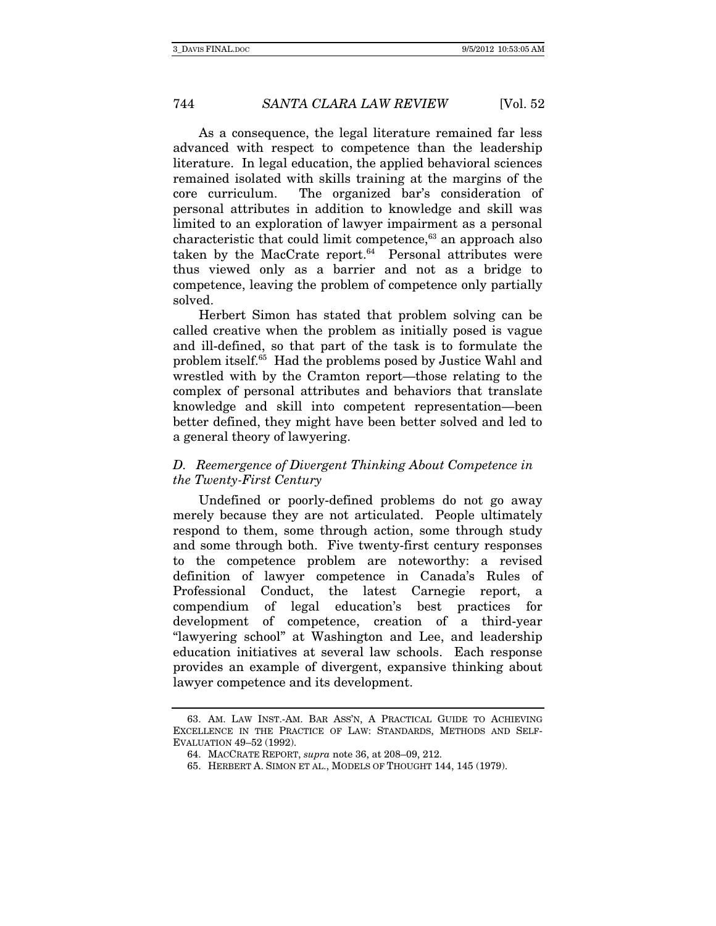As a consequence, the legal literature remained far less advanced with respect to competence than the leadership literature. In legal education, the applied behavioral sciences remained isolated with skills training at the margins of the core curriculum. The organized bar's consideration of personal attributes in addition to knowledge and skill was limited to an exploration of lawyer impairment as a personal characteristic that could limit competence, $63$  an approach also taken by the MacCrate report. $64$  Personal attributes were thus viewed only as a barrier and not as a bridge to competence, leaving the problem of competence only partially solved.

Herbert Simon has stated that problem solving can be called creative when the problem as initially posed is vague and ill-defined, so that part of the task is to formulate the problem itself.65 Had the problems posed by Justice Wahl and wrestled with by the Cramton report—those relating to the complex of personal attributes and behaviors that translate knowledge and skill into competent representation—been better defined, they might have been better solved and led to a general theory of lawyering.

### D. Reemergence of Divergent Thinking About Competence in the Twenty-First Century

Undefined or poorly-defined problems do not go away merely because they are not articulated. People ultimately respond to them, some through action, some through study and some through both. Five twenty-first century responses to the competence problem are noteworthy: a revised definition of lawyer competence in Canada's Rules of Professional Conduct, the latest Carnegie report, a compendium of legal education's best practices for development of competence, creation of a third-year "lawyering school" at Washington and Lee, and leadership education initiatives at several law schools. Each response provides an example of divergent, expansive thinking about lawyer competence and its development.

 <sup>63.</sup> AM. LAW INST.-AM. BAR ASS'N, A PRACTICAL GUIDE TO ACHIEVING EXCELLENCE IN THE PRACTICE OF LAW: STANDARDS, METHODS AND SELF-EVALUATION 49–52 (1992).

<sup>64.</sup> MACCRATE REPORT, supra note 36, at 208–09, 212.

 <sup>65.</sup> HERBERT A. SIMON ET AL., MODELS OF THOUGHT 144, 145 (1979).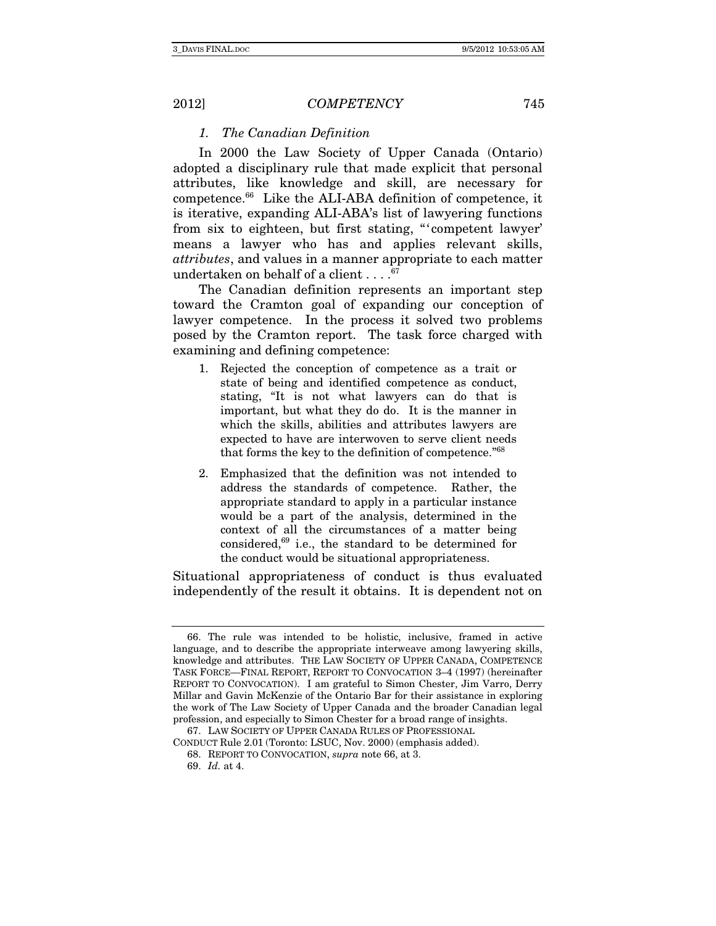#### 1. The Canadian Definition

In 2000 the Law Society of Upper Canada (Ontario) adopted a disciplinary rule that made explicit that personal attributes, like knowledge and skill, are necessary for competence.66 Like the ALI-ABA definition of competence, it is iterative, expanding ALI-ABA's list of lawyering functions from six to eighteen, but first stating, "'competent lawyer' means a lawyer who has and applies relevant skills, attributes, and values in a manner appropriate to each matter undertaken on behalf of a client . . . .  $^{67}$ 

The Canadian definition represents an important step toward the Cramton goal of expanding our conception of lawyer competence. In the process it solved two problems posed by the Cramton report. The task force charged with examining and defining competence:

- 1. Rejected the conception of competence as a trait or state of being and identified competence as conduct, stating, "It is not what lawyers can do that is important, but what they do do. It is the manner in which the skills, abilities and attributes lawyers are expected to have are interwoven to serve client needs that forms the key to the definition of competence."68
- 2. Emphasized that the definition was not intended to address the standards of competence. Rather, the appropriate standard to apply in a particular instance would be a part of the analysis, determined in the context of all the circumstances of a matter being considered,69 i.e., the standard to be determined for the conduct would be situational appropriateness.

Situational appropriateness of conduct is thus evaluated independently of the result it obtains. It is dependent not on

 <sup>66.</sup> The rule was intended to be holistic, inclusive, framed in active language, and to describe the appropriate interweave among lawyering skills, knowledge and attributes. THE LAW SOCIETY OF UPPER CANADA, COMPETENCE TASK FORCE—FINAL REPORT, REPORT TO CONVOCATION 3–4 (1997) (hereinafter REPORT TO CONVOCATION). I am grateful to Simon Chester, Jim Varro, Derry Millar and Gavin McKenzie of the Ontario Bar for their assistance in exploring the work of The Law Society of Upper Canada and the broader Canadian legal profession, and especially to Simon Chester for a broad range of insights.

 <sup>67.</sup> LAW SOCIETY OF UPPER CANADA RULES OF PROFESSIONAL

CONDUCT Rule 2.01 (Toronto: LSUC, Nov. 2000) (emphasis added).

 <sup>68.</sup> REPORT TO CONVOCATION, supra note 66, at 3.

<sup>69.</sup> Id. at 4.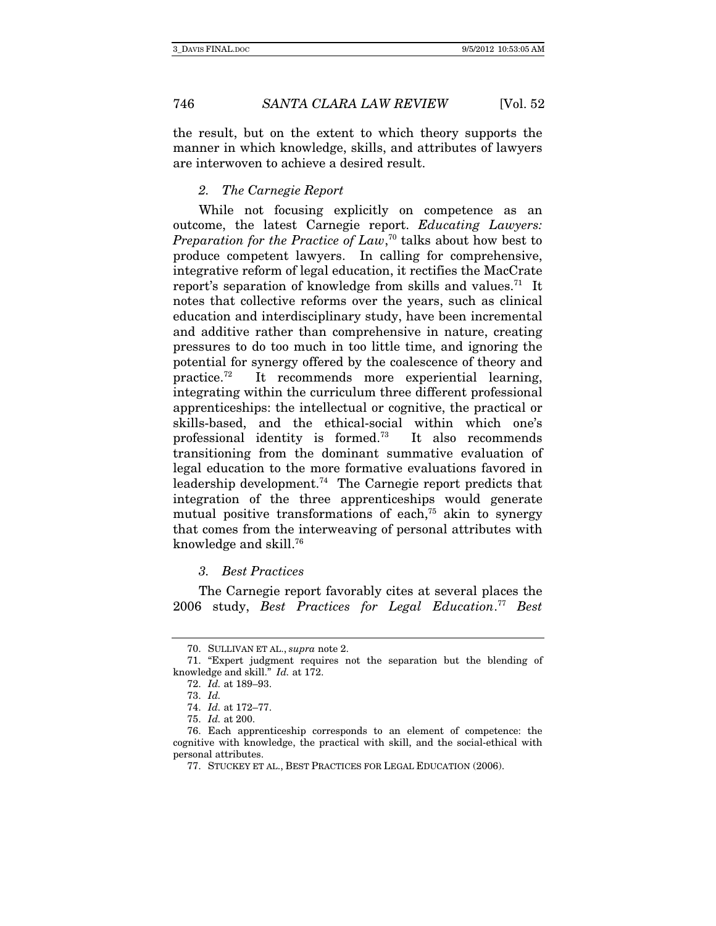the result, but on the extent to which theory supports the manner in which knowledge, skills, and attributes of lawyers are interwoven to achieve a desired result.

#### 2. The Carnegie Report

While not focusing explicitly on competence as an outcome, the latest Carnegie report. Educating Lawyers: Preparation for the Practice of  $Law$ ,<sup>70</sup> talks about how best to produce competent lawyers. In calling for comprehensive, integrative reform of legal education, it rectifies the MacCrate report's separation of knowledge from skills and values.<sup>71</sup> It notes that collective reforms over the years, such as clinical education and interdisciplinary study, have been incremental and additive rather than comprehensive in nature, creating pressures to do too much in too little time, and ignoring the potential for synergy offered by the coalescence of theory and practice.72 It recommends more experiential learning, integrating within the curriculum three different professional apprenticeships: the intellectual or cognitive, the practical or skills-based, and the ethical-social within which one's professional identity is formed.73 It also recommends transitioning from the dominant summative evaluation of legal education to the more formative evaluations favored in leadership development.74 The Carnegie report predicts that integration of the three apprenticeships would generate mutual positive transformations of each, $75$  akin to synergy that comes from the interweaving of personal attributes with knowledge and skill.76

#### 3. Best Practices

The Carnegie report favorably cites at several places the 2006 study, Best Practices for Legal Education. <sup>77</sup> Best

 <sup>70.</sup> SULLIVAN ET AL., supra note 2.

 <sup>71. &</sup>quot;Expert judgment requires not the separation but the blending of knowledge and skill." Id. at 172.

<sup>72.</sup> Id. at 189–93.

<sup>73.</sup> Id.

<sup>74.</sup> Id. at 172–77.

<sup>75.</sup> Id. at 200.

 <sup>76.</sup> Each apprenticeship corresponds to an element of competence: the cognitive with knowledge, the practical with skill, and the social-ethical with personal attributes.

 <sup>77.</sup> STUCKEY ET AL., BEST PRACTICES FOR LEGAL EDUCATION (2006).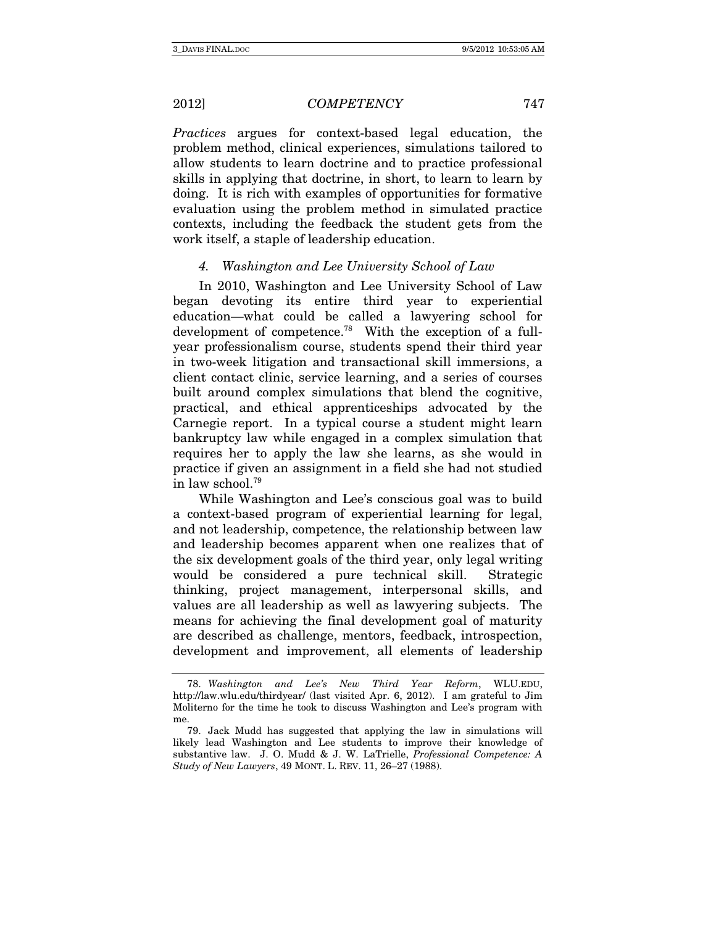Practices argues for context-based legal education, the problem method, clinical experiences, simulations tailored to allow students to learn doctrine and to practice professional skills in applying that doctrine, in short, to learn to learn by doing. It is rich with examples of opportunities for formative evaluation using the problem method in simulated practice contexts, including the feedback the student gets from the work itself, a staple of leadership education.

#### 4. Washington and Lee University School of Law

In 2010, Washington and Lee University School of Law began devoting its entire third year to experiential education—what could be called a lawyering school for development of competence.78 With the exception of a fullyear professionalism course, students spend their third year in two-week litigation and transactional skill immersions, a client contact clinic, service learning, and a series of courses built around complex simulations that blend the cognitive, practical, and ethical apprenticeships advocated by the Carnegie report. In a typical course a student might learn bankruptcy law while engaged in a complex simulation that requires her to apply the law she learns, as she would in practice if given an assignment in a field she had not studied in law school.79

While Washington and Lee's conscious goal was to build a context-based program of experiential learning for legal, and not leadership, competence, the relationship between law and leadership becomes apparent when one realizes that of the six development goals of the third year, only legal writing would be considered a pure technical skill. Strategic thinking, project management, interpersonal skills, and values are all leadership as well as lawyering subjects. The means for achieving the final development goal of maturity are described as challenge, mentors, feedback, introspection, development and improvement, all elements of leadership

 <sup>78.</sup> Washington and Lee's New Third Year Reform, WLU.EDU, http://law.wlu.edu/thirdyear/ (last visited Apr. 6, 2012). I am grateful to Jim Moliterno for the time he took to discuss Washington and Lee's program with me.

 <sup>79.</sup> Jack Mudd has suggested that applying the law in simulations will likely lead Washington and Lee students to improve their knowledge of substantive law. J. O. Mudd & J. W. LaTrielle, Professional Competence: A Study of New Lawyers, 49 MONT. L. REV. 11, 26–27 (1988).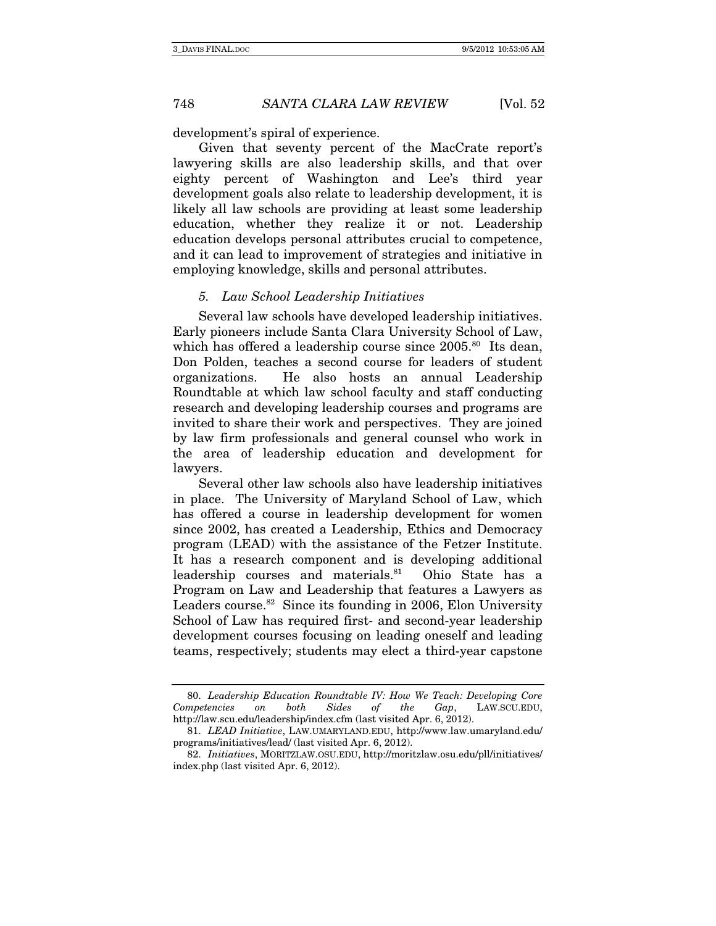development's spiral of experience.

Given that seventy percent of the MacCrate report's lawyering skills are also leadership skills, and that over eighty percent of Washington and Lee's third year development goals also relate to leadership development, it is likely all law schools are providing at least some leadership education, whether they realize it or not. Leadership education develops personal attributes crucial to competence, and it can lead to improvement of strategies and initiative in employing knowledge, skills and personal attributes.

#### 5. Law School Leadership Initiatives

Several law schools have developed leadership initiatives. Early pioneers include Santa Clara University School of Law, which has offered a leadership course since 2005.<sup>80</sup> Its dean, Don Polden, teaches a second course for leaders of student organizations. He also hosts an annual Leadership Roundtable at which law school faculty and staff conducting research and developing leadership courses and programs are invited to share their work and perspectives. They are joined by law firm professionals and general counsel who work in the area of leadership education and development for lawyers.

Several other law schools also have leadership initiatives in place. The University of Maryland School of Law, which has offered a course in leadership development for women since 2002, has created a Leadership, Ethics and Democracy program (LEAD) with the assistance of the Fetzer Institute. It has a research component and is developing additional leadership courses and materials.<sup>81</sup> Ohio State has a Program on Law and Leadership that features a Lawyers as Leaders course.<sup>82</sup> Since its founding in 2006, Elon University School of Law has required first- and second-year leadership development courses focusing on leading oneself and leading teams, respectively; students may elect a third-year capstone

 <sup>80.</sup> Leadership Education Roundtable IV: How We Teach: Developing Core Competencies on both Sides of the Gap, LAW.SCU.EDU, http://law.scu.edu/leadership/index.cfm (last visited Apr. 6, 2012).

 <sup>81.</sup> LEAD Initiative, LAW.UMARYLAND.EDU, http://www.law.umaryland.edu/ programs/initiatives/lead/ (last visited Apr. 6, 2012).

 <sup>82.</sup> Initiatives, MORITZLAW.OSU.EDU, http://moritzlaw.osu.edu/pll/initiatives/ index.php (last visited Apr. 6, 2012).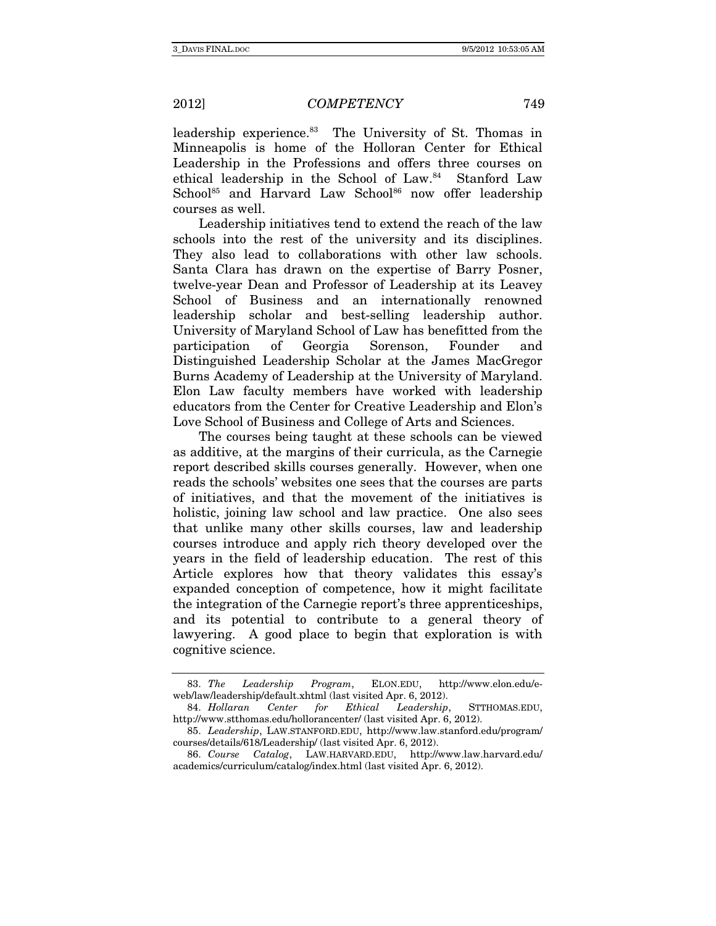leadership experience.<sup>83</sup> The University of St. Thomas in Minneapolis is home of the Holloran Center for Ethical Leadership in the Professions and offers three courses on ethical leadership in the School of Law.<sup>84</sup> Stanford Law School<sup>85</sup> and Harvard Law School<sup>86</sup> now offer leadership courses as well.

Leadership initiatives tend to extend the reach of the law schools into the rest of the university and its disciplines. They also lead to collaborations with other law schools. Santa Clara has drawn on the expertise of Barry Posner, twelve-year Dean and Professor of Leadership at its Leavey School of Business and an internationally renowned leadership scholar and best-selling leadership author. University of Maryland School of Law has benefitted from the participation of Georgia Sorenson, Founder and Distinguished Leadership Scholar at the James MacGregor Burns Academy of Leadership at the University of Maryland. Elon Law faculty members have worked with leadership educators from the Center for Creative Leadership and Elon's Love School of Business and College of Arts and Sciences.

The courses being taught at these schools can be viewed as additive, at the margins of their curricula, as the Carnegie report described skills courses generally. However, when one reads the schools' websites one sees that the courses are parts of initiatives, and that the movement of the initiatives is holistic, joining law school and law practice. One also sees that unlike many other skills courses, law and leadership courses introduce and apply rich theory developed over the years in the field of leadership education. The rest of this Article explores how that theory validates this essay's expanded conception of competence, how it might facilitate the integration of the Carnegie report's three apprenticeships, and its potential to contribute to a general theory of lawyering. A good place to begin that exploration is with cognitive science.

 <sup>83.</sup> The Leadership Program, ELON.EDU, http://www.elon.edu/eweb/law/leadership/default.xhtml (last visited Apr. 6, 2012).

 <sup>84.</sup> Hollaran Center for Ethical Leadership, STTHOMAS.EDU, http://www.stthomas.edu/hollorancenter/ (last visited Apr. 6, 2012).

 <sup>85.</sup> Leadership, LAW.STANFORD.EDU, http://www.law.stanford.edu/program/ courses/details/618/Leadership/ (last visited Apr. 6, 2012).

 <sup>86.</sup> Course Catalog, LAW.HARVARD.EDU, http://www.law.harvard.edu/ academics/curriculum/catalog/index.html (last visited Apr. 6, 2012).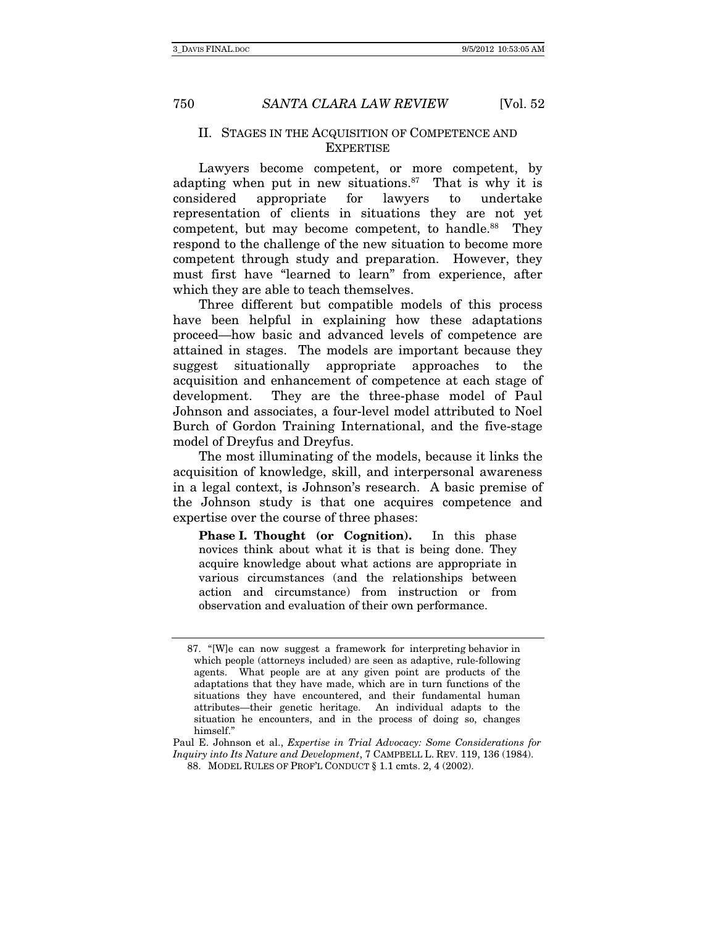#### II. STAGES IN THE ACQUISITION OF COMPETENCE AND EXPERTISE

Lawyers become competent, or more competent, by adapting when put in new situations.<sup>87</sup> That is why it is considered appropriate for lawyers to undertake representation of clients in situations they are not yet competent, but may become competent, to handle.<sup>88</sup> They respond to the challenge of the new situation to become more competent through study and preparation. However, they must first have "learned to learn" from experience, after which they are able to teach themselves.

Three different but compatible models of this process have been helpful in explaining how these adaptations proceed—how basic and advanced levels of competence are attained in stages. The models are important because they suggest situationally appropriate approaches to the acquisition and enhancement of competence at each stage of development. They are the three-phase model of Paul Johnson and associates, a four-level model attributed to Noel Burch of Gordon Training International, and the five-stage model of Dreyfus and Dreyfus.

The most illuminating of the models, because it links the acquisition of knowledge, skill, and interpersonal awareness in a legal context, is Johnson's research. A basic premise of the Johnson study is that one acquires competence and expertise over the course of three phases:

**Phase I. Thought (or Cognition).** In this phase novices think about what it is that is being done. They acquire knowledge about what actions are appropriate in various circumstances (and the relationships between action and circumstance) from instruction or from observation and evaluation of their own performance.

 <sup>87. &</sup>quot;[W]e can now suggest a framework for interpreting behavior in which people (attorneys included) are seen as adaptive, rule-following agents. What people are at any given point are products of the adaptations that they have made, which are in turn functions of the situations they have encountered, and their fundamental human attributes—their genetic heritage. An individual adapts to the situation he encounters, and in the process of doing so, changes himself."

Paul E. Johnson et al., Expertise in Trial Advocacy: Some Considerations for Inquiry into Its Nature and Development, 7 CAMPBELL L. REV. 119, 136 (1984). 88. MODEL RULES OF PROF'L CONDUCT § 1.1 cmts. 2, 4 (2002).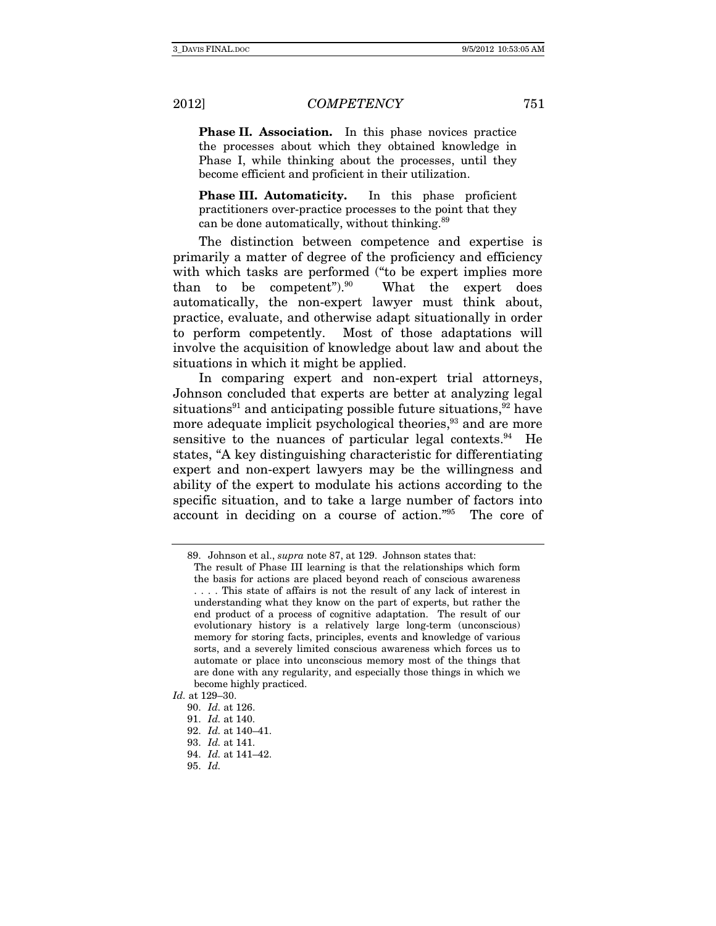**Phase II. Association.** In this phase novices practice the processes about which they obtained knowledge in Phase I, while thinking about the processes, until they become efficient and proficient in their utilization.

**Phase III. Automaticity.** In this phase proficient practitioners over-practice processes to the point that they can be done automatically, without thinking.<sup>89</sup>

The distinction between competence and expertise is primarily a matter of degree of the proficiency and efficiency with which tasks are performed ("to be expert implies more than to be competent" $)$ .<sup>90</sup> What the expert does automatically, the non-expert lawyer must think about, practice, evaluate, and otherwise adapt situationally in order to perform competently. Most of those adaptations will involve the acquisition of knowledge about law and about the situations in which it might be applied.

In comparing expert and non-expert trial attorneys, Johnson concluded that experts are better at analyzing legal situations<sup>91</sup> and anticipating possible future situations,  $92$  have more adequate implicit psychological theories,<sup>93</sup> and are more sensitive to the nuances of particular legal contexts. $94$  He states, "A key distinguishing characteristic for differentiating expert and non-expert lawyers may be the willingness and ability of the expert to modulate his actions according to the specific situation, and to take a large number of factors into account in deciding on a course of action."95 The core of

 <sup>89.</sup> Johnson et al., supra note 87, at 129. Johnson states that:

The result of Phase III learning is that the relationships which form the basis for actions are placed beyond reach of conscious awareness . . . . This state of affairs is not the result of any lack of interest in understanding what they know on the part of experts, but rather the end product of a process of cognitive adaptation. The result of our evolutionary history is a relatively large long-term (unconscious) memory for storing facts, principles, events and knowledge of various sorts, and a severely limited conscious awareness which forces us to automate or place into unconscious memory most of the things that are done with any regularity, and especially those things in which we become highly practiced.

Id. at 129–30.

<sup>90.</sup> Id. at 126.

<sup>91.</sup> Id. at 140.

<sup>92.</sup> Id. at 140–41.

<sup>93.</sup> Id. at 141.

<sup>94.</sup> Id. at 141–42.

<sup>95.</sup> Id.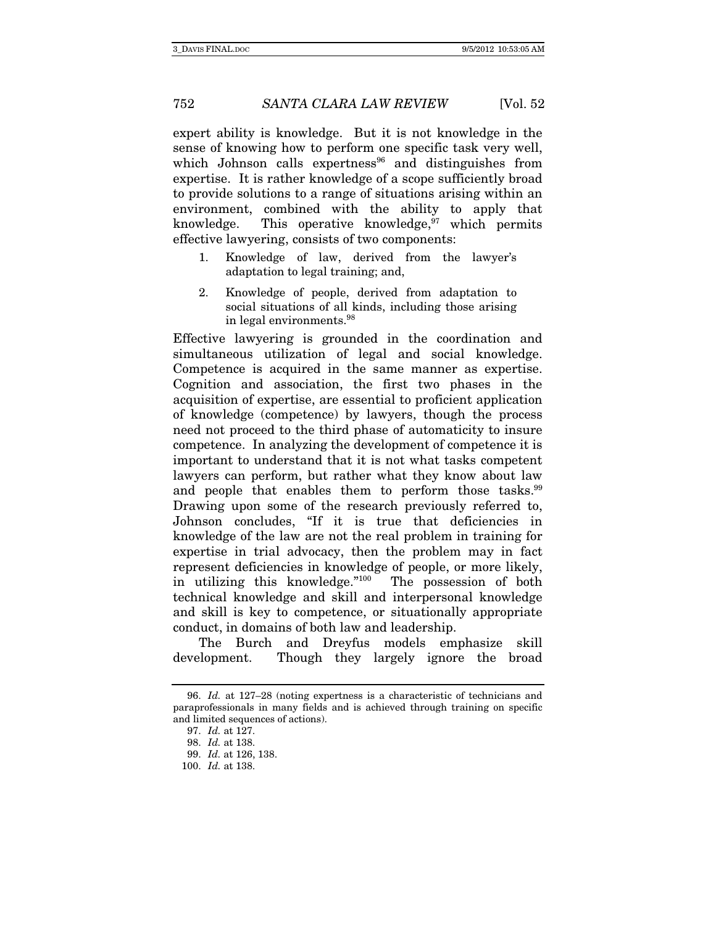expert ability is knowledge. But it is not knowledge in the sense of knowing how to perform one specific task very well, which Johnson calls expertness $96$  and distinguishes from expertise. It is rather knowledge of a scope sufficiently broad to provide solutions to a range of situations arising within an environment, combined with the ability to apply that knowledge. This operative knowledge,  $97$  which permits effective lawyering, consists of two components:

- 1. Knowledge of law, derived from the lawyer's adaptation to legal training; and,
- 2. Knowledge of people, derived from adaptation to social situations of all kinds, including those arising in legal environments.98

Effective lawyering is grounded in the coordination and simultaneous utilization of legal and social knowledge. Competence is acquired in the same manner as expertise. Cognition and association, the first two phases in the acquisition of expertise, are essential to proficient application of knowledge (competence) by lawyers, though the process need not proceed to the third phase of automaticity to insure competence. In analyzing the development of competence it is important to understand that it is not what tasks competent lawyers can perform, but rather what they know about law and people that enables them to perform those tasks.<sup>99</sup> Drawing upon some of the research previously referred to, Johnson concludes, "If it is true that deficiencies in knowledge of the law are not the real problem in training for expertise in trial advocacy, then the problem may in fact represent deficiencies in knowledge of people, or more likely, in utilizing this knowledge."100 The possession of both technical knowledge and skill and interpersonal knowledge and skill is key to competence, or situationally appropriate conduct, in domains of both law and leadership.

The Burch and Dreyfus models emphasize skill development. Though they largely ignore the broad

<sup>96.</sup> Id. at 127–28 (noting expertness is a characteristic of technicians and paraprofessionals in many fields and is achieved through training on specific and limited sequences of actions).

<sup>97.</sup> Id. at 127.

<sup>98.</sup> Id. at 138.

<sup>99.</sup> Id. at 126, 138.

<sup>100.</sup> Id. at 138.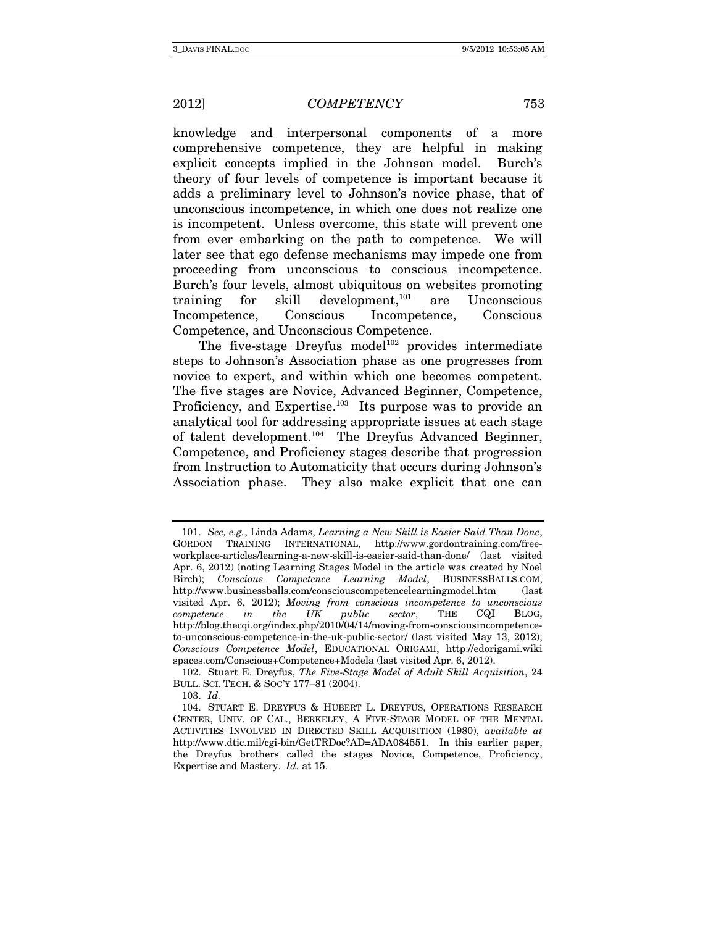knowledge and interpersonal components of a more comprehensive competence, they are helpful in making explicit concepts implied in the Johnson model. Burch's theory of four levels of competence is important because it adds a preliminary level to Johnson's novice phase, that of unconscious incompetence, in which one does not realize one is incompetent. Unless overcome, this state will prevent one from ever embarking on the path to competence. We will later see that ego defense mechanisms may impede one from proceeding from unconscious to conscious incompetence. Burch's four levels, almost ubiquitous on websites promoting training for skill development, $101$  are Unconscious Incompetence, Conscious Incompetence, Conscious Competence, and Unconscious Competence.

The five-stage Dreyfus model<sup>102</sup> provides intermediate steps to Johnson's Association phase as one progresses from novice to expert, and within which one becomes competent. The five stages are Novice, Advanced Beginner, Competence, Proficiency, and Expertise.<sup>103</sup> Its purpose was to provide an analytical tool for addressing appropriate issues at each stage of talent development.104 The Dreyfus Advanced Beginner, Competence, and Proficiency stages describe that progression from Instruction to Automaticity that occurs during Johnson's Association phase. They also make explicit that one can

 <sup>101.</sup> See, e.g., Linda Adams, Learning a New Skill is Easier Said Than Done, GORDON TRAINING INTERNATIONAL, http://www.gordontraining.com/freeworkplace-articles/learning-a-new-skill-is-easier-said-than-done/ (last visited Apr. 6, 2012) (noting Learning Stages Model in the article was created by Noel Birch); Conscious Competence Learning Model, BUSINESSBALLS.COM, http://www.businessballs.com/consciouscompetencelearningmodel.htm (last visited Apr. 6, 2012); Moving from conscious incompetence to unconscious competence in the UK public sector, THE CQI BLOG, http://blog.thecqi.org/index.php/2010/04/14/moving-from-consciousincompetenceto-unconscious-competence-in-the-uk-public-sector/ (last visited May 13, 2012); Conscious Competence Model, EDUCATIONAL ORIGAMI, http://edorigami.wiki spaces.com/Conscious+Competence+Modela (last visited Apr. 6, 2012).

 <sup>102.</sup> Stuart E. Dreyfus, The Five-Stage Model of Adult Skill Acquisition, 24 BULL. SCI. TECH. & SOC'Y 177–81 (2004).

<sup>103.</sup> Id.

 <sup>104.</sup> STUART E. DREYFUS & HUBERT L. DREYFUS, OPERATIONS RESEARCH CENTER, UNIV. OF CAL., BERKELEY, A FIVE-STAGE MODEL OF THE MENTAL ACTIVITIES INVOLVED IN DIRECTED SKILL ACQUISITION (1980), available at http://www.dtic.mil/cgi-bin/GetTRDoc?AD=ADA084551. In this earlier paper, the Dreyfus brothers called the stages Novice, Competence, Proficiency, Expertise and Mastery. Id. at 15.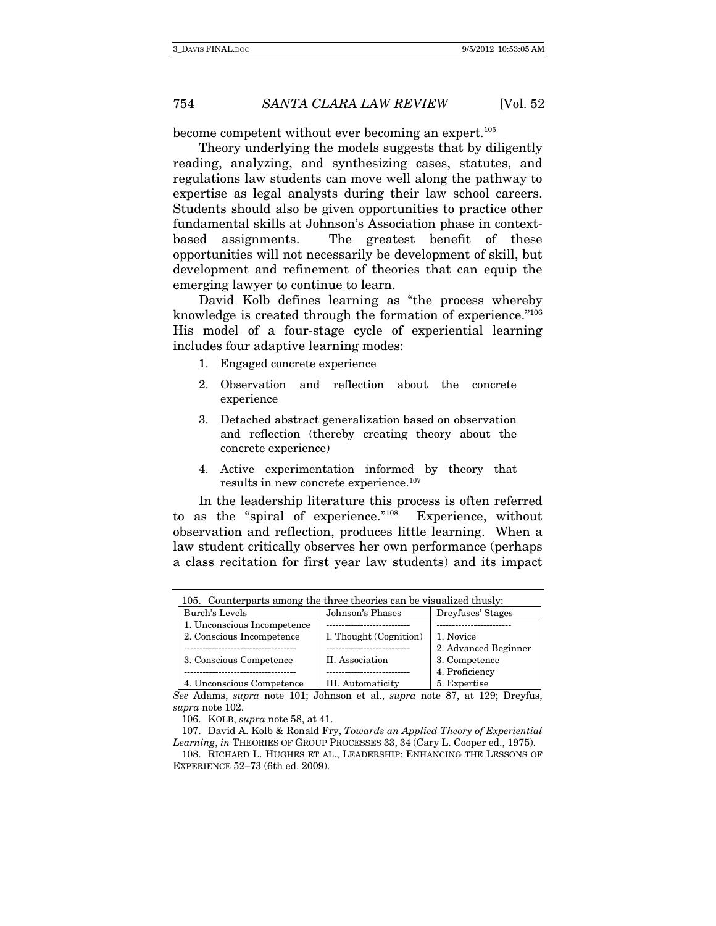become competent without ever becoming an expert.<sup>105</sup>

Theory underlying the models suggests that by diligently reading, analyzing, and synthesizing cases, statutes, and regulations law students can move well along the pathway to expertise as legal analysts during their law school careers. Students should also be given opportunities to practice other fundamental skills at Johnson's Association phase in contextbased assignments. The greatest benefit of these opportunities will not necessarily be development of skill, but development and refinement of theories that can equip the emerging lawyer to continue to learn.

David Kolb defines learning as "the process whereby knowledge is created through the formation of experience."106 His model of a four-stage cycle of experiential learning includes four adaptive learning modes:

- 1. Engaged concrete experience
- 2. Observation and reflection about the concrete experience
- 3. Detached abstract generalization based on observation and reflection (thereby creating theory about the concrete experience)
- 4. Active experimentation informed by theory that results in new concrete experience.107

In the leadership literature this process is often referred to as the "spiral of experience."108 Experience, without observation and reflection, produces little learning. When a law student critically observes her own performance (perhaps a class recitation for first year law students) and its impact

| 105. Counterparts among the three theories can be visualized thus ly: |                        |                      |  |  |
|-----------------------------------------------------------------------|------------------------|----------------------|--|--|
| Burch's Levels                                                        | Johnson's Phases       | Dreyfuses' Stages    |  |  |
| 1. Unconscious Incompetence                                           |                        |                      |  |  |
| 2. Conscious Incompetence                                             | I. Thought (Cognition) | 1. Novice            |  |  |
|                                                                       |                        | 2. Advanced Beginner |  |  |
| 3. Conscious Competence                                               | II. Association        | 3. Competence        |  |  |
|                                                                       |                        | 4. Proficiency       |  |  |
| 4. Unconscious Competence                                             | III. Automaticity      | 5. Expertise         |  |  |

See Adams, supra note 101; Johnson et al., supra note 87, at 129; Dreyfus, supra note 102.

106. KOLB, supra note 58, at 41.

 107. David A. Kolb & Ronald Fry, Towards an Applied Theory of Experiential Learning, in THEORIES OF GROUP PROCESSES 33, 34 (Cary L. Cooper ed., 1975).

 108. RICHARD L. HUGHES ET AL., LEADERSHIP: ENHANCING THE LESSONS OF EXPERIENCE 52–73 (6th ed. 2009).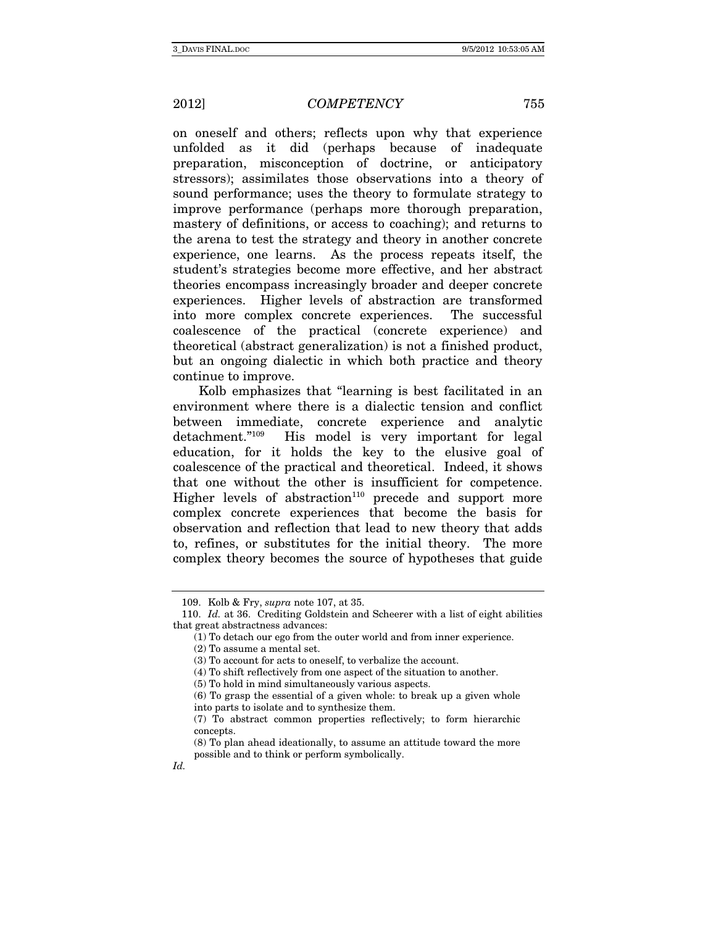on oneself and others; reflects upon why that experience unfolded as it did (perhaps because of inadequate preparation, misconception of doctrine, or anticipatory stressors); assimilates those observations into a theory of sound performance; uses the theory to formulate strategy to improve performance (perhaps more thorough preparation, mastery of definitions, or access to coaching); and returns to the arena to test the strategy and theory in another concrete experience, one learns. As the process repeats itself, the student's strategies become more effective, and her abstract theories encompass increasingly broader and deeper concrete experiences. Higher levels of abstraction are transformed into more complex concrete experiences. The successful coalescence of the practical (concrete experience) and theoretical (abstract generalization) is not a finished product, but an ongoing dialectic in which both practice and theory continue to improve.

Kolb emphasizes that "learning is best facilitated in an environment where there is a dialectic tension and conflict between immediate, concrete experience and analytic detachment."109 His model is very important for legal education, for it holds the key to the elusive goal of coalescence of the practical and theoretical. Indeed, it shows that one without the other is insufficient for competence. Higher levels of abstraction<sup>110</sup> precede and support more complex concrete experiences that become the basis for observation and reflection that lead to new theory that adds to, refines, or substitutes for the initial theory. The more complex theory becomes the source of hypotheses that guide

 <sup>109.</sup> Kolb & Fry, supra note 107, at 35.

<sup>110.</sup> Id. at 36. Crediting Goldstein and Scheerer with a list of eight abilities that great abstractness advances:

<sup>(1)</sup> To detach our ego from the outer world and from inner experience.

<sup>(2)</sup> To assume a mental set.

<sup>(3)</sup> To account for acts to oneself, to verbalize the account.

<sup>(4)</sup> To shift reflectively from one aspect of the situation to another.

<sup>(5)</sup> To hold in mind simultaneously various aspects.

<sup>(6)</sup> To grasp the essential of a given whole: to break up a given whole into parts to isolate and to synthesize them.

<sup>(7)</sup> To abstract common properties reflectively; to form hierarchic concepts.

<sup>(8)</sup> To plan ahead ideationally, to assume an attitude toward the more possible and to think or perform symbolically.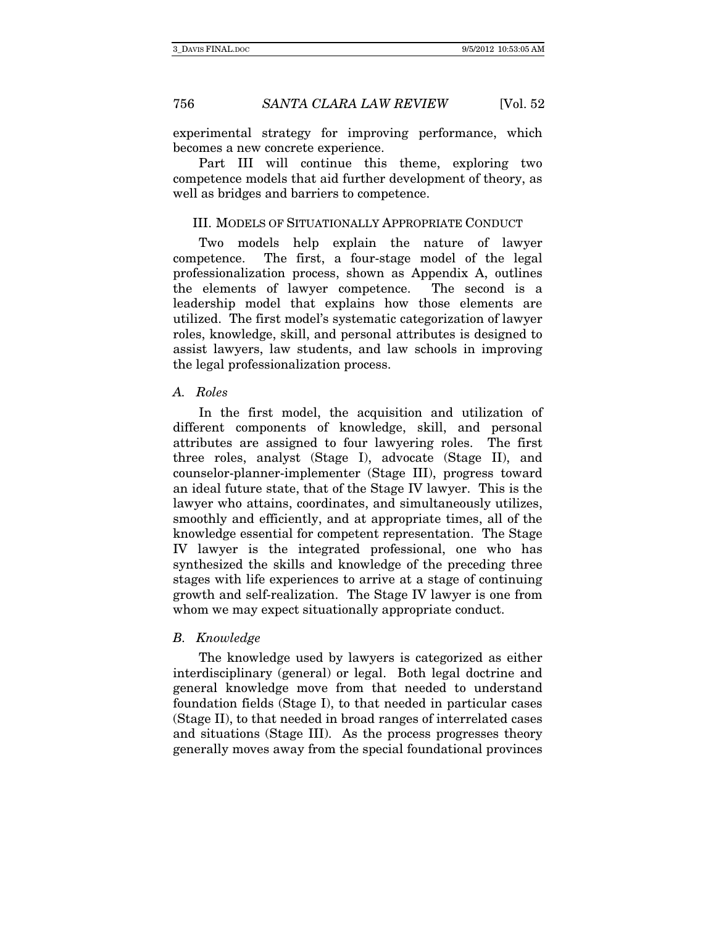experimental strategy for improving performance, which becomes a new concrete experience.

Part III will continue this theme, exploring two competence models that aid further development of theory, as well as bridges and barriers to competence.

#### III. MODELS OF SITUATIONALLY APPROPRIATE CONDUCT

Two models help explain the nature of lawyer competence. The first, a four-stage model of the legal professionalization process, shown as Appendix A, outlines the elements of lawyer competence. The second is a leadership model that explains how those elements are utilized. The first model's systematic categorization of lawyer roles, knowledge, skill, and personal attributes is designed to assist lawyers, law students, and law schools in improving the legal professionalization process.

#### A. Roles

In the first model, the acquisition and utilization of different components of knowledge, skill, and personal attributes are assigned to four lawyering roles. The first three roles, analyst (Stage I), advocate (Stage II), and counselor-planner-implementer (Stage III), progress toward an ideal future state, that of the Stage IV lawyer. This is the lawyer who attains, coordinates, and simultaneously utilizes, smoothly and efficiently, and at appropriate times, all of the knowledge essential for competent representation. The Stage IV lawyer is the integrated professional, one who has synthesized the skills and knowledge of the preceding three stages with life experiences to arrive at a stage of continuing growth and self-realization. The Stage IV lawyer is one from whom we may expect situationally appropriate conduct.

#### B. Knowledge

The knowledge used by lawyers is categorized as either interdisciplinary (general) or legal. Both legal doctrine and general knowledge move from that needed to understand foundation fields (Stage I), to that needed in particular cases (Stage II), to that needed in broad ranges of interrelated cases and situations (Stage III). As the process progresses theory generally moves away from the special foundational provinces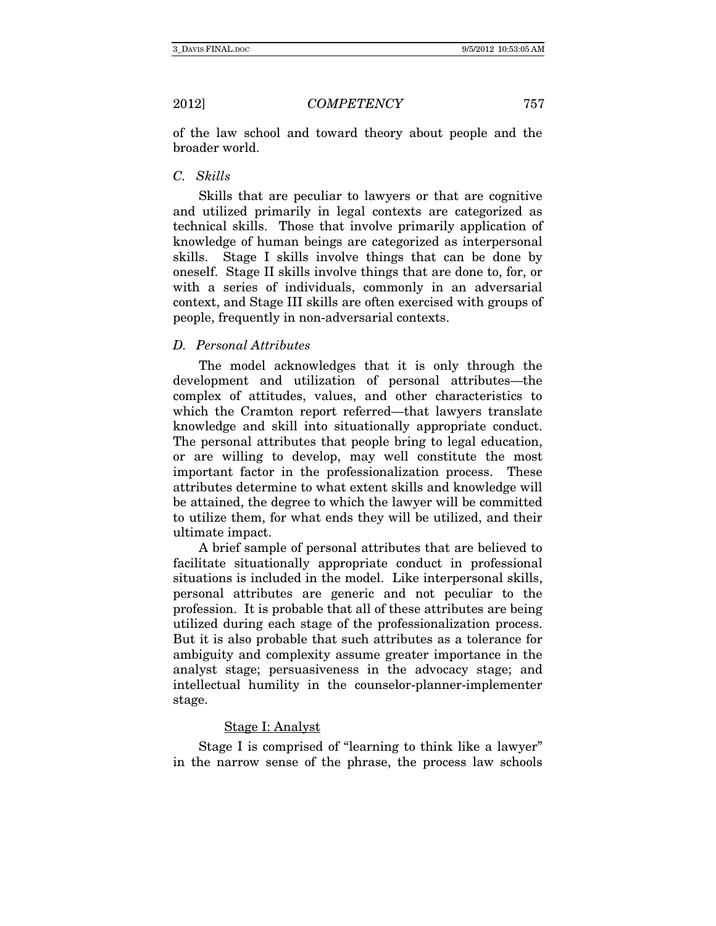of the law school and toward theory about people and the broader world.

#### C. Skills

Skills that are peculiar to lawyers or that are cognitive and utilized primarily in legal contexts are categorized as technical skills. Those that involve primarily application of knowledge of human beings are categorized as interpersonal skills. Stage I skills involve things that can be done by oneself. Stage II skills involve things that are done to, for, or with a series of individuals, commonly in an adversarial context, and Stage III skills are often exercised with groups of people, frequently in non-adversarial contexts.

#### D. Personal Attributes

The model acknowledges that it is only through the development and utilization of personal attributes—the complex of attitudes, values, and other characteristics to which the Cramton report referred—that lawyers translate knowledge and skill into situationally appropriate conduct. The personal attributes that people bring to legal education, or are willing to develop, may well constitute the most important factor in the professionalization process. These attributes determine to what extent skills and knowledge will be attained, the degree to which the lawyer will be committed to utilize them, for what ends they will be utilized, and their ultimate impact.

A brief sample of personal attributes that are believed to facilitate situationally appropriate conduct in professional situations is included in the model. Like interpersonal skills, personal attributes are generic and not peculiar to the profession. It is probable that all of these attributes are being utilized during each stage of the professionalization process. But it is also probable that such attributes as a tolerance for ambiguity and complexity assume greater importance in the analyst stage; persuasiveness in the advocacy stage; and intellectual humility in the counselor-planner-implementer stage.

#### Stage I: Analyst

Stage I is comprised of "learning to think like a lawyer" in the narrow sense of the phrase, the process law schools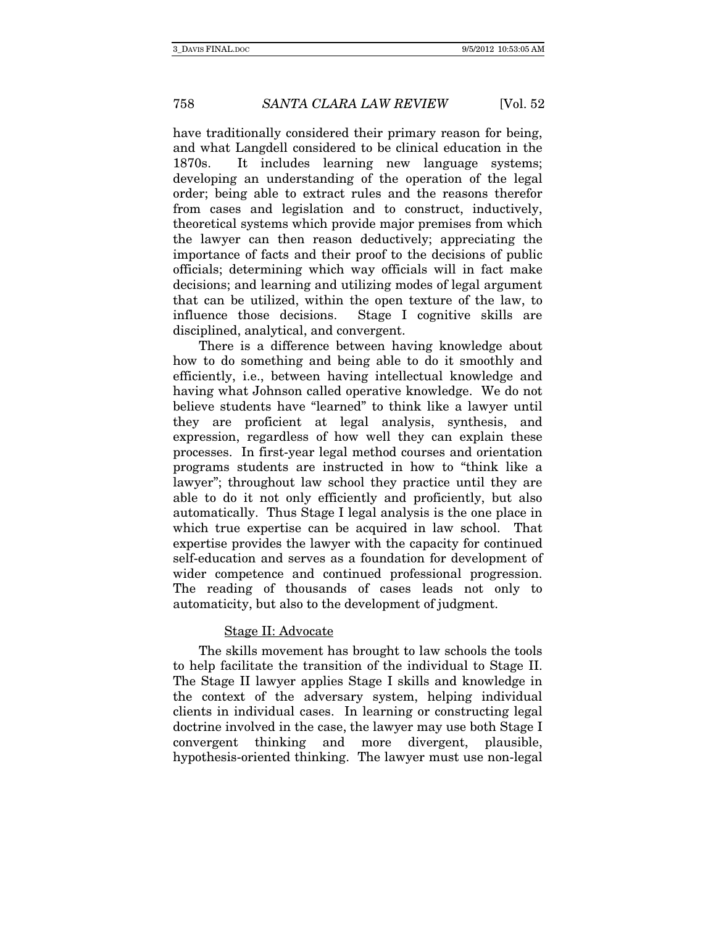have traditionally considered their primary reason for being, and what Langdell considered to be clinical education in the 1870s. It includes learning new language systems; developing an understanding of the operation of the legal order; being able to extract rules and the reasons therefor from cases and legislation and to construct, inductively, theoretical systems which provide major premises from which the lawyer can then reason deductively; appreciating the importance of facts and their proof to the decisions of public officials; determining which way officials will in fact make decisions; and learning and utilizing modes of legal argument that can be utilized, within the open texture of the law, to influence those decisions. Stage I cognitive skills are disciplined, analytical, and convergent.

There is a difference between having knowledge about how to do something and being able to do it smoothly and efficiently, i.e., between having intellectual knowledge and having what Johnson called operative knowledge. We do not believe students have "learned" to think like a lawyer until they are proficient at legal analysis, synthesis, and expression, regardless of how well they can explain these processes. In first-year legal method courses and orientation programs students are instructed in how to "think like a lawyer"; throughout law school they practice until they are able to do it not only efficiently and proficiently, but also automatically. Thus Stage I legal analysis is the one place in which true expertise can be acquired in law school. That expertise provides the lawyer with the capacity for continued self-education and serves as a foundation for development of wider competence and continued professional progression. The reading of thousands of cases leads not only to automaticity, but also to the development of judgment.

#### Stage II: Advocate

The skills movement has brought to law schools the tools to help facilitate the transition of the individual to Stage II. The Stage II lawyer applies Stage I skills and knowledge in the context of the adversary system, helping individual clients in individual cases. In learning or constructing legal doctrine involved in the case, the lawyer may use both Stage I convergent thinking and more divergent, plausible, hypothesis-oriented thinking. The lawyer must use non-legal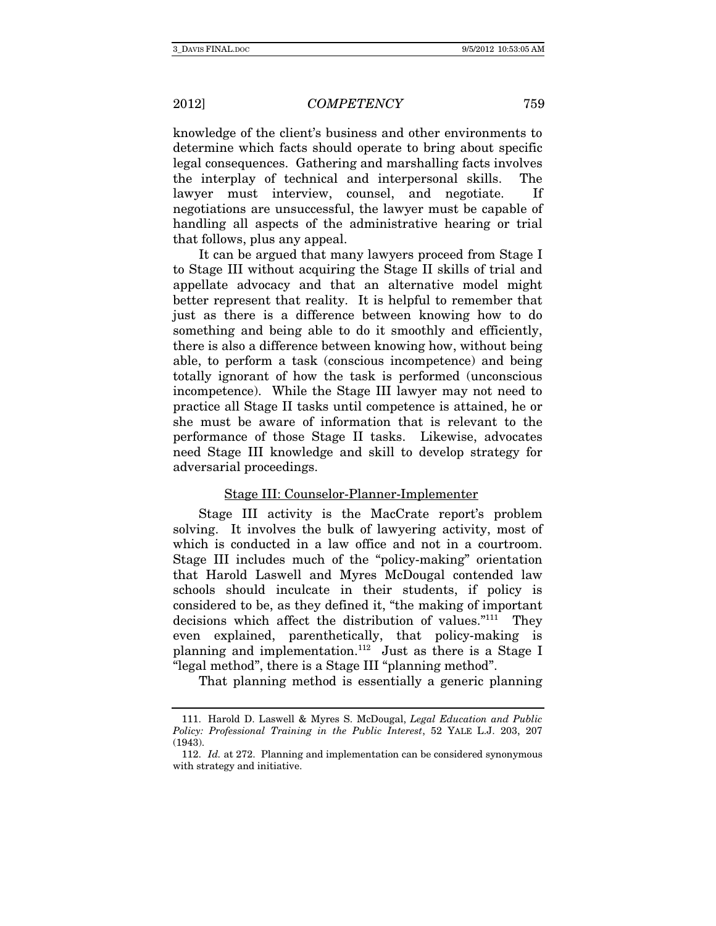knowledge of the client's business and other environments to determine which facts should operate to bring about specific legal consequences. Gathering and marshalling facts involves the interplay of technical and interpersonal skills. The lawyer must interview, counsel, and negotiate. If negotiations are unsuccessful, the lawyer must be capable of handling all aspects of the administrative hearing or trial that follows, plus any appeal.

It can be argued that many lawyers proceed from Stage I to Stage III without acquiring the Stage II skills of trial and appellate advocacy and that an alternative model might better represent that reality. It is helpful to remember that just as there is a difference between knowing how to do something and being able to do it smoothly and efficiently, there is also a difference between knowing how, without being able, to perform a task (conscious incompetence) and being totally ignorant of how the task is performed (unconscious incompetence). While the Stage III lawyer may not need to practice all Stage II tasks until competence is attained, he or she must be aware of information that is relevant to the performance of those Stage II tasks. Likewise, advocates need Stage III knowledge and skill to develop strategy for adversarial proceedings.

### Stage III: Counselor-Planner-Implementer

Stage III activity is the MacCrate report's problem solving. It involves the bulk of lawyering activity, most of which is conducted in a law office and not in a courtroom. Stage III includes much of the "policy-making" orientation that Harold Laswell and Myres McDougal contended law schools should inculcate in their students, if policy is considered to be, as they defined it, "the making of important decisions which affect the distribution of values."111 They even explained, parenthetically, that policy-making is planning and implementation.<sup>112</sup> Just as there is a Stage I "legal method", there is a Stage III "planning method".

That planning method is essentially a generic planning

 <sup>111.</sup> Harold D. Laswell & Myres S. McDougal, Legal Education and Public Policy: Professional Training in the Public Interest, 52 YALE L.J. 203, 207 (1943).

 <sup>112.</sup> Id. at 272. Planning and implementation can be considered synonymous with strategy and initiative.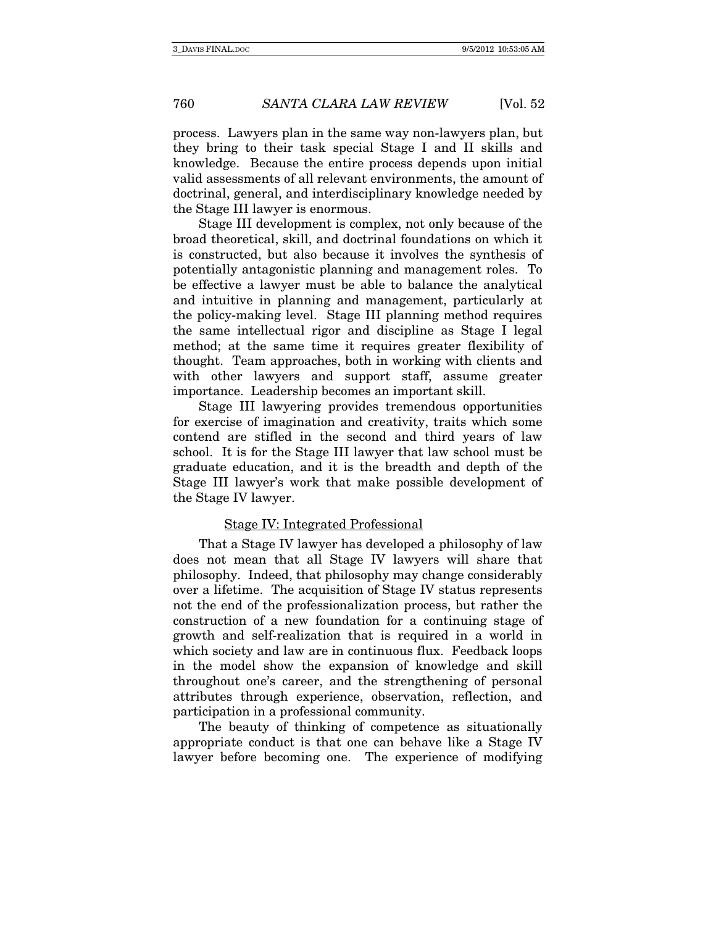process. Lawyers plan in the same way non-lawyers plan, but they bring to their task special Stage I and II skills and knowledge. Because the entire process depends upon initial valid assessments of all relevant environments, the amount of doctrinal, general, and interdisciplinary knowledge needed by the Stage III lawyer is enormous.

Stage III development is complex, not only because of the broad theoretical, skill, and doctrinal foundations on which it is constructed, but also because it involves the synthesis of potentially antagonistic planning and management roles. To be effective a lawyer must be able to balance the analytical and intuitive in planning and management, particularly at the policy-making level. Stage III planning method requires the same intellectual rigor and discipline as Stage I legal method; at the same time it requires greater flexibility of thought. Team approaches, both in working with clients and with other lawyers and support staff, assume greater importance. Leadership becomes an important skill.

Stage III lawyering provides tremendous opportunities for exercise of imagination and creativity, traits which some contend are stifled in the second and third years of law school. It is for the Stage III lawyer that law school must be graduate education, and it is the breadth and depth of the Stage III lawyer's work that make possible development of the Stage IV lawyer.

#### Stage IV: Integrated Professional

That a Stage IV lawyer has developed a philosophy of law does not mean that all Stage IV lawyers will share that philosophy. Indeed, that philosophy may change considerably over a lifetime. The acquisition of Stage IV status represents not the end of the professionalization process, but rather the construction of a new foundation for a continuing stage of growth and self-realization that is required in a world in which society and law are in continuous flux. Feedback loops in the model show the expansion of knowledge and skill throughout one's career, and the strengthening of personal attributes through experience, observation, reflection, and participation in a professional community.

The beauty of thinking of competence as situationally appropriate conduct is that one can behave like a Stage IV lawyer before becoming one. The experience of modifying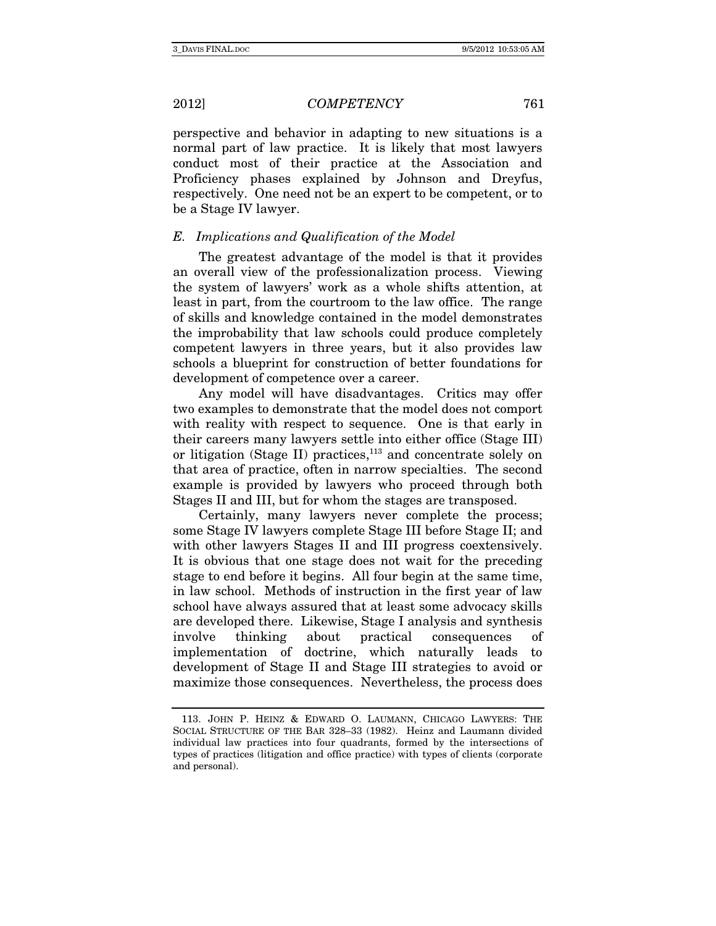perspective and behavior in adapting to new situations is a normal part of law practice. It is likely that most lawyers conduct most of their practice at the Association and Proficiency phases explained by Johnson and Dreyfus, respectively. One need not be an expert to be competent, or to be a Stage IV lawyer.

#### E. Implications and Qualification of the Model

The greatest advantage of the model is that it provides an overall view of the professionalization process. Viewing the system of lawyers' work as a whole shifts attention, at least in part, from the courtroom to the law office. The range of skills and knowledge contained in the model demonstrates the improbability that law schools could produce completely competent lawyers in three years, but it also provides law schools a blueprint for construction of better foundations for development of competence over a career.

Any model will have disadvantages. Critics may offer two examples to demonstrate that the model does not comport with reality with respect to sequence. One is that early in their careers many lawyers settle into either office (Stage III) or litigation (Stage II) practices, $113$  and concentrate solely on that area of practice, often in narrow specialties. The second example is provided by lawyers who proceed through both Stages II and III, but for whom the stages are transposed.

Certainly, many lawyers never complete the process; some Stage IV lawyers complete Stage III before Stage II; and with other lawyers Stages II and III progress coextensively. It is obvious that one stage does not wait for the preceding stage to end before it begins. All four begin at the same time, in law school. Methods of instruction in the first year of law school have always assured that at least some advocacy skills are developed there. Likewise, Stage I analysis and synthesis involve thinking about practical consequences of implementation of doctrine, which naturally leads to development of Stage II and Stage III strategies to avoid or maximize those consequences. Nevertheless, the process does

 <sup>113.</sup> JOHN P. HEINZ & EDWARD O. LAUMANN, CHICAGO LAWYERS: THE SOCIAL STRUCTURE OF THE BAR 328–33 (1982). Heinz and Laumann divided individual law practices into four quadrants, formed by the intersections of types of practices (litigation and office practice) with types of clients (corporate and personal).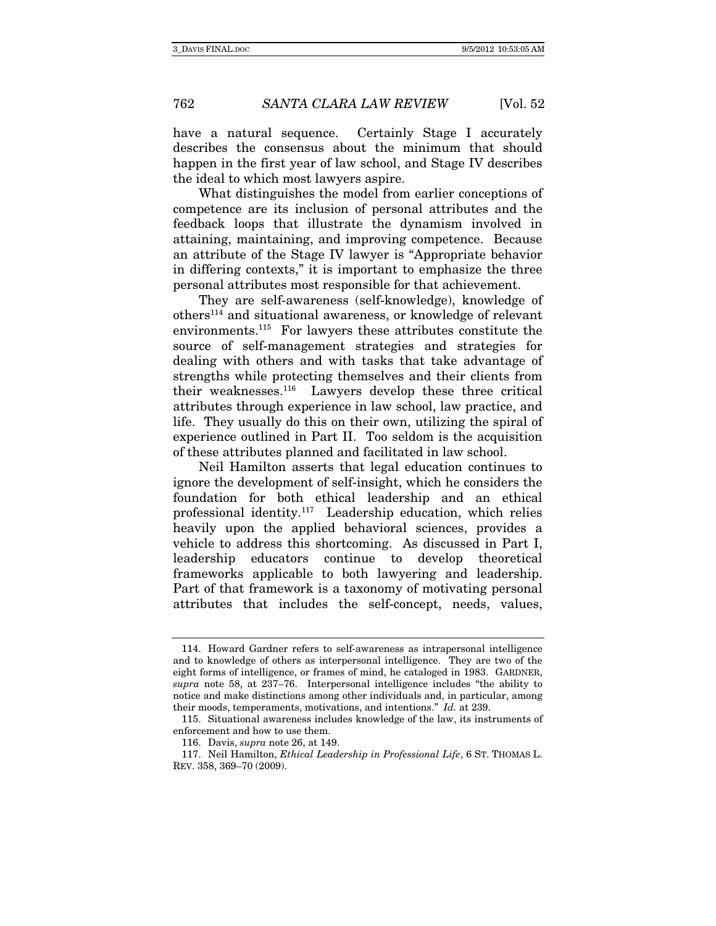have a natural sequence. Certainly Stage I accurately describes the consensus about the minimum that should happen in the first year of law school, and Stage IV describes the ideal to which most lawyers aspire.

What distinguishes the model from earlier conceptions of competence are its inclusion of personal attributes and the feedback loops that illustrate the dynamism involved in attaining, maintaining, and improving competence. Because an attribute of the Stage IV lawyer is "Appropriate behavior in differing contexts," it is important to emphasize the three personal attributes most responsible for that achievement.

They are self-awareness (self-knowledge), knowledge of others114 and situational awareness, or knowledge of relevant environments.115 For lawyers these attributes constitute the source of self-management strategies and strategies for dealing with others and with tasks that take advantage of strengths while protecting themselves and their clients from their weaknesses.116 Lawyers develop these three critical attributes through experience in law school, law practice, and life. They usually do this on their own, utilizing the spiral of experience outlined in Part II. Too seldom is the acquisition of these attributes planned and facilitated in law school.

Neil Hamilton asserts that legal education continues to ignore the development of self-insight, which he considers the foundation for both ethical leadership and an ethical professional identity.117 Leadership education, which relies heavily upon the applied behavioral sciences, provides a vehicle to address this shortcoming. As discussed in Part I, leadership educators continue to develop theoretical frameworks applicable to both lawyering and leadership. Part of that framework is a taxonomy of motivating personal attributes that includes the self-concept, needs, values,

 <sup>114.</sup> Howard Gardner refers to self-awareness as intrapersonal intelligence and to knowledge of others as interpersonal intelligence. They are two of the eight forms of intelligence, or frames of mind, he cataloged in 1983. GARDNER, supra note 58, at 237–76. Interpersonal intelligence includes "the ability to notice and make distinctions among other individuals and, in particular, among their moods, temperaments, motivations, and intentions." Id. at 239.

 <sup>115.</sup> Situational awareness includes knowledge of the law, its instruments of enforcement and how to use them.

 <sup>116.</sup> Davis, supra note 26, at 149.

 <sup>117.</sup> Neil Hamilton, Ethical Leadership in Professional Life, 6 ST. THOMAS L. REV. 358, 369–70 (2009).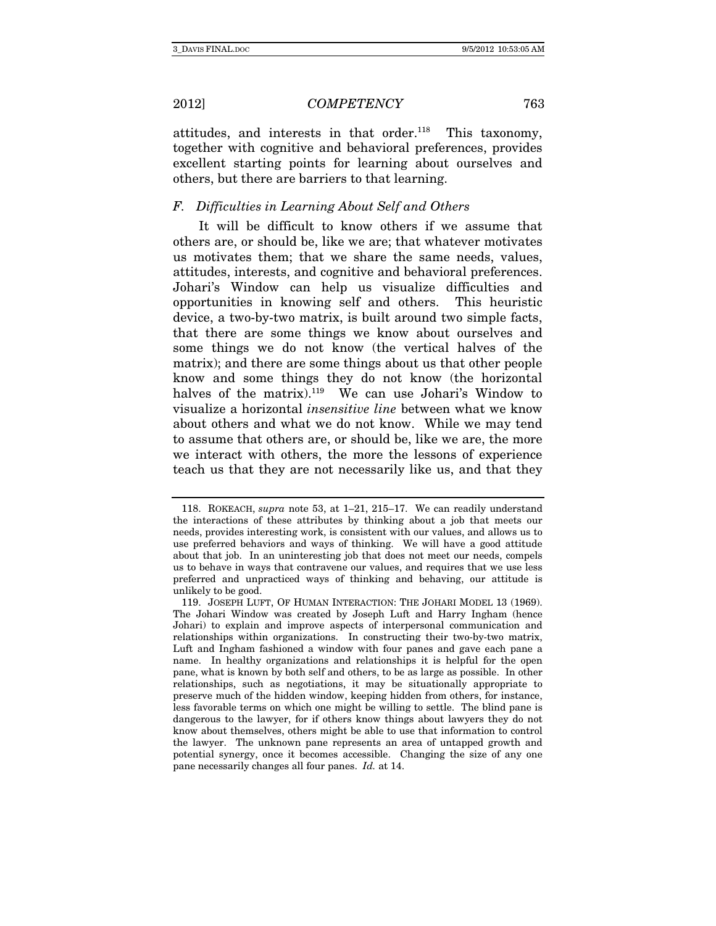attitudes, and interests in that order.<sup>118</sup> This taxonomy, together with cognitive and behavioral preferences, provides excellent starting points for learning about ourselves and others, but there are barriers to that learning.

### F. Difficulties in Learning About Self and Others

It will be difficult to know others if we assume that others are, or should be, like we are; that whatever motivates us motivates them; that we share the same needs, values, attitudes, interests, and cognitive and behavioral preferences. Johari's Window can help us visualize difficulties and opportunities in knowing self and others. This heuristic device, a two-by-two matrix, is built around two simple facts, that there are some things we know about ourselves and some things we do not know (the vertical halves of the matrix); and there are some things about us that other people know and some things they do not know (the horizontal halves of the matrix).<sup>119</sup> We can use Johari's Window to visualize a horizontal insensitive line between what we know about others and what we do not know. While we may tend to assume that others are, or should be, like we are, the more we interact with others, the more the lessons of experience teach us that they are not necessarily like us, and that they

 <sup>118.</sup> ROKEACH, supra note 53, at 1–21, 215–17. We can readily understand the interactions of these attributes by thinking about a job that meets our needs, provides interesting work, is consistent with our values, and allows us to use preferred behaviors and ways of thinking. We will have a good attitude about that job. In an uninteresting job that does not meet our needs, compels us to behave in ways that contravene our values, and requires that we use less preferred and unpracticed ways of thinking and behaving, our attitude is unlikely to be good.

 <sup>119.</sup> JOSEPH LUFT, OF HUMAN INTERACTION: THE JOHARI MODEL 13 (1969). The Johari Window was created by Joseph Luft and Harry Ingham (hence Johari) to explain and improve aspects of interpersonal communication and relationships within organizations. In constructing their two-by-two matrix, Luft and Ingham fashioned a window with four panes and gave each pane a name. In healthy organizations and relationships it is helpful for the open pane, what is known by both self and others, to be as large as possible. In other relationships, such as negotiations, it may be situationally appropriate to preserve much of the hidden window, keeping hidden from others, for instance, less favorable terms on which one might be willing to settle. The blind pane is dangerous to the lawyer, for if others know things about lawyers they do not know about themselves, others might be able to use that information to control the lawyer. The unknown pane represents an area of untapped growth and potential synergy, once it becomes accessible. Changing the size of any one pane necessarily changes all four panes. Id. at 14.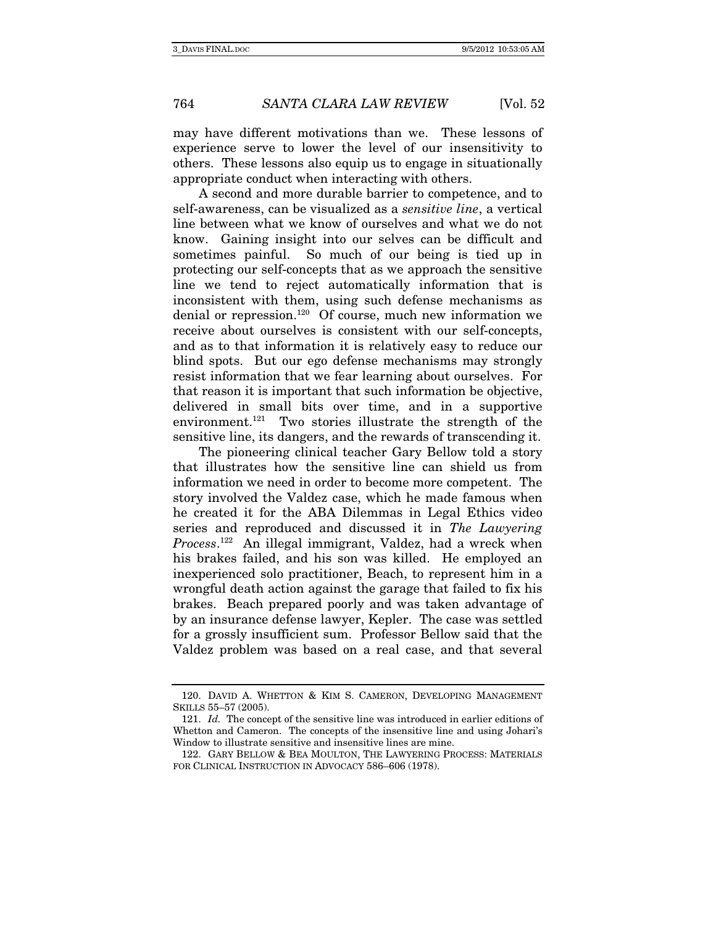may have different motivations than we. These lessons of experience serve to lower the level of our insensitivity to others. These lessons also equip us to engage in situationally appropriate conduct when interacting with others.

A second and more durable barrier to competence, and to self-awareness, can be visualized as a sensitive line, a vertical line between what we know of ourselves and what we do not know. Gaining insight into our selves can be difficult and sometimes painful. So much of our being is tied up in protecting our self-concepts that as we approach the sensitive line we tend to reject automatically information that is inconsistent with them, using such defense mechanisms as denial or repression.120 Of course, much new information we receive about ourselves is consistent with our self-concepts, and as to that information it is relatively easy to reduce our blind spots. But our ego defense mechanisms may strongly resist information that we fear learning about ourselves. For that reason it is important that such information be objective, delivered in small bits over time, and in a supportive environment.<sup>121</sup> Two stories illustrate the strength of the sensitive line, its dangers, and the rewards of transcending it.

The pioneering clinical teacher Gary Bellow told a story that illustrates how the sensitive line can shield us from information we need in order to become more competent. The story involved the Valdez case, which he made famous when he created it for the ABA Dilemmas in Legal Ethics video series and reproduced and discussed it in The Lawyering Process.<sup>122</sup> An illegal immigrant, Valdez, had a wreck when his brakes failed, and his son was killed. He employed an inexperienced solo practitioner, Beach, to represent him in a wrongful death action against the garage that failed to fix his brakes. Beach prepared poorly and was taken advantage of by an insurance defense lawyer, Kepler. The case was settled for a grossly insufficient sum. Professor Bellow said that the Valdez problem was based on a real case, and that several

 <sup>120.</sup> DAVID A. WHETTON & KIM S. CAMERON, DEVELOPING MANAGEMENT SKILLS 55–57 (2005).

<sup>121.</sup> Id. The concept of the sensitive line was introduced in earlier editions of Whetton and Cameron. The concepts of the insensitive line and using Johari's Window to illustrate sensitive and insensitive lines are mine.

 <sup>122.</sup> GARY BELLOW & BEA MOULTON, THE LAWYERING PROCESS: MATERIALS FOR CLINICAL INSTRUCTION IN ADVOCACY 586–606 (1978).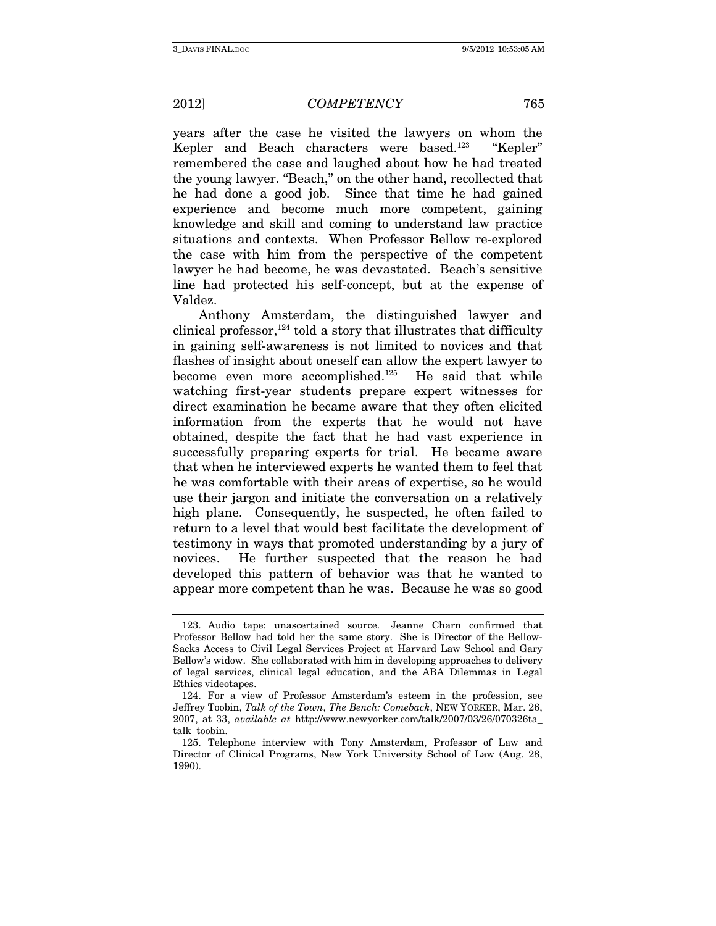years after the case he visited the lawyers on whom the Kepler and Beach characters were based.<sup>123</sup> "Kepler" remembered the case and laughed about how he had treated the young lawyer. "Beach," on the other hand, recollected that he had done a good job. Since that time he had gained experience and become much more competent, gaining knowledge and skill and coming to understand law practice situations and contexts. When Professor Bellow re-explored the case with him from the perspective of the competent lawyer he had become, he was devastated. Beach's sensitive line had protected his self-concept, but at the expense of Valdez.

Anthony Amsterdam, the distinguished lawyer and clinical professor, $124$  told a story that illustrates that difficulty in gaining self-awareness is not limited to novices and that flashes of insight about oneself can allow the expert lawyer to become even more accomplished.125 He said that while watching first-year students prepare expert witnesses for direct examination he became aware that they often elicited information from the experts that he would not have obtained, despite the fact that he had vast experience in successfully preparing experts for trial. He became aware that when he interviewed experts he wanted them to feel that he was comfortable with their areas of expertise, so he would use their jargon and initiate the conversation on a relatively high plane. Consequently, he suspected, he often failed to return to a level that would best facilitate the development of testimony in ways that promoted understanding by a jury of novices. He further suspected that the reason he had developed this pattern of behavior was that he wanted to appear more competent than he was. Because he was so good

 <sup>123.</sup> Audio tape: unascertained source. Jeanne Charn confirmed that Professor Bellow had told her the same story. She is Director of the Bellow-Sacks Access to Civil Legal Services Project at Harvard Law School and Gary Bellow's widow. She collaborated with him in developing approaches to delivery of legal services, clinical legal education, and the ABA Dilemmas in Legal Ethics videotapes.

 <sup>124.</sup> For a view of Professor Amsterdam's esteem in the profession, see Jeffrey Toobin, Talk of the Town, The Bench: Comeback, NEW YORKER, Mar. 26, 2007, at 33, available at http://www.newyorker.com/talk/2007/03/26/070326ta\_ talk toobin.

 <sup>125.</sup> Telephone interview with Tony Amsterdam, Professor of Law and Director of Clinical Programs, New York University School of Law (Aug. 28, 1990).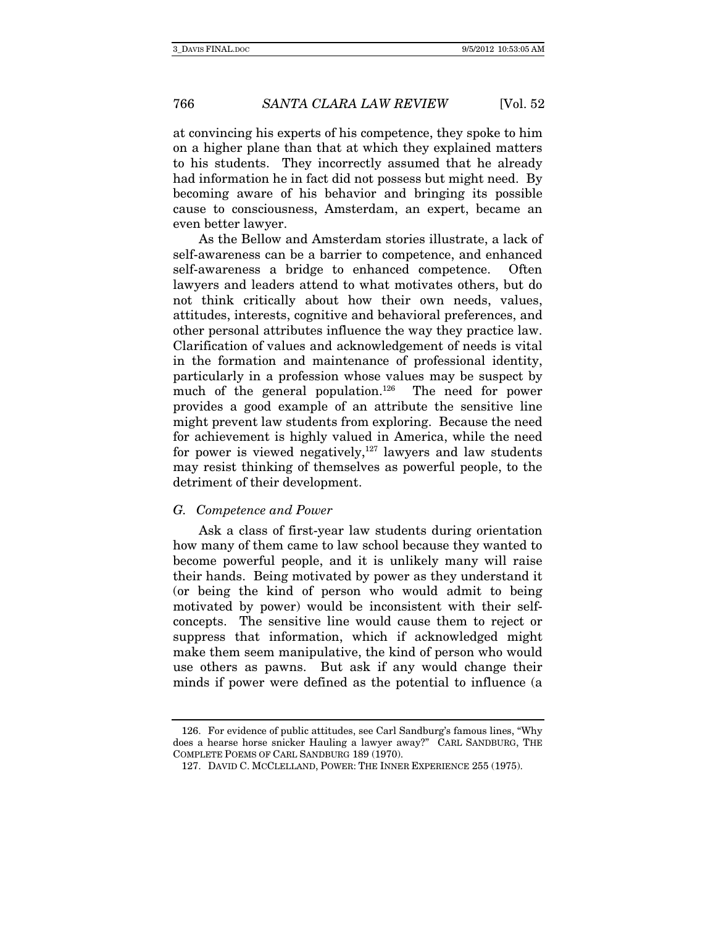at convincing his experts of his competence, they spoke to him on a higher plane than that at which they explained matters to his students. They incorrectly assumed that he already had information he in fact did not possess but might need. By becoming aware of his behavior and bringing its possible cause to consciousness, Amsterdam, an expert, became an even better lawyer.

As the Bellow and Amsterdam stories illustrate, a lack of self-awareness can be a barrier to competence, and enhanced self-awareness a bridge to enhanced competence. Often lawyers and leaders attend to what motivates others, but do not think critically about how their own needs, values, attitudes, interests, cognitive and behavioral preferences, and other personal attributes influence the way they practice law. Clarification of values and acknowledgement of needs is vital in the formation and maintenance of professional identity, particularly in a profession whose values may be suspect by much of the general population.<sup>126</sup> The need for power provides a good example of an attribute the sensitive line might prevent law students from exploring. Because the need for achievement is highly valued in America, while the need for power is viewed negatively, $127$  lawyers and law students may resist thinking of themselves as powerful people, to the detriment of their development.

#### G. Competence and Power

Ask a class of first-year law students during orientation how many of them came to law school because they wanted to become powerful people, and it is unlikely many will raise their hands. Being motivated by power as they understand it (or being the kind of person who would admit to being motivated by power) would be inconsistent with their selfconcepts. The sensitive line would cause them to reject or suppress that information, which if acknowledged might make them seem manipulative, the kind of person who would use others as pawns. But ask if any would change their minds if power were defined as the potential to influence (a

 <sup>126.</sup> For evidence of public attitudes, see Carl Sandburg's famous lines, "Why does a hearse horse snicker Hauling a lawyer away?" CARL SANDBURG, THE COMPLETE POEMS OF CARL SANDBURG 189 (1970).

 <sup>127.</sup> DAVID C. MCCLELLAND, POWER: THE INNER EXPERIENCE 255 (1975).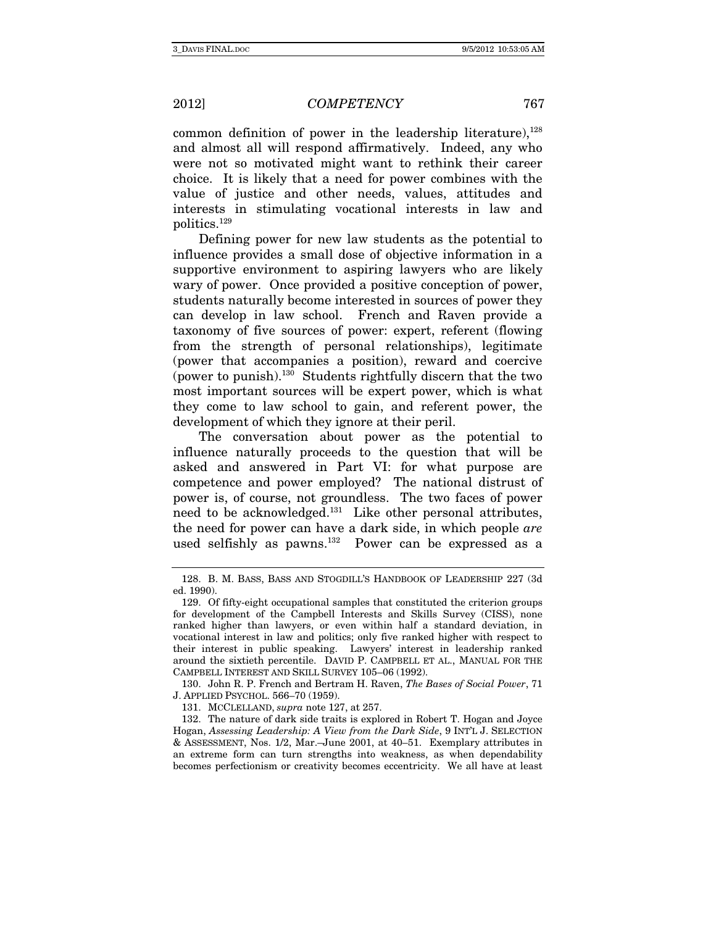common definition of power in the leadership literature),  $128$ and almost all will respond affirmatively. Indeed, any who were not so motivated might want to rethink their career choice. It is likely that a need for power combines with the value of justice and other needs, values, attitudes and interests in stimulating vocational interests in law and politics.129

Defining power for new law students as the potential to influence provides a small dose of objective information in a supportive environment to aspiring lawyers who are likely wary of power. Once provided a positive conception of power, students naturally become interested in sources of power they can develop in law school. French and Raven provide a taxonomy of five sources of power: expert, referent (flowing from the strength of personal relationships), legitimate (power that accompanies a position), reward and coercive (power to punish).130 Students rightfully discern that the two most important sources will be expert power, which is what they come to law school to gain, and referent power, the development of which they ignore at their peril.

The conversation about power as the potential to influence naturally proceeds to the question that will be asked and answered in Part VI: for what purpose are competence and power employed? The national distrust of power is, of course, not groundless. The two faces of power need to be acknowledged.131 Like other personal attributes, the need for power can have a dark side, in which people are used selfishly as pawns. $132$  Power can be expressed as a

130. John R. P. French and Bertram H. Raven, *The Bases of Social Power*, 71 J. APPLIED PSYCHOL. 566–70 (1959).

131. MCCLELLAND, supra note 127, at 257.

 132. The nature of dark side traits is explored in Robert T. Hogan and Joyce Hogan, Assessing Leadership: A View from the Dark Side, 9 INT'L J. SELECTION & ASSESSMENT, Nos. 1/2, Mar.–June 2001, at 40–51. Exemplary attributes in an extreme form can turn strengths into weakness, as when dependability becomes perfectionism or creativity becomes eccentricity. We all have at least

 <sup>128.</sup> B. M. BASS, BASS AND STOGDILL'S HANDBOOK OF LEADERSHIP 227 (3d ed. 1990).

 <sup>129.</sup> Of fifty-eight occupational samples that constituted the criterion groups for development of the Campbell Interests and Skills Survey (CISS), none ranked higher than lawyers, or even within half a standard deviation, in vocational interest in law and politics; only five ranked higher with respect to their interest in public speaking. Lawyers' interest in leadership ranked around the sixtieth percentile. DAVID P. CAMPBELL ET AL., MANUAL FOR THE CAMPBELL INTEREST AND SKILL SURVEY 105–06 (1992).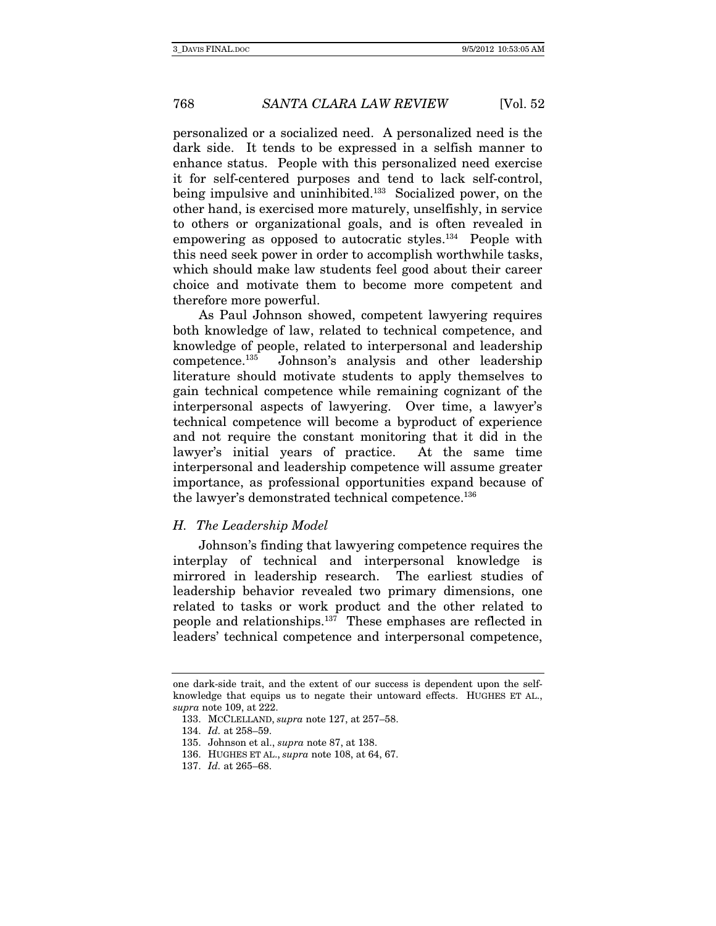personalized or a socialized need. A personalized need is the dark side. It tends to be expressed in a selfish manner to enhance status. People with this personalized need exercise it for self-centered purposes and tend to lack self-control, being impulsive and uninhibited.<sup>133</sup> Socialized power, on the other hand, is exercised more maturely, unselfishly, in service to others or organizational goals, and is often revealed in empowering as opposed to autocratic styles.134 People with this need seek power in order to accomplish worthwhile tasks, which should make law students feel good about their career choice and motivate them to become more competent and therefore more powerful.

As Paul Johnson showed, competent lawyering requires both knowledge of law, related to technical competence, and knowledge of people, related to interpersonal and leadership competence.135 Johnson's analysis and other leadership literature should motivate students to apply themselves to gain technical competence while remaining cognizant of the interpersonal aspects of lawyering. Over time, a lawyer's technical competence will become a byproduct of experience and not require the constant monitoring that it did in the lawyer's initial years of practice. At the same time interpersonal and leadership competence will assume greater importance, as professional opportunities expand because of the lawyer's demonstrated technical competence.<sup>136</sup>

#### H. The Leadership Model

Johnson's finding that lawyering competence requires the interplay of technical and interpersonal knowledge is mirrored in leadership research. The earliest studies of leadership behavior revealed two primary dimensions, one related to tasks or work product and the other related to people and relationships.137 These emphases are reflected in leaders' technical competence and interpersonal competence,

one dark-side trait, and the extent of our success is dependent upon the selfknowledge that equips us to negate their untoward effects. HUGHES ET AL., supra note 109, at 222.

 <sup>133.</sup> MCCLELLAND, supra note 127, at 257–58.

<sup>134.</sup> Id. at 258–59.

 <sup>135.</sup> Johnson et al., supra note 87, at 138.

 <sup>136.</sup> HUGHES ET AL., supra note 108, at 64, 67.

<sup>137.</sup> Id. at 265–68.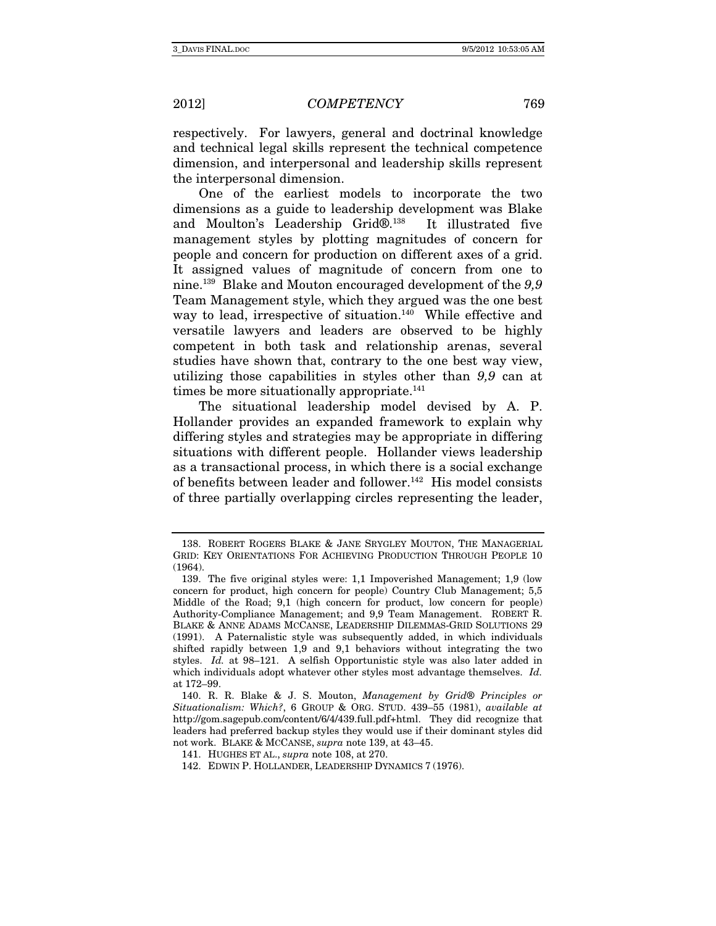respectively. For lawyers, general and doctrinal knowledge and technical legal skills represent the technical competence dimension, and interpersonal and leadership skills represent the interpersonal dimension.

One of the earliest models to incorporate the two dimensions as a guide to leadership development was Blake and Moulton's Leadership Grid®.138 It illustrated five management styles by plotting magnitudes of concern for people and concern for production on different axes of a grid. It assigned values of magnitude of concern from one to nine.139 Blake and Mouton encouraged development of the 9,9 Team Management style, which they argued was the one best way to lead, irrespective of situation.<sup>140</sup> While effective and versatile lawyers and leaders are observed to be highly competent in both task and relationship arenas, several studies have shown that, contrary to the one best way view, utilizing those capabilities in styles other than 9,9 can at times be more situationally appropriate.<sup>141</sup>

The situational leadership model devised by A. P. Hollander provides an expanded framework to explain why differing styles and strategies may be appropriate in differing situations with different people. Hollander views leadership as a transactional process, in which there is a social exchange of benefits between leader and follower.<sup>142</sup> His model consists of three partially overlapping circles representing the leader,

 <sup>138.</sup> ROBERT ROGERS BLAKE & JANE SRYGLEY MOUTON, THE MANAGERIAL GRID: KEY ORIENTATIONS FOR ACHIEVING PRODUCTION THROUGH PEOPLE 10 (1964).

 <sup>139.</sup> The five original styles were: 1,1 Impoverished Management; 1,9 (low concern for product, high concern for people) Country Club Management; 5,5 Middle of the Road; 9,1 (high concern for product, low concern for people) Authority-Compliance Management; and 9,9 Team Management. ROBERT R. BLAKE & ANNE ADAMS MCCANSE, LEADERSHIP DILEMMAS-GRID SOLUTIONS 29 (1991). A Paternalistic style was subsequently added, in which individuals shifted rapidly between 1,9 and 9,1 behaviors without integrating the two styles. Id. at 98–121. A selfish Opportunistic style was also later added in which individuals adopt whatever other styles most advantage themselves. Id. at 172–99.

 <sup>140.</sup> R. R. Blake & J. S. Mouton, Management by Grid® Principles or Situationalism: Which?, 6 GROUP & ORG. STUD. 439–55 (1981), available at http://gom.sagepub.com/content/6/4/439.full.pdf+html. They did recognize that leaders had preferred backup styles they would use if their dominant styles did not work. BLAKE & MCCANSE, supra note 139, at 43–45.

 <sup>141.</sup> HUGHES ET AL., supra note 108, at 270.

 <sup>142.</sup> EDWIN P. HOLLANDER, LEADERSHIP DYNAMICS 7 (1976).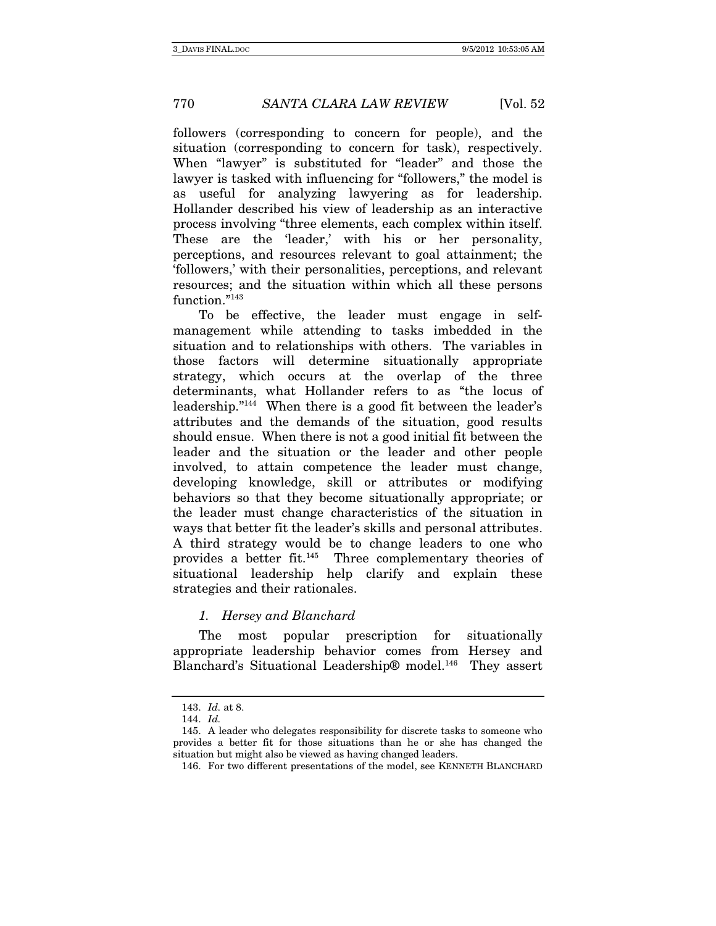followers (corresponding to concern for people), and the situation (corresponding to concern for task), respectively. When "lawyer" is substituted for "leader" and those the lawyer is tasked with influencing for "followers," the model is as useful for analyzing lawyering as for leadership. Hollander described his view of leadership as an interactive process involving "three elements, each complex within itself. These are the 'leader,' with his or her personality, perceptions, and resources relevant to goal attainment; the 'followers,' with their personalities, perceptions, and relevant resources; and the situation within which all these persons function."<sup>143</sup>

To be effective, the leader must engage in selfmanagement while attending to tasks imbedded in the situation and to relationships with others. The variables in those factors will determine situationally appropriate strategy, which occurs at the overlap of the three determinants, what Hollander refers to as "the locus of leadership."144 When there is a good fit between the leader's attributes and the demands of the situation, good results should ensue. When there is not a good initial fit between the leader and the situation or the leader and other people involved, to attain competence the leader must change, developing knowledge, skill or attributes or modifying behaviors so that they become situationally appropriate; or the leader must change characteristics of the situation in ways that better fit the leader's skills and personal attributes. A third strategy would be to change leaders to one who provides a better fit.145 Three complementary theories of situational leadership help clarify and explain these strategies and their rationales.

#### 1. Hersey and Blanchard

The most popular prescription for situationally appropriate leadership behavior comes from Hersey and Blanchard's Situational Leadership® model.<sup>146</sup> They assert

<sup>143.</sup> Id. at 8.

<sup>144.</sup> Id.

 <sup>145.</sup> A leader who delegates responsibility for discrete tasks to someone who provides a better fit for those situations than he or she has changed the situation but might also be viewed as having changed leaders.

 <sup>146.</sup> For two different presentations of the model, see KENNETH BLANCHARD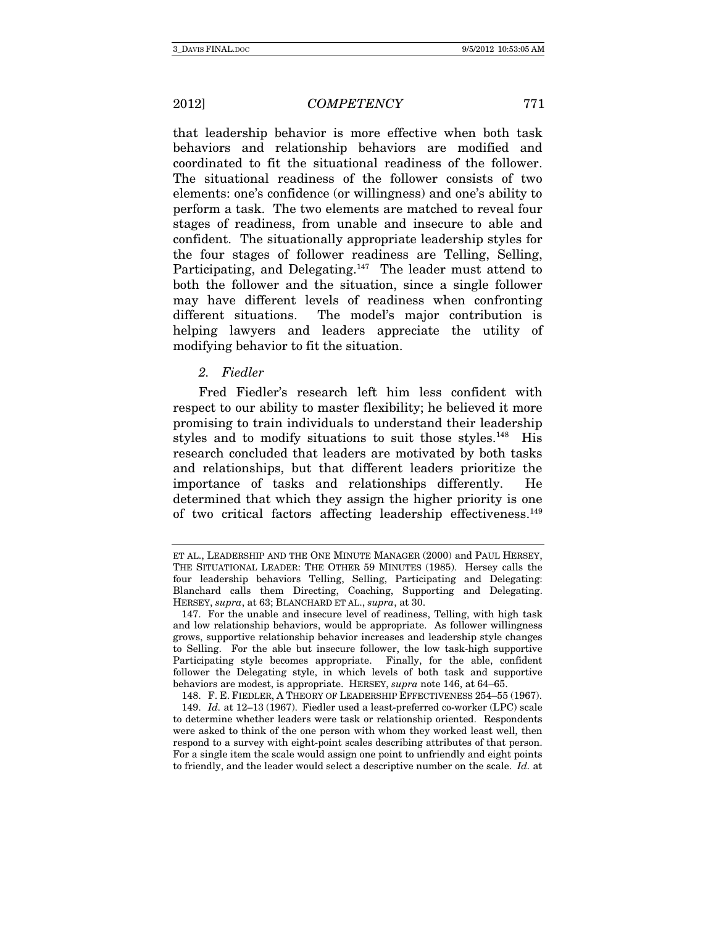that leadership behavior is more effective when both task behaviors and relationship behaviors are modified and coordinated to fit the situational readiness of the follower. The situational readiness of the follower consists of two elements: one's confidence (or willingness) and one's ability to perform a task. The two elements are matched to reveal four stages of readiness, from unable and insecure to able and confident. The situationally appropriate leadership styles for the four stages of follower readiness are Telling, Selling, Participating, and Delegating.<sup>147</sup> The leader must attend to both the follower and the situation, since a single follower may have different levels of readiness when confronting different situations. The model's major contribution is helping lawyers and leaders appreciate the utility of modifying behavior to fit the situation.

#### 2. Fiedler

Fred Fiedler's research left him less confident with respect to our ability to master flexibility; he believed it more promising to train individuals to understand their leadership styles and to modify situations to suit those styles.<sup>148</sup> His research concluded that leaders are motivated by both tasks and relationships, but that different leaders prioritize the importance of tasks and relationships differently. He determined that which they assign the higher priority is one of two critical factors affecting leadership effectiveness.149

ET AL., LEADERSHIP AND THE ONE MINUTE MANAGER (2000) and PAUL HERSEY, THE SITUATIONAL LEADER: THE OTHER 59 MINUTES (1985). Hersey calls the four leadership behaviors Telling, Selling, Participating and Delegating: Blanchard calls them Directing, Coaching, Supporting and Delegating. HERSEY, supra, at 63; BLANCHARD ET AL., supra, at 30.

 <sup>147.</sup> For the unable and insecure level of readiness, Telling, with high task and low relationship behaviors, would be appropriate. As follower willingness grows, supportive relationship behavior increases and leadership style changes to Selling. For the able but insecure follower, the low task-high supportive Participating style becomes appropriate. Finally, for the able, confident follower the Delegating style, in which levels of both task and supportive behaviors are modest, is appropriate. HERSEY, supra note 146, at 64–65.

 <sup>148.</sup> F. E. FIEDLER, A THEORY OF LEADERSHIP EFFECTIVENESS 254–55 (1967).

 <sup>149.</sup> Id. at 12–13 (1967). Fiedler used a least-preferred co-worker (LPC) scale to determine whether leaders were task or relationship oriented. Respondents were asked to think of the one person with whom they worked least well, then respond to a survey with eight-point scales describing attributes of that person. For a single item the scale would assign one point to unfriendly and eight points to friendly, and the leader would select a descriptive number on the scale. Id. at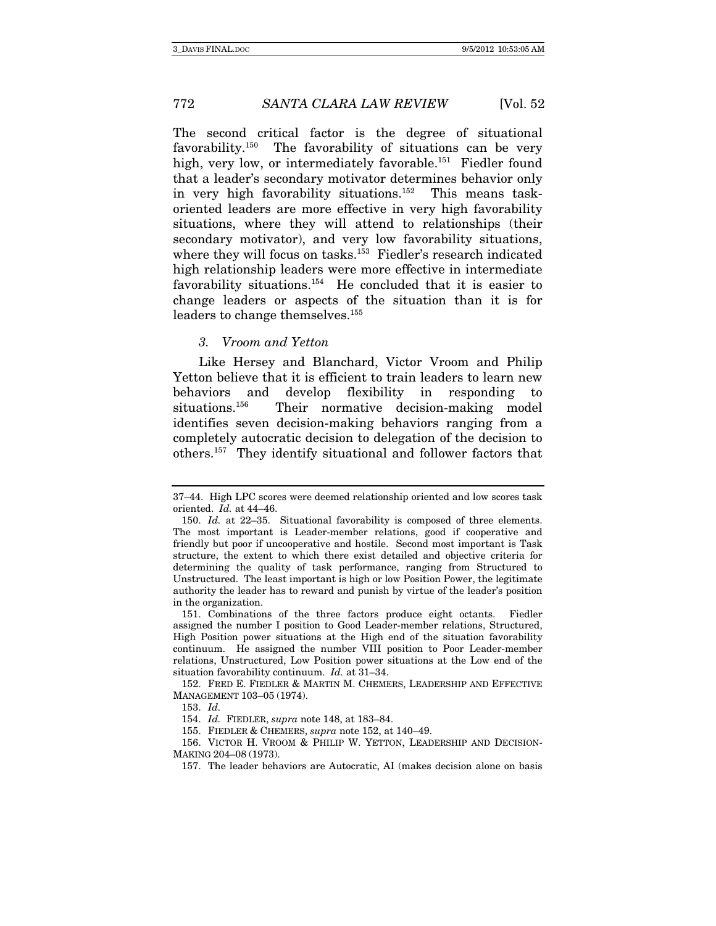The second critical factor is the degree of situational favorability.150 The favorability of situations can be very high, very low, or intermediately favorable.<sup>151</sup> Fiedler found that a leader's secondary motivator determines behavior only in very high favorability situations.152 This means taskoriented leaders are more effective in very high favorability situations, where they will attend to relationships (their secondary motivator), and very low favorability situations, where they will focus on tasks.<sup>153</sup> Fiedler's research indicated high relationship leaders were more effective in intermediate favorability situations.154 He concluded that it is easier to change leaders or aspects of the situation than it is for leaders to change themselves.<sup>155</sup>

#### 3. Vroom and Yetton

Like Hersey and Blanchard, Victor Vroom and Philip Yetton believe that it is efficient to train leaders to learn new behaviors and develop flexibility in responding to situations.156 Their normative decision-making model identifies seven decision-making behaviors ranging from a completely autocratic decision to delegation of the decision to others.157 They identify situational and follower factors that

 151. Combinations of the three factors produce eight octants. Fiedler assigned the number I position to Good Leader-member relations, Structured, High Position power situations at the High end of the situation favorability continuum. He assigned the number VIII position to Poor Leader-member relations, Unstructured, Low Position power situations at the Low end of the situation favorability continuum. Id. at 31–34.

 152. FRED E. FIEDLER & MARTIN M. CHEMERS, LEADERSHIP AND EFFECTIVE MANAGEMENT 103–05 (1974).

155. FIEDLER & CHEMERS, supra note 152, at 140–49.

 156. VICTOR H. VROOM & PHILIP W. YETTON, LEADERSHIP AND DECISION-MAKING 204–08 (1973).

<sup>37–44.</sup> High LPC scores were deemed relationship oriented and low scores task oriented. Id. at 44–46.

 <sup>150.</sup> Id. at 22–35. Situational favorability is composed of three elements. The most important is Leader-member relations, good if cooperative and friendly but poor if uncooperative and hostile. Second most important is Task structure, the extent to which there exist detailed and objective criteria for determining the quality of task performance, ranging from Structured to Unstructured. The least important is high or low Position Power, the legitimate authority the leader has to reward and punish by virtue of the leader's position in the organization.

 <sup>153.</sup> Id.

 <sup>154.</sup> Id. FIEDLER, supra note 148, at 183–84.

 <sup>157.</sup> The leader behaviors are Autocratic, AI (makes decision alone on basis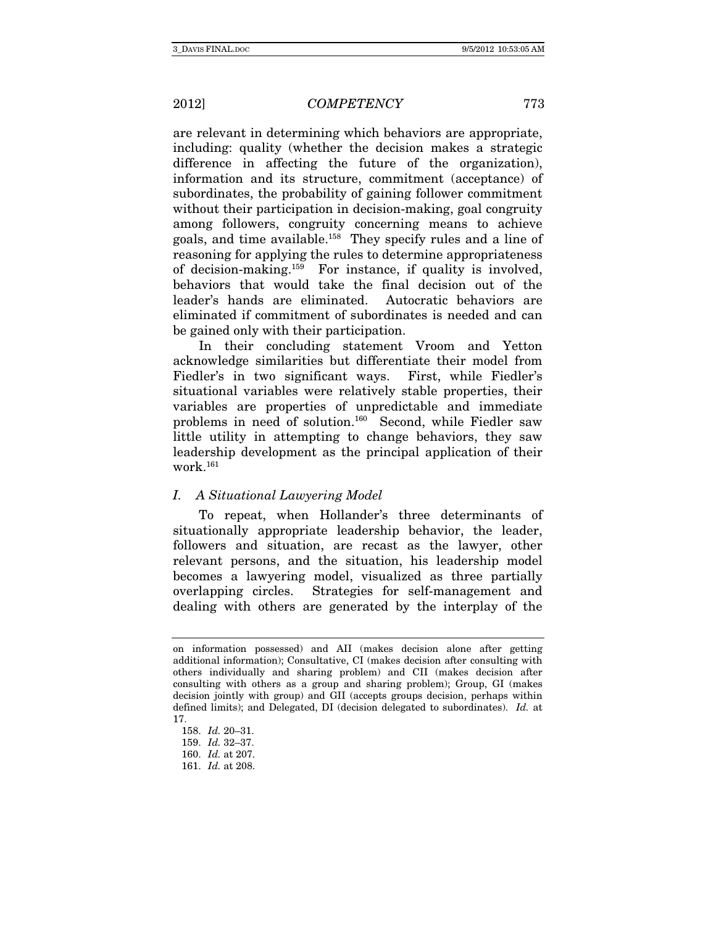are relevant in determining which behaviors are appropriate, including: quality (whether the decision makes a strategic difference in affecting the future of the organization), information and its structure, commitment (acceptance) of subordinates, the probability of gaining follower commitment without their participation in decision-making, goal congruity among followers, congruity concerning means to achieve goals, and time available.158 They specify rules and a line of reasoning for applying the rules to determine appropriateness of decision-making.159 For instance, if quality is involved, behaviors that would take the final decision out of the leader's hands are eliminated. Autocratic behaviors are eliminated if commitment of subordinates is needed and can be gained only with their participation.

In their concluding statement Vroom and Yetton acknowledge similarities but differentiate their model from Fiedler's in two significant ways. First, while Fiedler's situational variables were relatively stable properties, their variables are properties of unpredictable and immediate problems in need of solution.<sup>160</sup> Second, while Fiedler saw little utility in attempting to change behaviors, they saw leadership development as the principal application of their work.<sup>161</sup>

#### I. A Situational Lawyering Model

To repeat, when Hollander's three determinants of situationally appropriate leadership behavior, the leader, followers and situation, are recast as the lawyer, other relevant persons, and the situation, his leadership model becomes a lawyering model, visualized as three partially overlapping circles. Strategies for self-management and dealing with others are generated by the interplay of the

on information possessed) and AII (makes decision alone after getting additional information); Consultative, CI (makes decision after consulting with others individually and sharing problem) and CII (makes decision after consulting with others as a group and sharing problem); Group, GI (makes decision jointly with group) and GII (accepts groups decision, perhaps within defined limits); and Delegated, DI (decision delegated to subordinates). Id. at 17.

<sup>158.</sup> Id. 20–31.

<sup>159.</sup> Id. 32–37.

<sup>160.</sup> Id. at 207.

<sup>161.</sup> Id. at 208.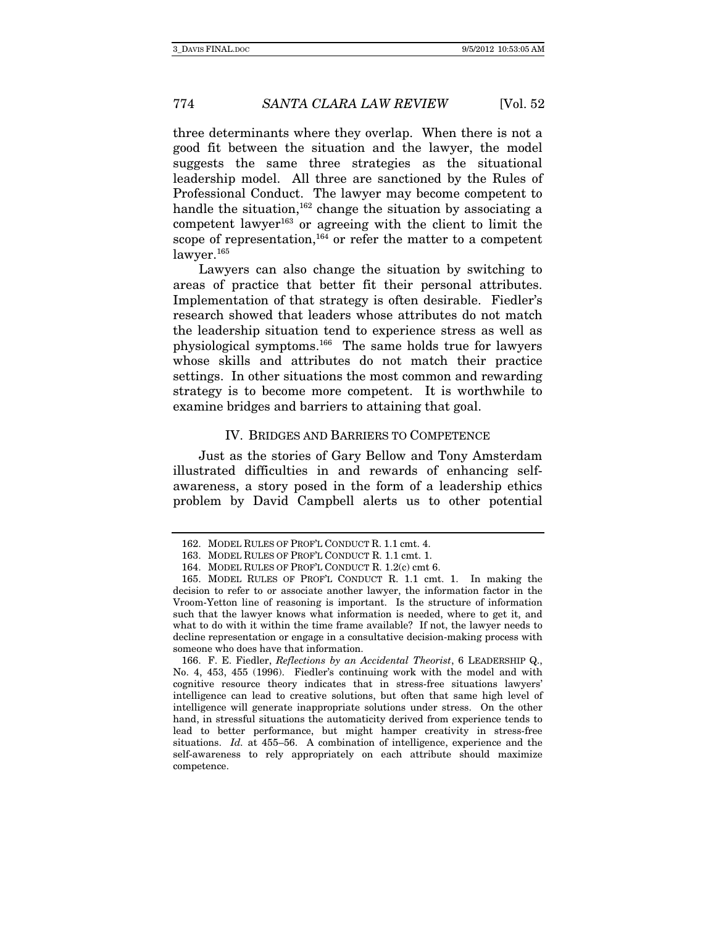three determinants where they overlap. When there is not a good fit between the situation and the lawyer, the model suggests the same three strategies as the situational leadership model. All three are sanctioned by the Rules of Professional Conduct. The lawyer may become competent to handle the situation,<sup>162</sup> change the situation by associating a competent lawyer<sup>163</sup> or agreeing with the client to limit the scope of representation,  $164$  or refer the matter to a competent lawyer.<sup>165</sup>

Lawyers can also change the situation by switching to areas of practice that better fit their personal attributes. Implementation of that strategy is often desirable. Fiedler's research showed that leaders whose attributes do not match the leadership situation tend to experience stress as well as physiological symptoms.166 The same holds true for lawyers whose skills and attributes do not match their practice settings. In other situations the most common and rewarding strategy is to become more competent. It is worthwhile to examine bridges and barriers to attaining that goal.

#### IV. BRIDGES AND BARRIERS TO COMPETENCE

Just as the stories of Gary Bellow and Tony Amsterdam illustrated difficulties in and rewards of enhancing selfawareness, a story posed in the form of a leadership ethics problem by David Campbell alerts us to other potential

 166. F. E. Fiedler, Reflections by an Accidental Theorist, 6 LEADERSHIP Q., No. 4, 453, 455 (1996). Fiedler's continuing work with the model and with cognitive resource theory indicates that in stress-free situations lawyers' intelligence can lead to creative solutions, but often that same high level of intelligence will generate inappropriate solutions under stress. On the other hand, in stressful situations the automaticity derived from experience tends to lead to better performance, but might hamper creativity in stress-free situations. Id. at 455–56. A combination of intelligence, experience and the self-awareness to rely appropriately on each attribute should maximize competence.

 <sup>162.</sup> MODEL RULES OF PROF'L CONDUCT R. 1.1 cmt. 4.

<sup>163.</sup> MODEL RULES OF PROF'L CONDUCT R. 1.1 cmt. 1.

<sup>164.</sup> MODEL RULES OF PROF'L CONDUCT R. 1.2(c) cmt 6.

<sup>165.</sup> MODEL RULES OF PROF'L CONDUCT R. 1.1 cmt. 1. In making the decision to refer to or associate another lawyer, the information factor in the Vroom-Yetton line of reasoning is important. Is the structure of information such that the lawyer knows what information is needed, where to get it, and what to do with it within the time frame available? If not, the lawyer needs to decline representation or engage in a consultative decision-making process with someone who does have that information.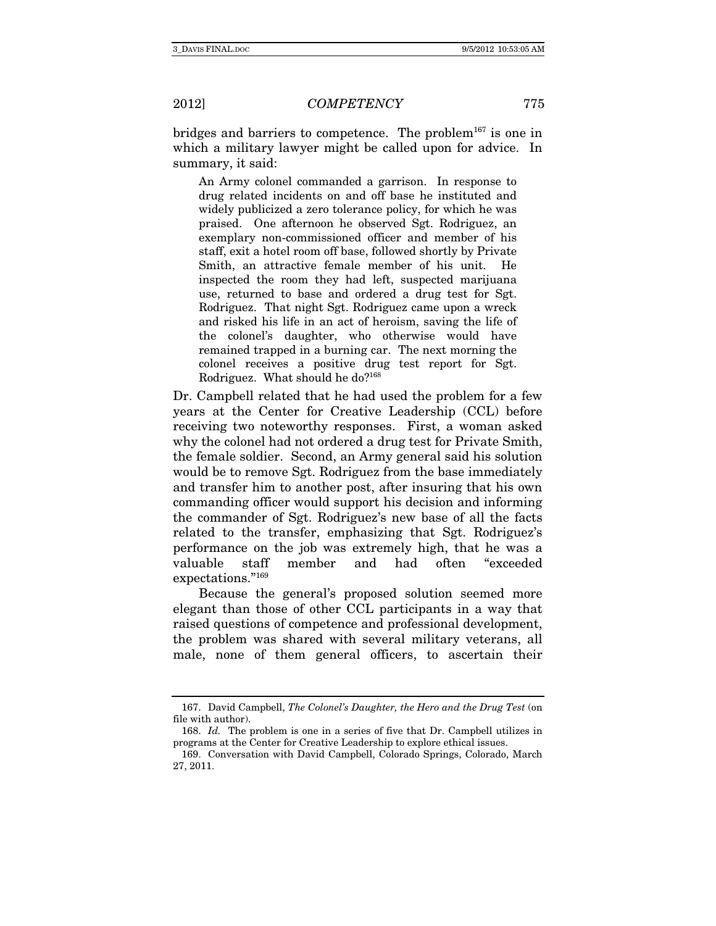bridges and barriers to competence. The problem<sup>167</sup> is one in which a military lawyer might be called upon for advice. In summary, it said:

An Army colonel commanded a garrison. In response to drug related incidents on and off base he instituted and widely publicized a zero tolerance policy, for which he was praised. One afternoon he observed Sgt. Rodriguez, an exemplary non-commissioned officer and member of his staff, exit a hotel room off base, followed shortly by Private Smith, an attractive female member of his unit. He inspected the room they had left, suspected marijuana use, returned to base and ordered a drug test for Sgt. Rodriguez. That night Sgt. Rodriguez came upon a wreck and risked his life in an act of heroism, saving the life of the colonel's daughter, who otherwise would have remained trapped in a burning car. The next morning the colonel receives a positive drug test report for Sgt. Rodriguez. What should he do?168

Dr. Campbell related that he had used the problem for a few years at the Center for Creative Leadership (CCL) before receiving two noteworthy responses. First, a woman asked why the colonel had not ordered a drug test for Private Smith, the female soldier. Second, an Army general said his solution would be to remove Sgt. Rodriguez from the base immediately and transfer him to another post, after insuring that his own commanding officer would support his decision and informing the commander of Sgt. Rodriguez's new base of all the facts related to the transfer, emphasizing that Sgt. Rodriguez's performance on the job was extremely high, that he was a valuable staff member and had often "exceeded expectations."169

Because the general's proposed solution seemed more elegant than those of other CCL participants in a way that raised questions of competence and professional development, the problem was shared with several military veterans, all male, none of them general officers, to ascertain their

<sup>167.</sup> David Campbell, The Colonel's Daughter, the Hero and the Drug Test (on file with author).

<sup>168.</sup> Id. The problem is one in a series of five that Dr. Campbell utilizes in programs at the Center for Creative Leadership to explore ethical issues.

 <sup>169.</sup> Conversation with David Campbell, Colorado Springs, Colorado, March 27, 2011.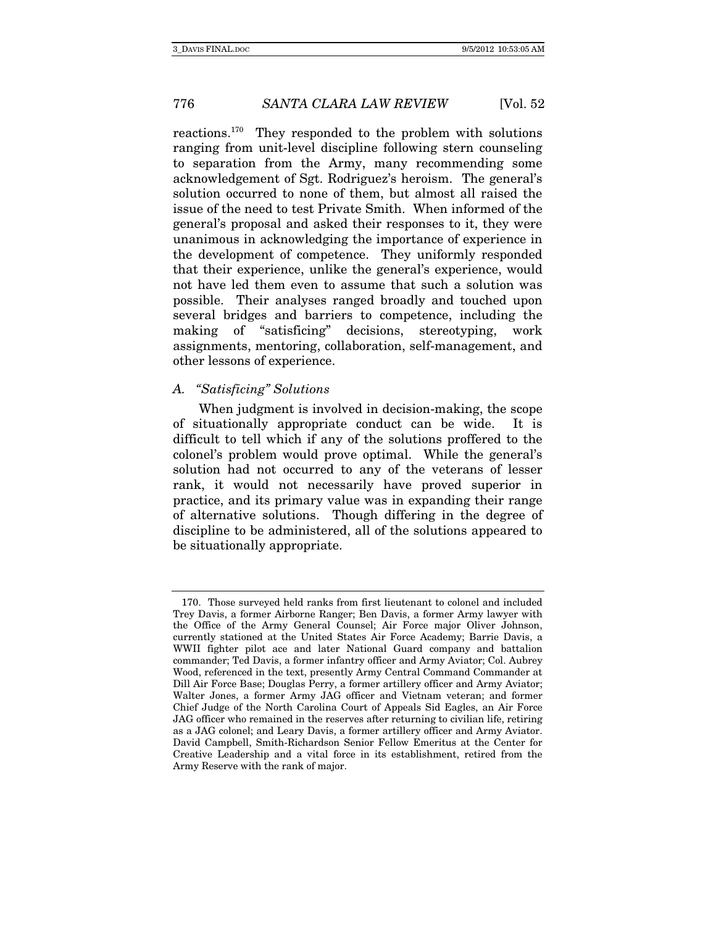reactions.170 They responded to the problem with solutions ranging from unit-level discipline following stern counseling to separation from the Army, many recommending some acknowledgement of Sgt. Rodriguez's heroism. The general's solution occurred to none of them, but almost all raised the issue of the need to test Private Smith. When informed of the general's proposal and asked their responses to it, they were unanimous in acknowledging the importance of experience in the development of competence. They uniformly responded that their experience, unlike the general's experience, would not have led them even to assume that such a solution was possible. Their analyses ranged broadly and touched upon several bridges and barriers to competence, including the making of "satisficing" decisions, stereotyping, work assignments, mentoring, collaboration, self-management, and other lessons of experience.

### A. "Satisficing" Solutions

When judgment is involved in decision-making, the scope of situationally appropriate conduct can be wide. It is difficult to tell which if any of the solutions proffered to the colonel's problem would prove optimal. While the general's solution had not occurred to any of the veterans of lesser rank, it would not necessarily have proved superior in practice, and its primary value was in expanding their range of alternative solutions. Though differing in the degree of discipline to be administered, all of the solutions appeared to be situationally appropriate.

 <sup>170.</sup> Those surveyed held ranks from first lieutenant to colonel and included Trey Davis, a former Airborne Ranger; Ben Davis, a former Army lawyer with the Office of the Army General Counsel; Air Force major Oliver Johnson, currently stationed at the United States Air Force Academy; Barrie Davis, a WWII fighter pilot ace and later National Guard company and battalion commander; Ted Davis, a former infantry officer and Army Aviator; Col. Aubrey Wood, referenced in the text, presently Army Central Command Commander at Dill Air Force Base; Douglas Perry, a former artillery officer and Army Aviator; Walter Jones, a former Army JAG officer and Vietnam veteran; and former Chief Judge of the North Carolina Court of Appeals Sid Eagles, an Air Force JAG officer who remained in the reserves after returning to civilian life, retiring as a JAG colonel; and Leary Davis, a former artillery officer and Army Aviator. David Campbell, Smith-Richardson Senior Fellow Emeritus at the Center for Creative Leadership and a vital force in its establishment, retired from the Army Reserve with the rank of major.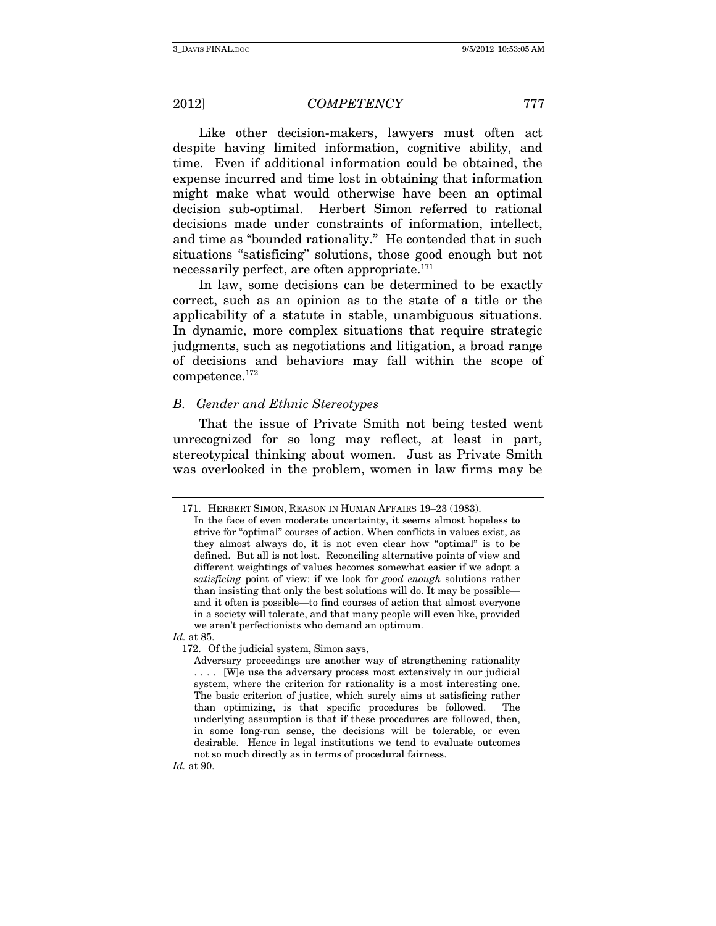Like other decision-makers, lawyers must often act despite having limited information, cognitive ability, and time. Even if additional information could be obtained, the expense incurred and time lost in obtaining that information might make what would otherwise have been an optimal decision sub-optimal. Herbert Simon referred to rational decisions made under constraints of information, intellect, and time as "bounded rationality." He contended that in such situations "satisficing" solutions, those good enough but not necessarily perfect, are often appropriate.<sup>171</sup>

In law, some decisions can be determined to be exactly correct, such as an opinion as to the state of a title or the applicability of a statute in stable, unambiguous situations. In dynamic, more complex situations that require strategic judgments, such as negotiations and litigation, a broad range of decisions and behaviors may fall within the scope of competence.172

#### B. Gender and Ethnic Stereotypes

That the issue of Private Smith not being tested went unrecognized for so long may reflect, at least in part, stereotypical thinking about women. Just as Private Smith was overlooked in the problem, women in law firms may be

172. Of the judicial system, Simon says,

Id. at 90.

 <sup>171.</sup> HERBERT SIMON, REASON IN HUMAN AFFAIRS 19–23 (1983). In the face of even moderate uncertainty, it seems almost hopeless to strive for "optimal" courses of action. When conflicts in values exist, as they almost always do, it is not even clear how "optimal" is to be defined. But all is not lost. Reconciling alternative points of view and different weightings of values becomes somewhat easier if we adopt a satisficing point of view: if we look for good enough solutions rather than insisting that only the best solutions will do. It may be possible and it often is possible—to find courses of action that almost everyone in a society will tolerate, and that many people will even like, provided we aren't perfectionists who demand an optimum.

Id. at 85.

Adversary proceedings are another way of strengthening rationality . . . . [W]e use the adversary process most extensively in our judicial system, where the criterion for rationality is a most interesting one. The basic criterion of justice, which surely aims at satisficing rather than optimizing, is that specific procedures be followed. The underlying assumption is that if these procedures are followed, then, in some long-run sense, the decisions will be tolerable, or even desirable. Hence in legal institutions we tend to evaluate outcomes not so much directly as in terms of procedural fairness.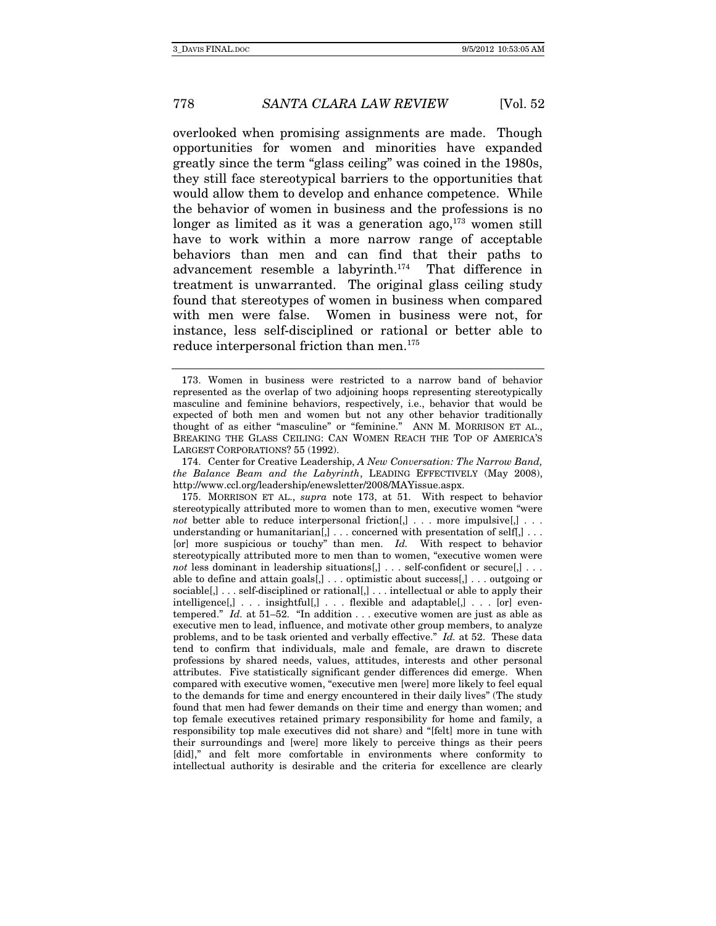overlooked when promising assignments are made. Though opportunities for women and minorities have expanded greatly since the term "glass ceiling" was coined in the 1980s, they still face stereotypical barriers to the opportunities that would allow them to develop and enhance competence. While the behavior of women in business and the professions is no longer as limited as it was a generation ago, $173$  women still have to work within a more narrow range of acceptable behaviors than men and can find that their paths to advancement resemble a labyrinth.174 That difference in treatment is unwarranted. The original glass ceiling study found that stereotypes of women in business when compared with men were false. Women in business were not, for instance, less self-disciplined or rational or better able to reduce interpersonal friction than men.<sup>175</sup>

 174. Center for Creative Leadership, A New Conversation: The Narrow Band, the Balance Beam and the Labyrinth, LEADING EFFECTIVELY (May 2008), http://www.ccl.org/leadership/enewsletter/2008/MAYissue.aspx.

 175. MORRISON ET AL., supra note 173, at 51. With respect to behavior stereotypically attributed more to women than to men, executive women "were not better able to reduce interpersonal friction[,]  $\ldots$  more impulsive[,]  $\ldots$ understanding or humanitarian[,] . . . concerned with presentation of self[,] . . . [or] more suspicious or touchy" than men. Id. With respect to behavior stereotypically attributed more to men than to women, "executive women were not less dominant in leadership situations $[,$  ... self-confident or secure $[,$  ... able to define and attain goals[,] . . . optimistic about success[,] . . . outgoing or sociable[,] . . . self-disciplined or rational[,] . . . intellectual or able to apply their intelligence[,] . . . insightful[,] . . . flexible and adaptable[,] . . . [or] eventempered." Id. at  $51-52$ . "In addition . . . executive women are just as able as executive men to lead, influence, and motivate other group members, to analyze problems, and to be task oriented and verbally effective." Id. at 52. These data tend to confirm that individuals, male and female, are drawn to discrete professions by shared needs, values, attitudes, interests and other personal attributes. Five statistically significant gender differences did emerge. When compared with executive women, "executive men [were] more likely to feel equal to the demands for time and energy encountered in their daily lives" (The study found that men had fewer demands on their time and energy than women; and top female executives retained primary responsibility for home and family, a responsibility top male executives did not share) and "[felt] more in tune with their surroundings and [were] more likely to perceive things as their peers [did]," and felt more comfortable in environments where conformity to intellectual authority is desirable and the criteria for excellence are clearly

 <sup>173.</sup> Women in business were restricted to a narrow band of behavior represented as the overlap of two adjoining hoops representing stereotypically masculine and feminine behaviors, respectively, i.e., behavior that would be expected of both men and women but not any other behavior traditionally thought of as either "masculine" or "feminine." ANN M. MORRISON ET AL., BREAKING THE GLASS CEILING: CAN WOMEN REACH THE TOP OF AMERICA'S LARGEST CORPORATIONS? 55 (1992).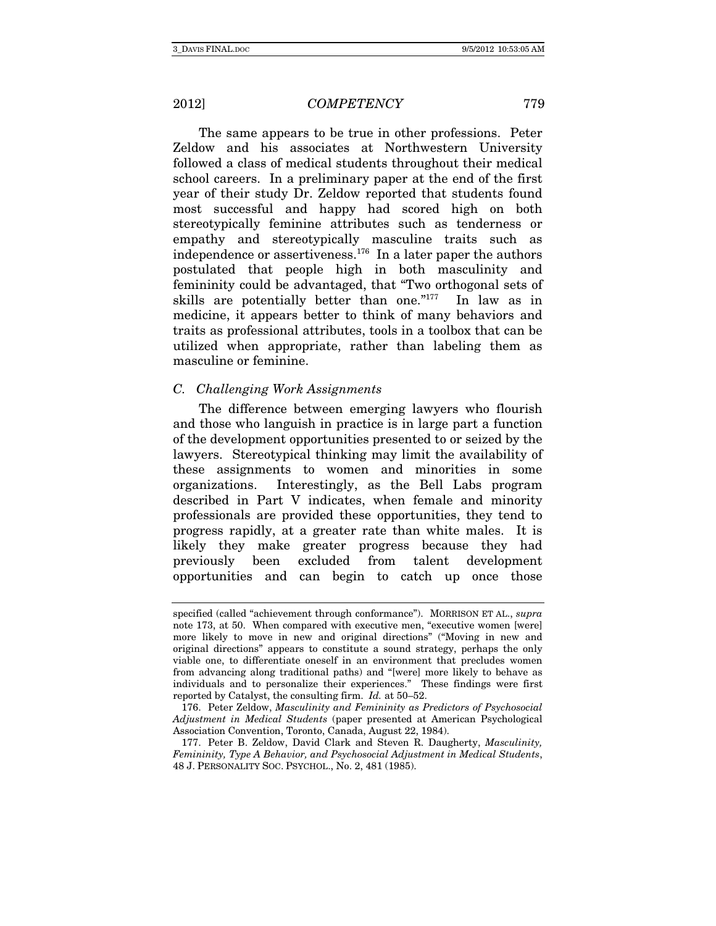The same appears to be true in other professions. Peter Zeldow and his associates at Northwestern University followed a class of medical students throughout their medical school careers. In a preliminary paper at the end of the first year of their study Dr. Zeldow reported that students found most successful and happy had scored high on both stereotypically feminine attributes such as tenderness or empathy and stereotypically masculine traits such as independence or assertiveness.<sup>176</sup> In a later paper the authors postulated that people high in both masculinity and femininity could be advantaged, that "Two orthogonal sets of skills are potentially better than one."177 In law as in medicine, it appears better to think of many behaviors and traits as professional attributes, tools in a toolbox that can be utilized when appropriate, rather than labeling them as masculine or feminine.

#### C. Challenging Work Assignments

The difference between emerging lawyers who flourish and those who languish in practice is in large part a function of the development opportunities presented to or seized by the lawyers. Stereotypical thinking may limit the availability of these assignments to women and minorities in some organizations. Interestingly, as the Bell Labs program described in Part V indicates, when female and minority professionals are provided these opportunities, they tend to progress rapidly, at a greater rate than white males. It is likely they make greater progress because they had previously been excluded from talent development opportunities and can begin to catch up once those

specified (called "achievement through conformance"). MORRISON ET AL., supra note 173, at 50. When compared with executive men, "executive women [were] more likely to move in new and original directions" ("Moving in new and original directions" appears to constitute a sound strategy, perhaps the only viable one, to differentiate oneself in an environment that precludes women from advancing along traditional paths) and "[were] more likely to behave as individuals and to personalize their experiences." These findings were first reported by Catalyst, the consulting firm. Id. at 50–52.

 <sup>176.</sup> Peter Zeldow, Masculinity and Femininity as Predictors of Psychosocial Adjustment in Medical Students (paper presented at American Psychological Association Convention, Toronto, Canada, August 22, 1984).

 <sup>177.</sup> Peter B. Zeldow, David Clark and Steven R. Daugherty, Masculinity, Femininity, Type A Behavior, and Psychosocial Adjustment in Medical Students, 48 J. PERSONALITY SOC. PSYCHOL., No. 2, 481 (1985).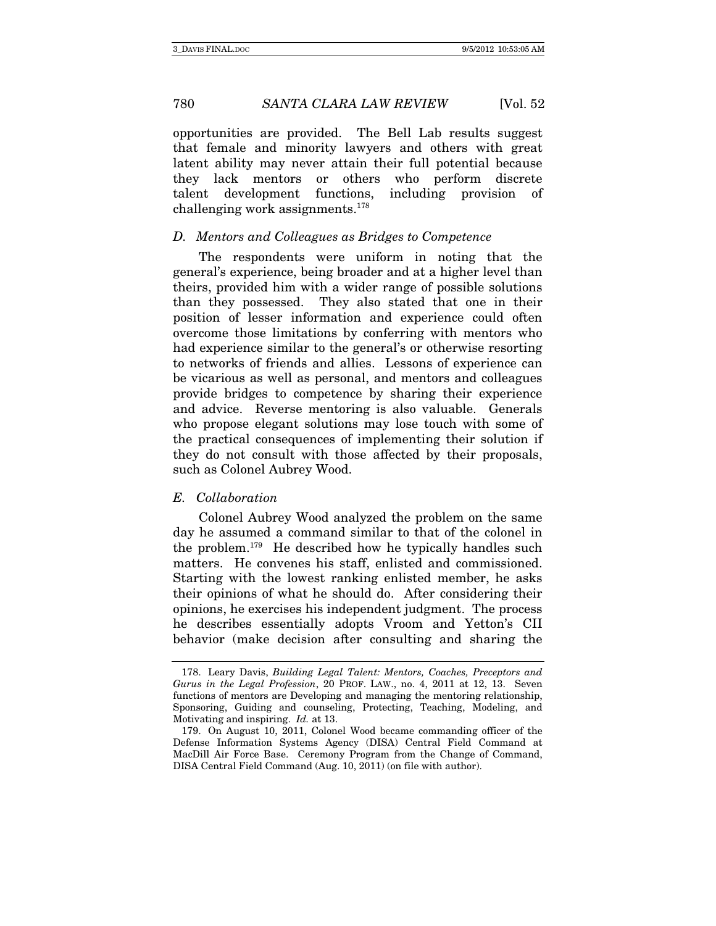opportunities are provided. The Bell Lab results suggest that female and minority lawyers and others with great latent ability may never attain their full potential because they lack mentors or others who perform discrete talent development functions, including provision of challenging work assignments.178

#### D. Mentors and Colleagues as Bridges to Competence

The respondents were uniform in noting that the general's experience, being broader and at a higher level than theirs, provided him with a wider range of possible solutions than they possessed. They also stated that one in their position of lesser information and experience could often overcome those limitations by conferring with mentors who had experience similar to the general's or otherwise resorting to networks of friends and allies. Lessons of experience can be vicarious as well as personal, and mentors and colleagues provide bridges to competence by sharing their experience and advice. Reverse mentoring is also valuable. Generals who propose elegant solutions may lose touch with some of the practical consequences of implementing their solution if they do not consult with those affected by their proposals, such as Colonel Aubrey Wood.

#### E. Collaboration

Colonel Aubrey Wood analyzed the problem on the same day he assumed a command similar to that of the colonel in the problem.179 He described how he typically handles such matters. He convenes his staff, enlisted and commissioned. Starting with the lowest ranking enlisted member, he asks their opinions of what he should do. After considering their opinions, he exercises his independent judgment. The process he describes essentially adopts Vroom and Yetton's CII behavior (make decision after consulting and sharing the

 <sup>178.</sup> Leary Davis, Building Legal Talent: Mentors, Coaches, Preceptors and Gurus in the Legal Profession, 20 PROF. LAW., no. 4, 2011 at 12, 13. Seven functions of mentors are Developing and managing the mentoring relationship, Sponsoring, Guiding and counseling, Protecting, Teaching, Modeling, and Motivating and inspiring. Id. at 13.

 <sup>179.</sup> On August 10, 2011, Colonel Wood became commanding officer of the Defense Information Systems Agency (DISA) Central Field Command at MacDill Air Force Base. Ceremony Program from the Change of Command, DISA Central Field Command (Aug. 10, 2011) (on file with author).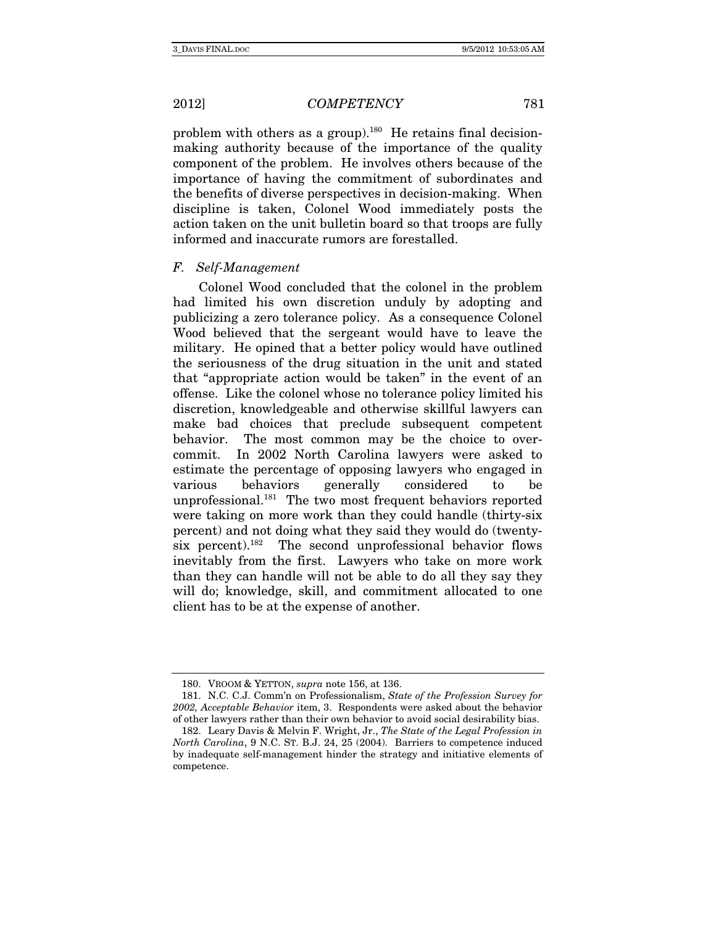problem with others as a group).<sup>180</sup> He retains final decisionmaking authority because of the importance of the quality component of the problem. He involves others because of the importance of having the commitment of subordinates and the benefits of diverse perspectives in decision-making. When discipline is taken, Colonel Wood immediately posts the action taken on the unit bulletin board so that troops are fully informed and inaccurate rumors are forestalled.

#### F. Self-Management

Colonel Wood concluded that the colonel in the problem had limited his own discretion unduly by adopting and publicizing a zero tolerance policy. As a consequence Colonel Wood believed that the sergeant would have to leave the military. He opined that a better policy would have outlined the seriousness of the drug situation in the unit and stated that "appropriate action would be taken" in the event of an offense. Like the colonel whose no tolerance policy limited his discretion, knowledgeable and otherwise skillful lawyers can make bad choices that preclude subsequent competent behavior. The most common may be the choice to overcommit. In 2002 North Carolina lawyers were asked to estimate the percentage of opposing lawyers who engaged in various behaviors generally considered to be unprofessional.181 The two most frequent behaviors reported were taking on more work than they could handle (thirty-six percent) and not doing what they said they would do (twentysix percent).<sup>182</sup> The second unprofessional behavior flows inevitably from the first. Lawyers who take on more work than they can handle will not be able to do all they say they will do; knowledge, skill, and commitment allocated to one client has to be at the expense of another.

 <sup>180.</sup> VROOM & YETTON, supra note 156, at 136.

 <sup>181.</sup> N.C. C.J. Comm'n on Professionalism, State of the Profession Survey for 2002, Acceptable Behavior item, 3. Respondents were asked about the behavior of other lawyers rather than their own behavior to avoid social desirability bias.

 <sup>182.</sup> Leary Davis & Melvin F. Wright, Jr., The State of the Legal Profession in North Carolina, 9 N.C. ST. B.J. 24, 25 (2004). Barriers to competence induced by inadequate self-management hinder the strategy and initiative elements of competence.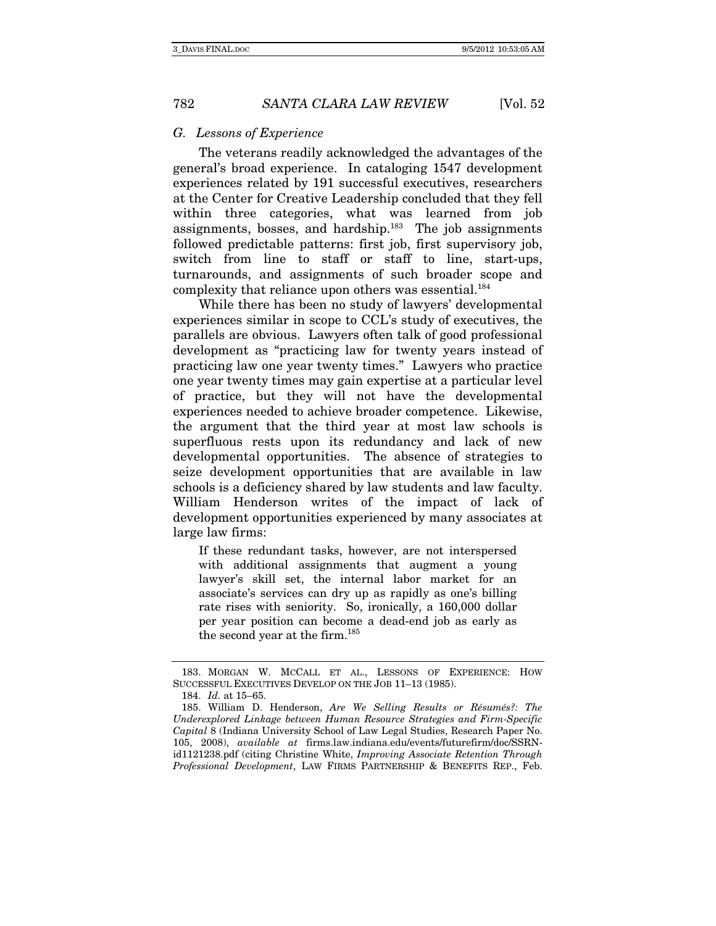#### G. Lessons of Experience

The veterans readily acknowledged the advantages of the general's broad experience. In cataloging 1547 development experiences related by 191 successful executives, researchers at the Center for Creative Leadership concluded that they fell within three categories, what was learned from job assignments, bosses, and hardship.183 The job assignments followed predictable patterns: first job, first supervisory job, switch from line to staff or staff to line, start-ups, turnarounds, and assignments of such broader scope and complexity that reliance upon others was essential.<sup>184</sup>

While there has been no study of lawyers' developmental experiences similar in scope to CCL's study of executives, the parallels are obvious. Lawyers often talk of good professional development as "practicing law for twenty years instead of practicing law one year twenty times." Lawyers who practice one year twenty times may gain expertise at a particular level of practice, but they will not have the developmental experiences needed to achieve broader competence. Likewise, the argument that the third year at most law schools is superfluous rests upon its redundancy and lack of new developmental opportunities. The absence of strategies to seize development opportunities that are available in law schools is a deficiency shared by law students and law faculty. William Henderson writes of the impact of lack of development opportunities experienced by many associates at large law firms:

If these redundant tasks, however, are not interspersed with additional assignments that augment a young lawyer's skill set, the internal labor market for an associate's services can dry up as rapidly as one's billing rate rises with seniority. So, ironically, a 160,000 dollar per year position can become a dead-end job as early as the second year at the firm.<sup>185</sup>

 <sup>183.</sup> MORGAN W. MCCALL ET AL., LESSONS OF EXPERIENCE: HOW SUCCESSFUL EXECUTIVES DEVELOP ON THE JOB 11–13 (1985).

<sup>184.</sup> Id. at 15–65.

 <sup>185.</sup> William D. Henderson, Are We Selling Results or Résumés?: The Underexplored Linkage between Human Resource Strategies and Firm-Specific Capital 8 (Indiana University School of Law Legal Studies, Research Paper No. 105, 2008), available at firms.law.indiana.edu/events/futurefirm/doc/SSRNid1121238.pdf (citing Christine White, Improving Associate Retention Through Professional Development, LAW FIRMS PARTNERSHIP & BENEFITS REP., Feb.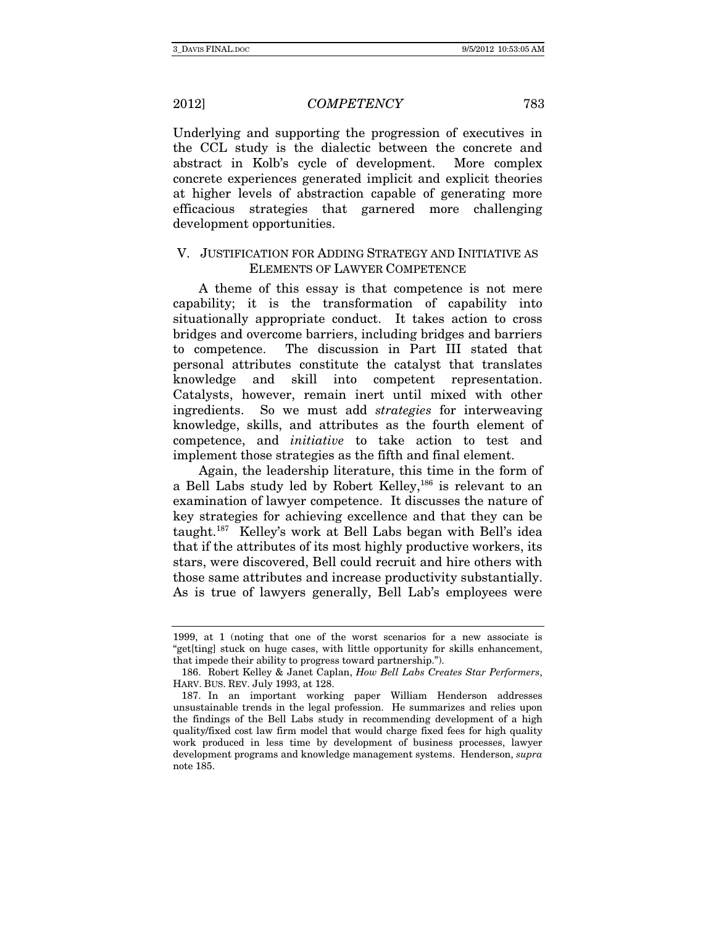Underlying and supporting the progression of executives in the CCL study is the dialectic between the concrete and abstract in Kolb's cycle of development. More complex concrete experiences generated implicit and explicit theories at higher levels of abstraction capable of generating more efficacious strategies that garnered more challenging development opportunities.

#### V. JUSTIFICATION FOR ADDING STRATEGY AND INITIATIVE AS ELEMENTS OF LAWYER COMPETENCE

A theme of this essay is that competence is not mere capability; it is the transformation of capability into situationally appropriate conduct. It takes action to cross bridges and overcome barriers, including bridges and barriers to competence. The discussion in Part III stated that personal attributes constitute the catalyst that translates knowledge and skill into competent representation. Catalysts, however, remain inert until mixed with other ingredients. So we must add strategies for interweaving knowledge, skills, and attributes as the fourth element of competence, and initiative to take action to test and implement those strategies as the fifth and final element.

Again, the leadership literature, this time in the form of a Bell Labs study led by Robert Kelley,<sup>186</sup> is relevant to an examination of lawyer competence. It discusses the nature of key strategies for achieving excellence and that they can be taught.187 Kelley's work at Bell Labs began with Bell's idea that if the attributes of its most highly productive workers, its stars, were discovered, Bell could recruit and hire others with those same attributes and increase productivity substantially. As is true of lawyers generally, Bell Lab's employees were

<sup>1999,</sup> at 1 (noting that one of the worst scenarios for a new associate is "get[ting] stuck on huge cases, with little opportunity for skills enhancement, that impede their ability to progress toward partnership.").

 <sup>186.</sup> Robert Kelley & Janet Caplan, How Bell Labs Creates Star Performers, HARV. BUS. REV. July 1993, at 128.

 <sup>187.</sup> In an important working paper William Henderson addresses unsustainable trends in the legal profession. He summarizes and relies upon the findings of the Bell Labs study in recommending development of a high quality/fixed cost law firm model that would charge fixed fees for high quality work produced in less time by development of business processes, lawyer development programs and knowledge management systems. Henderson, supra note 185.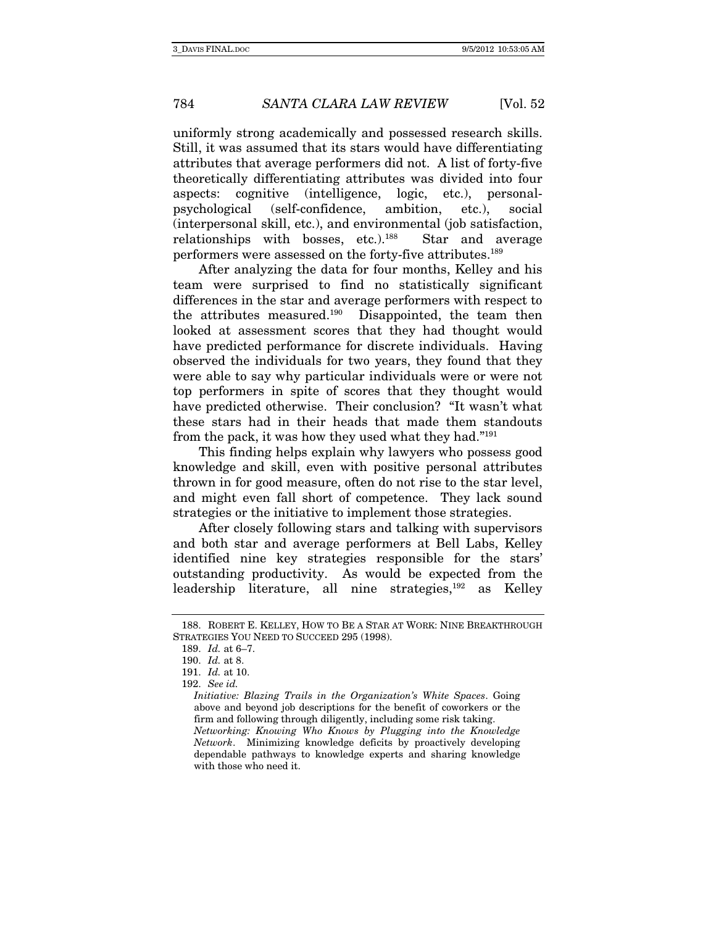uniformly strong academically and possessed research skills. Still, it was assumed that its stars would have differentiating attributes that average performers did not. A list of forty-five theoretically differentiating attributes was divided into four aspects: cognitive (intelligence, logic, etc.), personalpsychological (self-confidence, ambition, etc.), social (interpersonal skill, etc.), and environmental (job satisfaction, relationships with bosses, etc.).<sup>188</sup> Star and average performers were assessed on the forty-five attributes.189

After analyzing the data for four months, Kelley and his team were surprised to find no statistically significant differences in the star and average performers with respect to the attributes measured.190 Disappointed, the team then looked at assessment scores that they had thought would have predicted performance for discrete individuals. Having observed the individuals for two years, they found that they were able to say why particular individuals were or were not top performers in spite of scores that they thought would have predicted otherwise. Their conclusion? "It wasn't what these stars had in their heads that made them standouts from the pack, it was how they used what they had."191

This finding helps explain why lawyers who possess good knowledge and skill, even with positive personal attributes thrown in for good measure, often do not rise to the star level, and might even fall short of competence. They lack sound strategies or the initiative to implement those strategies.

After closely following stars and talking with supervisors and both star and average performers at Bell Labs, Kelley identified nine key strategies responsible for the stars' outstanding productivity. As would be expected from the leadership literature, all nine strategies,192 as Kelley

 <sup>188.</sup> ROBERT E. KELLEY, HOW TO BE A STAR AT WORK: NINE BREAKTHROUGH STRATEGIES YOU NEED TO SUCCEED 295 (1998).

<sup>189.</sup> Id. at 6–7.

<sup>190.</sup> Id. at 8.

<sup>191.</sup> Id. at 10.

<sup>192.</sup> See id.

Initiative: Blazing Trails in the Organization's White Spaces. Going above and beyond job descriptions for the benefit of coworkers or the firm and following through diligently, including some risk taking.

Networking: Knowing Who Knows by Plugging into the Knowledge Network. Minimizing knowledge deficits by proactively developing dependable pathways to knowledge experts and sharing knowledge with those who need it.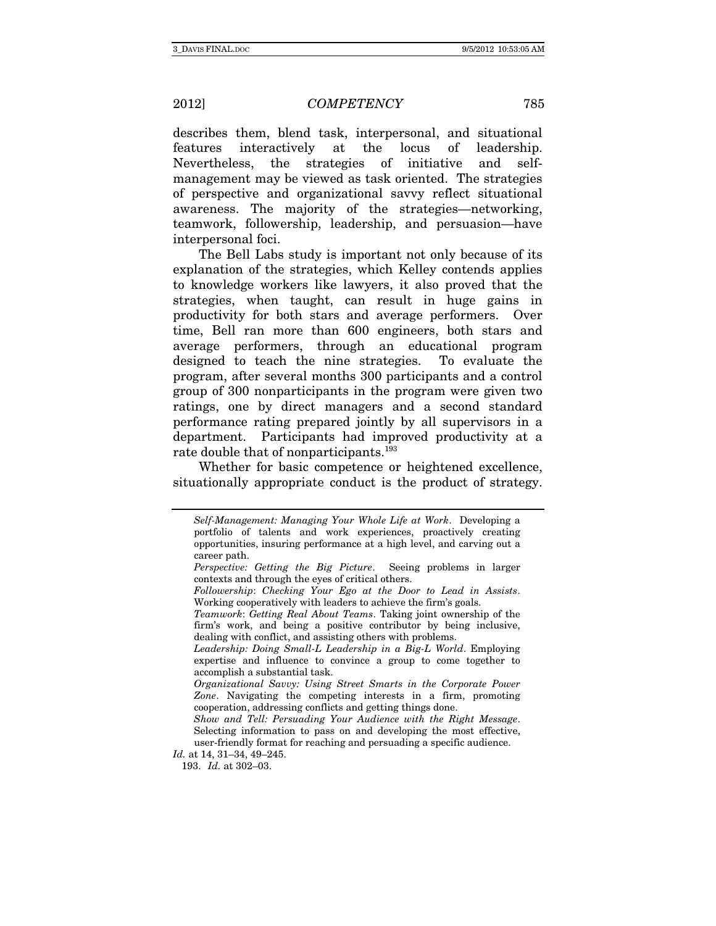describes them, blend task, interpersonal, and situational features interactively at the locus of leadership. Nevertheless, the strategies of initiative and selfmanagement may be viewed as task oriented. The strategies of perspective and organizational savvy reflect situational awareness. The majority of the strategies—networking, teamwork, followership, leadership, and persuasion—have interpersonal foci.

The Bell Labs study is important not only because of its explanation of the strategies, which Kelley contends applies to knowledge workers like lawyers, it also proved that the strategies, when taught, can result in huge gains in productivity for both stars and average performers. Over time, Bell ran more than 600 engineers, both stars and average performers, through an educational program designed to teach the nine strategies. To evaluate the program, after several months 300 participants and a control group of 300 nonparticipants in the program were given two ratings, one by direct managers and a second standard performance rating prepared jointly by all supervisors in a department. Participants had improved productivity at a rate double that of nonparticipants.<sup>193</sup>

Whether for basic competence or heightened excellence, situationally appropriate conduct is the product of strategy.

Id. at 14, 31–34, 49–245.

Self-Management: Managing Your Whole Life at Work. Developing a portfolio of talents and work experiences, proactively creating opportunities, insuring performance at a high level, and carving out a career path.

Perspective: Getting the Big Picture. Seeing problems in larger contexts and through the eyes of critical others.

Followership: Checking Your Ego at the Door to Lead in Assists. Working cooperatively with leaders to achieve the firm's goals.

Teamwork: Getting Real About Teams. Taking joint ownership of the firm's work, and being a positive contributor by being inclusive, dealing with conflict, and assisting others with problems.

Leadership: Doing Small-L Leadership in a Big-L World. Employing expertise and influence to convince a group to come together to accomplish a substantial task.

Organizational Savvy: Using Street Smarts in the Corporate Power Zone. Navigating the competing interests in a firm, promoting cooperation, addressing conflicts and getting things done.

Show and Tell: Persuading Your Audience with the Right Message. Selecting information to pass on and developing the most effective, user-friendly format for reaching and persuading a specific audience.

<sup>193.</sup> Id. at 302–03.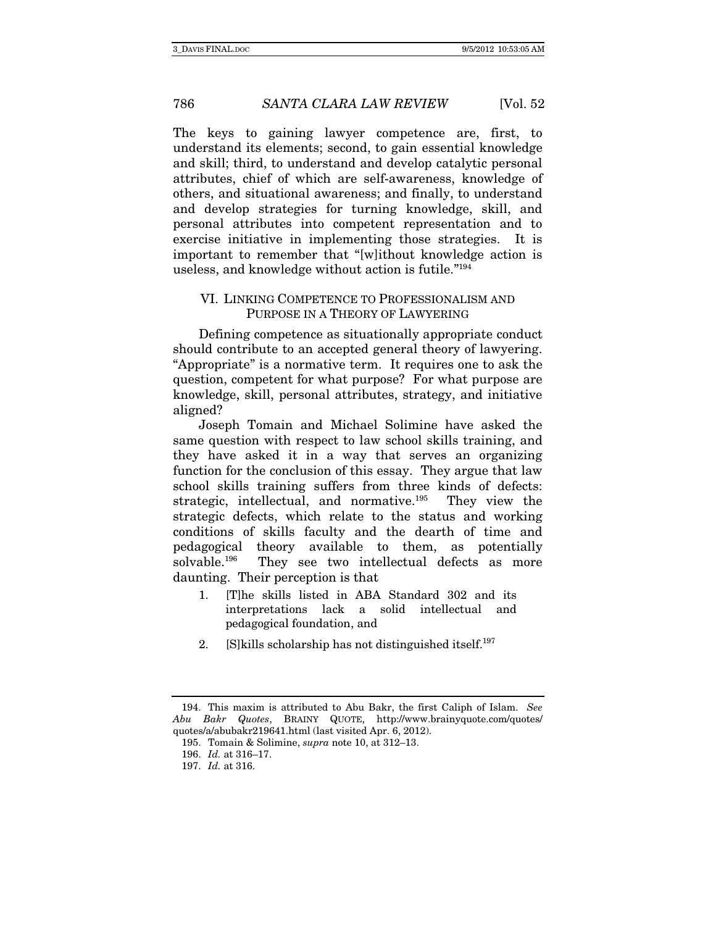The keys to gaining lawyer competence are, first, to understand its elements; second, to gain essential knowledge and skill; third, to understand and develop catalytic personal attributes, chief of which are self-awareness, knowledge of others, and situational awareness; and finally, to understand and develop strategies for turning knowledge, skill, and personal attributes into competent representation and to exercise initiative in implementing those strategies. It is important to remember that "[w]ithout knowledge action is useless, and knowledge without action is futile."194

#### VI. LINKING COMPETENCE TO PROFESSIONALISM AND PURPOSE IN A THEORY OF LAWYERING

Defining competence as situationally appropriate conduct should contribute to an accepted general theory of lawyering. "Appropriate" is a normative term. It requires one to ask the question, competent for what purpose? For what purpose are knowledge, skill, personal attributes, strategy, and initiative aligned?

Joseph Tomain and Michael Solimine have asked the same question with respect to law school skills training, and they have asked it in a way that serves an organizing function for the conclusion of this essay. They argue that law school skills training suffers from three kinds of defects: strategic, intellectual, and normative.<sup>195</sup> They view the strategic defects, which relate to the status and working conditions of skills faculty and the dearth of time and pedagogical theory available to them, as potentially solvable.<sup>196</sup> They see two intellectual defects as more daunting. Their perception is that

- 1. [T]he skills listed in ABA Standard 302 and its interpretations lack a solid intellectual and pedagogical foundation, and
- 2. [S]kills scholarship has not distinguished itself.<sup>197</sup>

 <sup>194.</sup> This maxim is attributed to Abu Bakr, the first Caliph of Islam. See Abu Bakr Quotes, BRAINY QUOTE, http://www.brainyquote.com/quotes/ quotes/a/abubakr219641.html (last visited Apr. 6, 2012).

 <sup>195.</sup> Tomain & Solimine, supra note 10, at 312–13.

<sup>196.</sup> Id. at 316–17.

<sup>197.</sup> Id. at 316.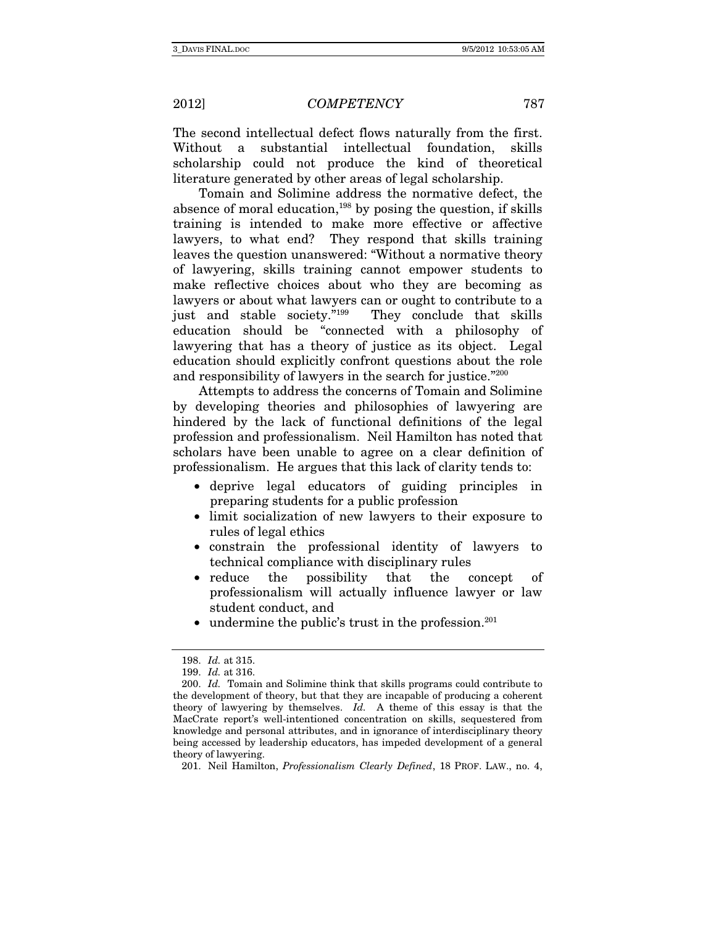The second intellectual defect flows naturally from the first. Without a substantial intellectual foundation, skills scholarship could not produce the kind of theoretical literature generated by other areas of legal scholarship.

Tomain and Solimine address the normative defect, the absence of moral education,198 by posing the question, if skills training is intended to make more effective or affective lawyers, to what end? They respond that skills training leaves the question unanswered: "Without a normative theory of lawyering, skills training cannot empower students to make reflective choices about who they are becoming as lawyers or about what lawyers can or ought to contribute to a just and stable society."199 They conclude that skills education should be "connected with a philosophy of lawyering that has a theory of justice as its object. Legal education should explicitly confront questions about the role and responsibility of lawyers in the search for justice."200

Attempts to address the concerns of Tomain and Solimine by developing theories and philosophies of lawyering are hindered by the lack of functional definitions of the legal profession and professionalism. Neil Hamilton has noted that scholars have been unable to agree on a clear definition of professionalism. He argues that this lack of clarity tends to:

- deprive legal educators of guiding principles in preparing students for a public profession
- limit socialization of new lawyers to their exposure to rules of legal ethics
- constrain the professional identity of lawyers to technical compliance with disciplinary rules
- reduce the possibility that the concept of professionalism will actually influence lawyer or law student conduct, and
- undermine the public's trust in the profession.<sup>201</sup>

<sup>198.</sup> Id. at 315.

<sup>199.</sup> Id. at 316.

<sup>200.</sup> Id. Tomain and Solimine think that skills programs could contribute to the development of theory, but that they are incapable of producing a coherent theory of lawyering by themselves. Id. A theme of this essay is that the MacCrate report's well-intentioned concentration on skills, sequestered from knowledge and personal attributes, and in ignorance of interdisciplinary theory being accessed by leadership educators, has impeded development of a general theory of lawyering.

 <sup>201.</sup> Neil Hamilton, Professionalism Clearly Defined, 18 PROF. LAW., no. 4,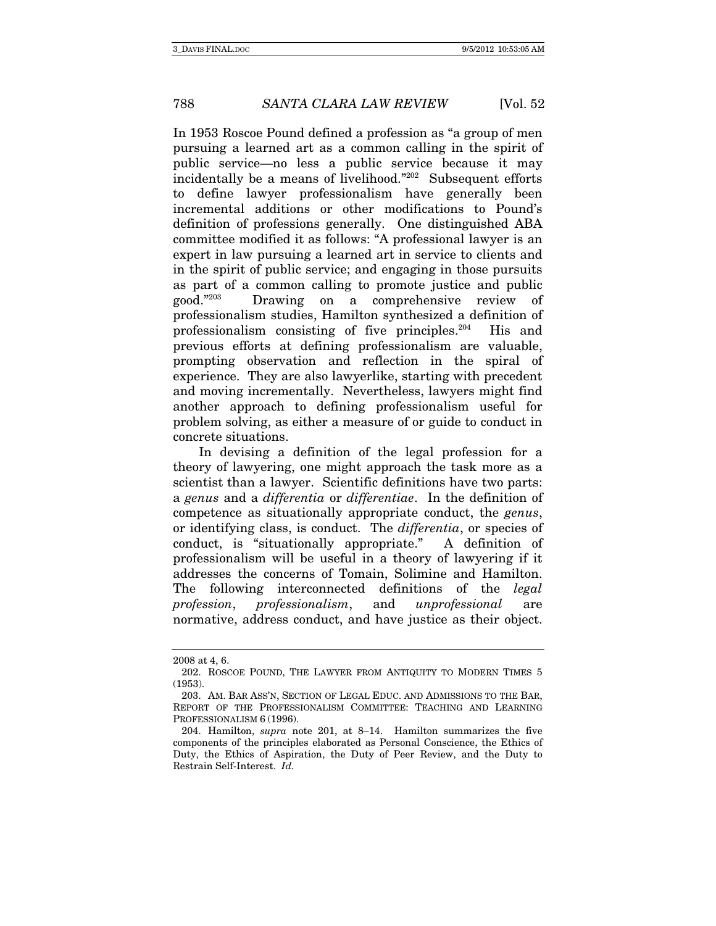In 1953 Roscoe Pound defined a profession as "a group of men pursuing a learned art as a common calling in the spirit of public service—no less a public service because it may incidentally be a means of livelihood."202 Subsequent efforts to define lawyer professionalism have generally been incremental additions or other modifications to Pound's definition of professions generally. One distinguished ABA committee modified it as follows: "A professional lawyer is an expert in law pursuing a learned art in service to clients and in the spirit of public service; and engaging in those pursuits as part of a common calling to promote justice and public good."203 Drawing on a comprehensive review of professionalism studies, Hamilton synthesized a definition of professionalism consisting of five principles.204 His and previous efforts at defining professionalism are valuable, prompting observation and reflection in the spiral of experience. They are also lawyerlike, starting with precedent and moving incrementally. Nevertheless, lawyers might find another approach to defining professionalism useful for problem solving, as either a measure of or guide to conduct in concrete situations.

In devising a definition of the legal profession for a theory of lawyering, one might approach the task more as a scientist than a lawyer. Scientific definitions have two parts: a genus and a differentia or differentiae. In the definition of competence as situationally appropriate conduct, the genus, or identifying class, is conduct. The differentia, or species of conduct, is "situationally appropriate." A definition of professionalism will be useful in a theory of lawyering if it addresses the concerns of Tomain, Solimine and Hamilton. The following interconnected definitions of the *legal* profession, professionalism, and unprofessional are normative, address conduct, and have justice as their object.

<sup>2008</sup> at 4, 6.

 <sup>202.</sup> ROSCOE POUND, THE LAWYER FROM ANTIQUITY TO MODERN TIMES 5 (1953).

 <sup>203.</sup> AM. BAR ASS'N, SECTION OF LEGAL EDUC. AND ADMISSIONS TO THE BAR, REPORT OF THE PROFESSIONALISM COMMITTEE: TEACHING AND LEARNING PROFESSIONALISM 6 (1996).

 <sup>204.</sup> Hamilton, supra note 201, at 8–14. Hamilton summarizes the five components of the principles elaborated as Personal Conscience, the Ethics of Duty, the Ethics of Aspiration, the Duty of Peer Review, and the Duty to Restrain Self-Interest. Id.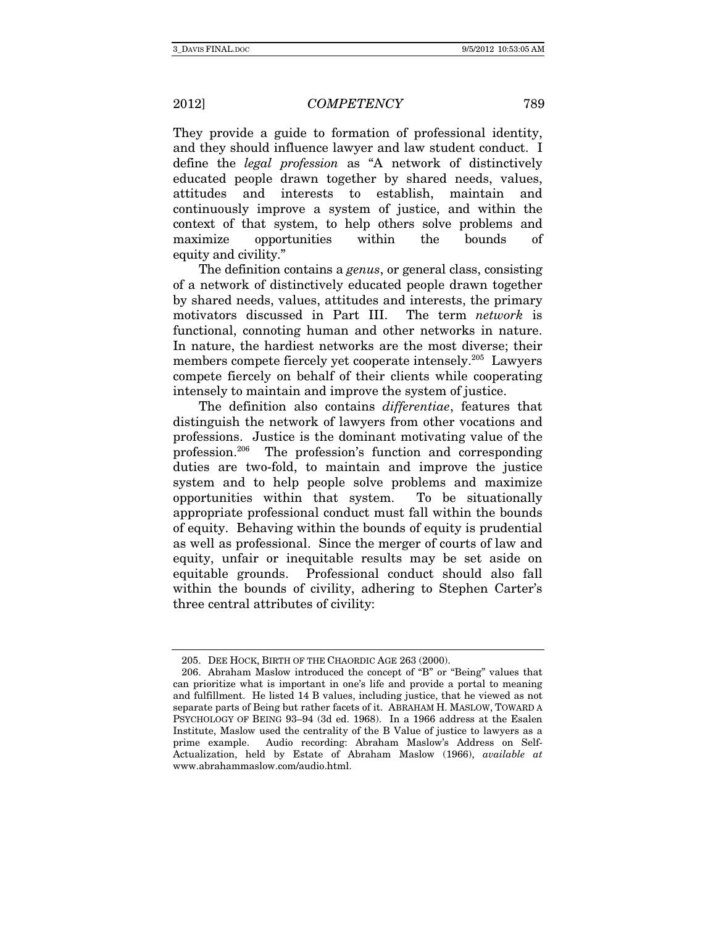They provide a guide to formation of professional identity, and they should influence lawyer and law student conduct. I define the legal profession as "A network of distinctively educated people drawn together by shared needs, values, attitudes and interests to establish, maintain and continuously improve a system of justice, and within the context of that system, to help others solve problems and maximize opportunities within the bounds of equity and civility."

The definition contains a *genus*, or general class, consisting of a network of distinctively educated people drawn together by shared needs, values, attitudes and interests, the primary motivators discussed in Part III. The term network is functional, connoting human and other networks in nature. In nature, the hardiest networks are the most diverse; their members compete fiercely yet cooperate intensely.205 Lawyers compete fiercely on behalf of their clients while cooperating intensely to maintain and improve the system of justice.

The definition also contains *differentiae*, features that distinguish the network of lawyers from other vocations and professions. Justice is the dominant motivating value of the profession.206 The profession's function and corresponding duties are two-fold, to maintain and improve the justice system and to help people solve problems and maximize opportunities within that system. To be situationally appropriate professional conduct must fall within the bounds of equity. Behaving within the bounds of equity is prudential as well as professional. Since the merger of courts of law and equity, unfair or inequitable results may be set aside on equitable grounds. Professional conduct should also fall within the bounds of civility, adhering to Stephen Carter's three central attributes of civility:

 <sup>205.</sup> DEE HOCK, BIRTH OF THE CHAORDIC AGE 263 (2000).

 <sup>206.</sup> Abraham Maslow introduced the concept of "B" or "Being" values that can prioritize what is important in one's life and provide a portal to meaning and fulfillment. He listed 14 B values, including justice, that he viewed as not separate parts of Being but rather facets of it. ABRAHAM H. MASLOW, TOWARD A PSYCHOLOGY OF BEING 93–94 (3d ed. 1968). In a 1966 address at the Esalen Institute, Maslow used the centrality of the B Value of justice to lawyers as a prime example. Audio recording: Abraham Maslow's Address on Self-Actualization, held by Estate of Abraham Maslow (1966), available at www.abrahammaslow.com/audio.html.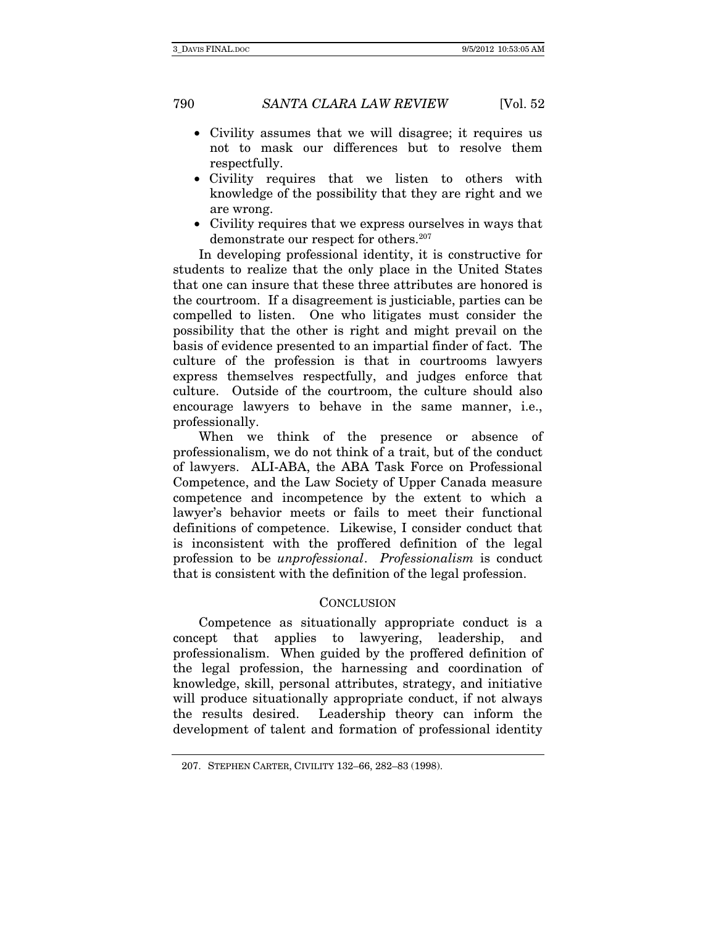- Civility assumes that we will disagree; it requires us not to mask our differences but to resolve them respectfully.
- Civility requires that we listen to others with knowledge of the possibility that they are right and we are wrong.
- Civility requires that we express ourselves in ways that demonstrate our respect for others.<sup>207</sup>

In developing professional identity, it is constructive for students to realize that the only place in the United States that one can insure that these three attributes are honored is the courtroom. If a disagreement is justiciable, parties can be compelled to listen. One who litigates must consider the possibility that the other is right and might prevail on the basis of evidence presented to an impartial finder of fact. The culture of the profession is that in courtrooms lawyers express themselves respectfully, and judges enforce that culture. Outside of the courtroom, the culture should also encourage lawyers to behave in the same manner, i.e., professionally.

When we think of the presence or absence of professionalism, we do not think of a trait, but of the conduct of lawyers. ALI-ABA, the ABA Task Force on Professional Competence, and the Law Society of Upper Canada measure competence and incompetence by the extent to which a lawyer's behavior meets or fails to meet their functional definitions of competence. Likewise, I consider conduct that is inconsistent with the proffered definition of the legal profession to be unprofessional. Professionalism is conduct that is consistent with the definition of the legal profession.

#### **CONCLUSION**

Competence as situationally appropriate conduct is a concept that applies to lawyering, leadership, and professionalism. When guided by the proffered definition of the legal profession, the harnessing and coordination of knowledge, skill, personal attributes, strategy, and initiative will produce situationally appropriate conduct, if not always the results desired. Leadership theory can inform the development of talent and formation of professional identity

 <sup>207.</sup> STEPHEN CARTER, CIVILITY 132–66, 282–83 (1998).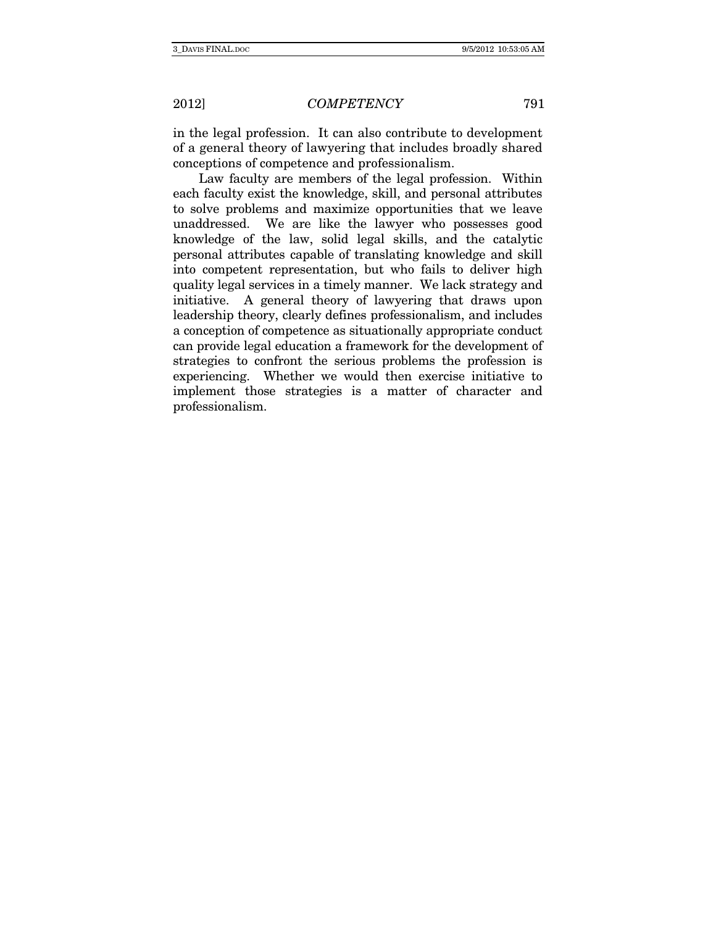in the legal profession. It can also contribute to development of a general theory of lawyering that includes broadly shared conceptions of competence and professionalism.

Law faculty are members of the legal profession. Within each faculty exist the knowledge, skill, and personal attributes to solve problems and maximize opportunities that we leave unaddressed. We are like the lawyer who possesses good knowledge of the law, solid legal skills, and the catalytic personal attributes capable of translating knowledge and skill into competent representation, but who fails to deliver high quality legal services in a timely manner. We lack strategy and initiative. A general theory of lawyering that draws upon leadership theory, clearly defines professionalism, and includes a conception of competence as situationally appropriate conduct can provide legal education a framework for the development of strategies to confront the serious problems the profession is experiencing. Whether we would then exercise initiative to implement those strategies is a matter of character and professionalism.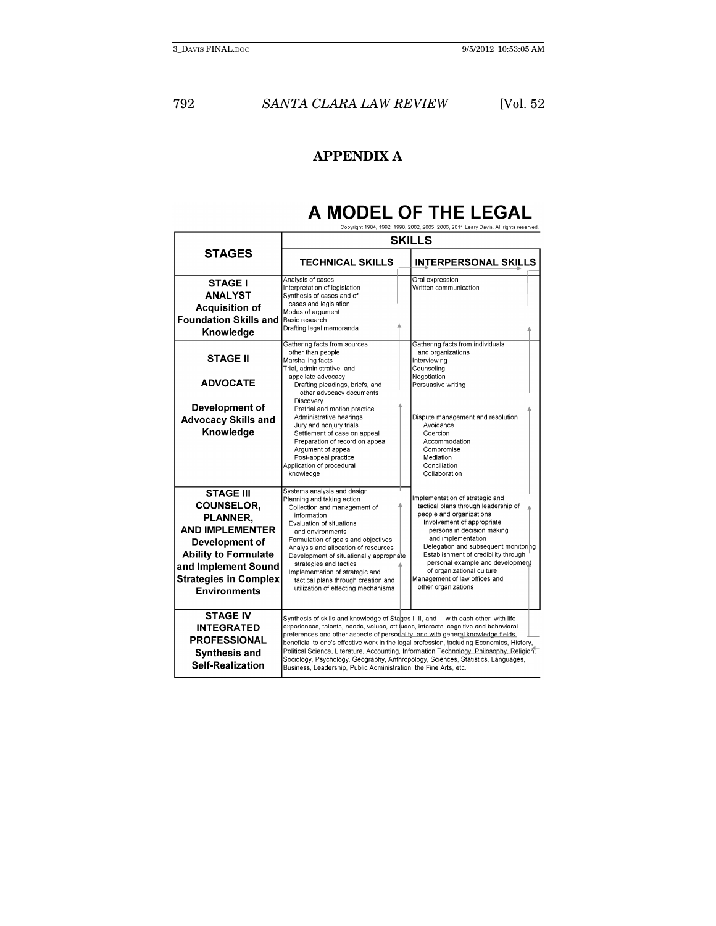## **APPENDIX A**

### A MODEL OF THE LEGAL Copyright 1984, 1992, 1998, 2002, 2005, 2006, 2011 Leary Davis. All rights reserved.

|                                                                                                                                                                                                                   | <b>SKILLS</b>                                                                                                                                                                                                                                                                                                                                                                                                                  |                                                                                                                                                                                                                                                                                                                                                                                                |  |
|-------------------------------------------------------------------------------------------------------------------------------------------------------------------------------------------------------------------|--------------------------------------------------------------------------------------------------------------------------------------------------------------------------------------------------------------------------------------------------------------------------------------------------------------------------------------------------------------------------------------------------------------------------------|------------------------------------------------------------------------------------------------------------------------------------------------------------------------------------------------------------------------------------------------------------------------------------------------------------------------------------------------------------------------------------------------|--|
| <b>STAGES</b>                                                                                                                                                                                                     | <b>TECHNICAL SKILLS</b>                                                                                                                                                                                                                                                                                                                                                                                                        | <b>INTERPERSONAL SKILLS</b>                                                                                                                                                                                                                                                                                                                                                                    |  |
| <b>STAGE I</b><br><b>ANALYST</b><br><b>Acquisition of</b><br><b>Foundation Skills and</b><br>Knowledge                                                                                                            | Analysis of cases<br>Interpretation of legislation<br>Synthesis of cases and of<br>cases and legislation<br>Modes of argument<br>Basic research<br>Drafting legal memoranda                                                                                                                                                                                                                                                    | Oral expression<br>Written communication                                                                                                                                                                                                                                                                                                                                                       |  |
| <b>STAGE II</b><br><b>ADVOCATE</b>                                                                                                                                                                                | Gathering facts from sources<br>other than people<br>Marshalling facts<br>Trial, administrative, and<br>appellate advocacy<br>Drafting pleadings, briefs, and<br>other advocacy documents<br>Discovery                                                                                                                                                                                                                         | Gathering facts from individuals<br>and organizations<br>Interviewing<br>Counseling<br>Negotiation<br>Persuasive writing                                                                                                                                                                                                                                                                       |  |
| Development of<br><b>Advocacy Skills and</b><br>Knowledge                                                                                                                                                         | Pretrial and motion practice<br>Administrative hearings<br>Jury and nonjury trials<br>Settlement of case on appeal<br>Preparation of record on appeal<br>Argument of appeal<br>Post-appeal practice<br>Application of procedural<br>knowledge                                                                                                                                                                                  | Dispute management and resolution<br>Avoidance<br>Coercion<br>Accommodation<br>Compromise<br>Mediation<br>Conciliation<br>Collaboration                                                                                                                                                                                                                                                        |  |
| <b>STAGE III</b><br><b>COUNSELOR.</b><br><b>PLANNER.</b><br><b>AND IMPLEMENTER</b><br>Development of<br><b>Ability to Formulate</b><br>and Implement Sound<br><b>Strategies in Complex</b><br><b>Environments</b> | Systems analysis and design<br>Planning and taking action<br>Collection and management of<br>information<br>Evaluation of situations<br>and environments<br>Formulation of goals and objectives<br>Analysis and allocation of resources<br>Development of situationally appropriate<br>strategies and tactics<br>Implementation of strategic and<br>tactical plans through creation and<br>utilization of effecting mechanisms | Implementation of strategic and<br>tactical plans through leadership of<br>people and organizations<br>Involvement of appropriate<br>persons in decision making<br>and implementation<br>Delegation and subsequent monitoring<br>Establishment of credibility through<br>personal example and development<br>of organizational culture<br>Management of law offices and<br>other organizations |  |
| <b>STAGE IV</b><br><b>INTEGRATED</b><br><b>PROFESSIONAL</b><br><b>Synthesis and</b><br><b>Self-Realization</b>                                                                                                    | Synthesis of skills and knowledge of Stages I, II, and III with each other; with life<br>experiences, talents, needs, values, attitudes, interests, cognitive and behavioral<br>preferences and other aspects of personality; and with general knowledge fields<br>Sociology, Psychology, Geography, Anthropology, Sciences, Statistics, Languages,<br>Business, Leadership, Public Administration, the Fine Arts, etc.        | beneficial to one's effective work in the legal profession, including Economics, History,<br>Political Science, Literature, Accounting, Information Technology, Philosophy, Religion,                                                                                                                                                                                                          |  |